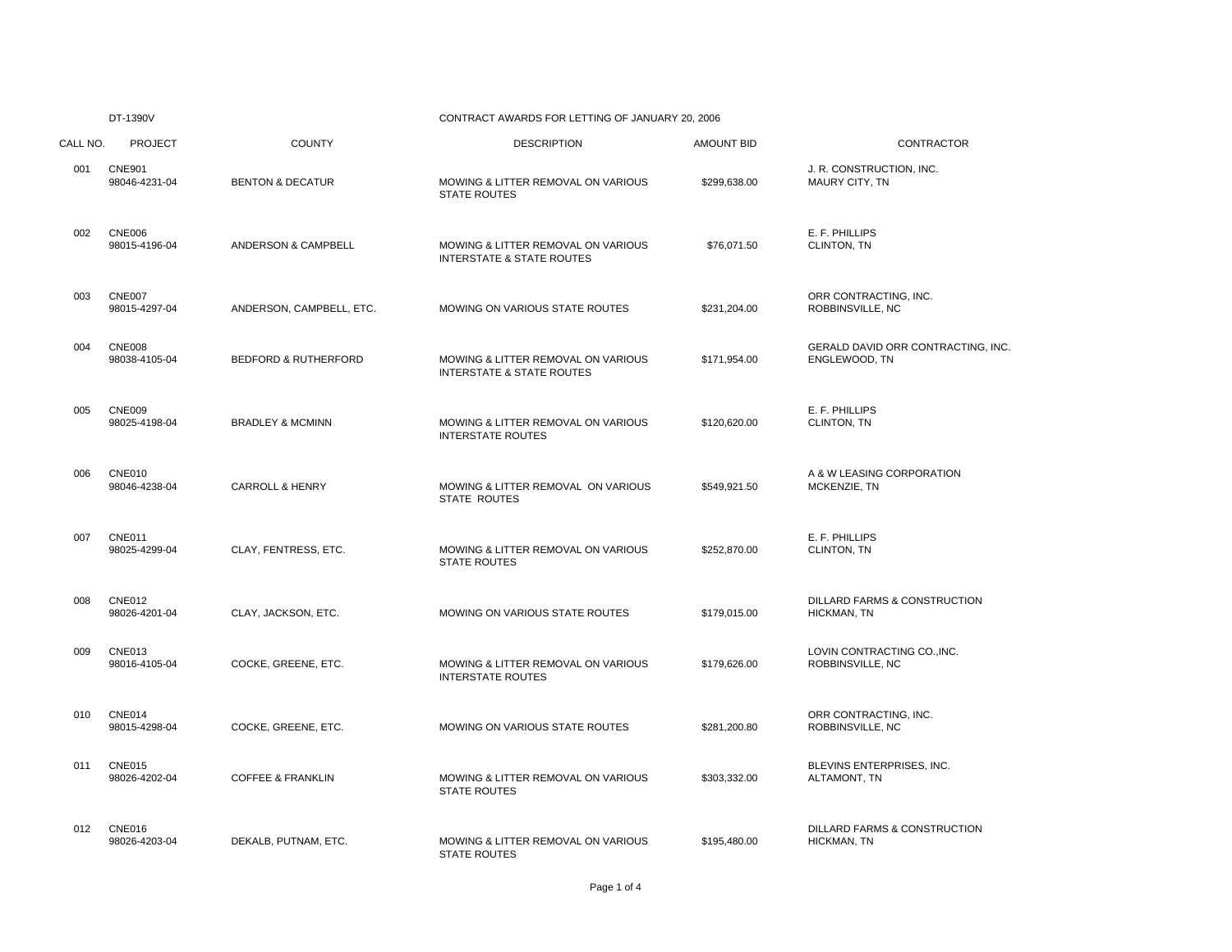## DT-1390V CONTRACT AWARDS FOR LETTING OF JANUARY 20, 2006

| CALL NO. | <b>PROJECT</b>                 | <b>COUNTY</b>                   | <b>DESCRIPTION</b>                                                         | <b>AMOUNT BID</b> | <b>CONTRACTOR</b>                                   |
|----------|--------------------------------|---------------------------------|----------------------------------------------------------------------------|-------------------|-----------------------------------------------------|
| 001      | <b>CNE901</b><br>98046-4231-04 | <b>BENTON &amp; DECATUR</b>     | MOWING & LITTER REMOVAL ON VARIOUS<br><b>STATE ROUTES</b>                  | \$299,638.00      | J. R. CONSTRUCTION, INC.<br>MAURY CITY, TN          |
| 002      | <b>CNE006</b><br>98015-4196-04 | ANDERSON & CAMPBELL             | MOWING & LITTER REMOVAL ON VARIOUS<br><b>INTERSTATE &amp; STATE ROUTES</b> | \$76,071.50       | E. F. PHILLIPS<br>CLINTON, TN                       |
| 003      | <b>CNE007</b><br>98015-4297-04 | ANDERSON, CAMPBELL, ETC.        | MOWING ON VARIOUS STATE ROUTES                                             | \$231,204.00      | ORR CONTRACTING, INC.<br>ROBBINSVILLE, NC           |
| 004      | CNE008<br>98038-4105-04        | <b>BEDFORD &amp; RUTHERFORD</b> | MOWING & LITTER REMOVAL ON VARIOUS<br><b>INTERSTATE &amp; STATE ROUTES</b> | \$171,954.00      | GERALD DAVID ORR CONTRACTING, INC.<br>ENGLEWOOD, TN |
| 005      | <b>CNE009</b><br>98025-4198-04 | <b>BRADLEY &amp; MCMINN</b>     | MOWING & LITTER REMOVAL ON VARIOUS<br><b>INTERSTATE ROUTES</b>             | \$120,620.00      | E. F. PHILLIPS<br>CLINTON, TN                       |
| 006      | <b>CNE010</b><br>98046-4238-04 | <b>CARROLL &amp; HENRY</b>      | MOWING & LITTER REMOVAL ON VARIOUS<br>STATE ROUTES                         | \$549.921.50      | A & W LEASING CORPORATION<br>MCKENZIE, TN           |
| 007      | CNE011<br>98025-4299-04        | CLAY, FENTRESS, ETC.            | MOWING & LITTER REMOVAL ON VARIOUS<br><b>STATE ROUTES</b>                  | \$252,870.00      | E. F. PHILLIPS<br>CLINTON, TN                       |
| 008      | <b>CNE012</b><br>98026-4201-04 | CLAY, JACKSON, ETC.             | MOWING ON VARIOUS STATE ROUTES                                             | \$179,015.00      | DILLARD FARMS & CONSTRUCTION<br>HICKMAN, TN         |
| 009      | <b>CNE013</b><br>98016-4105-04 | COCKE, GREENE, ETC.             | MOWING & LITTER REMOVAL ON VARIOUS<br><b>INTERSTATE ROUTES</b>             | \$179,626.00      | LOVIN CONTRACTING CO., INC.<br>ROBBINSVILLE, NC     |
| 010      | CNE014<br>98015-4298-04        | COCKE, GREENE, ETC.             | MOWING ON VARIOUS STATE ROUTES                                             | \$281,200.80      | ORR CONTRACTING, INC.<br>ROBBINSVILLE, NC           |
| 011      | <b>CNE015</b><br>98026-4202-04 | <b>COFFEE &amp; FRANKLIN</b>    | MOWING & LITTER REMOVAL ON VARIOUS<br><b>STATE ROUTES</b>                  | \$303,332.00      | BLEVINS ENTERPRISES, INC.<br>ALTAMONT, TN           |
| 012      | <b>CNE016</b><br>98026-4203-04 | DEKALB, PUTNAM, ETC.            | MOWING & LITTER REMOVAL ON VARIOUS<br><b>STATE ROUTES</b>                  | \$195,480.00      | DILLARD FARMS & CONSTRUCTION<br>HICKMAN, TN         |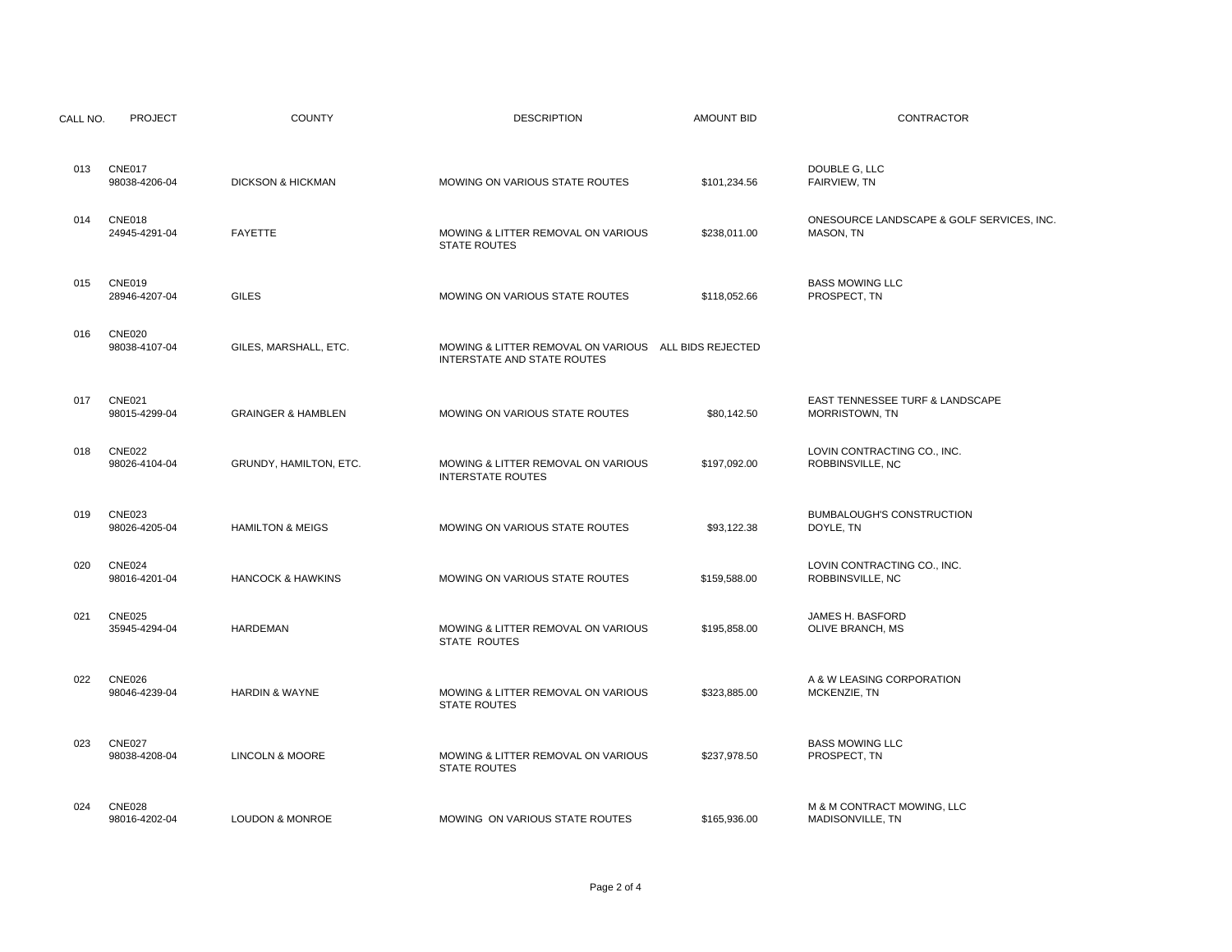| CALL NO. | <b>PROJECT</b>                 | <b>COUNTY</b>                 | <b>DESCRIPTION</b>                                                                  | <b>AMOUNT BID</b> | <b>CONTRACTOR</b>                                      |
|----------|--------------------------------|-------------------------------|-------------------------------------------------------------------------------------|-------------------|--------------------------------------------------------|
|          |                                |                               |                                                                                     |                   |                                                        |
| 013      | <b>CNE017</b><br>98038-4206-04 | <b>DICKSON &amp; HICKMAN</b>  | MOWING ON VARIOUS STATE ROUTES                                                      | \$101,234.56      | DOUBLE G, LLC<br>FAIRVIEW, TN                          |
| 014      | <b>CNE018</b><br>24945-4291-04 | <b>FAYETTE</b>                | MOWING & LITTER REMOVAL ON VARIOUS<br><b>STATE ROUTES</b>                           | \$238,011.00      | ONESOURCE LANDSCAPE & GOLF SERVICES, INC.<br>MASON, TN |
| 015      | <b>CNE019</b><br>28946-4207-04 | <b>GILES</b>                  | MOWING ON VARIOUS STATE ROUTES                                                      | \$118,052.66      | <b>BASS MOWING LLC</b><br>PROSPECT, TN                 |
| 016      | <b>CNE020</b><br>98038-4107-04 | GILES, MARSHALL, ETC.         | MOWING & LITTER REMOVAL ON VARIOUS ALL BIDS REJECTED<br>INTERSTATE AND STATE ROUTES |                   |                                                        |
| 017      | <b>CNE021</b><br>98015-4299-04 | <b>GRAINGER &amp; HAMBLEN</b> | MOWING ON VARIOUS STATE ROUTES                                                      | \$80,142.50       | EAST TENNESSEE TURF & LANDSCAPE<br>MORRISTOWN, TN      |
| 018      | <b>CNE022</b><br>98026-4104-04 | GRUNDY, HAMILTON, ETC.        | MOWING & LITTER REMOVAL ON VARIOUS<br><b>INTERSTATE ROUTES</b>                      | \$197,092.00      | LOVIN CONTRACTING CO., INC.<br>ROBBINSVILLE, NC        |
| 019      | <b>CNE023</b><br>98026-4205-04 | <b>HAMILTON &amp; MEIGS</b>   | MOWING ON VARIOUS STATE ROUTES                                                      | \$93,122.38       | <b>BUMBALOUGH'S CONSTRUCTION</b><br>DOYLE, TN          |
| 020      | <b>CNE024</b><br>98016-4201-04 | <b>HANCOCK &amp; HAWKINS</b>  | MOWING ON VARIOUS STATE ROUTES                                                      | \$159,588.00      | LOVIN CONTRACTING CO., INC.<br>ROBBINSVILLE, NC        |
| 021      | <b>CNE025</b><br>35945-4294-04 | <b>HARDEMAN</b>               | MOWING & LITTER REMOVAL ON VARIOUS<br>STATE ROUTES                                  | \$195,858.00      | JAMES H. BASFORD<br>OLIVE BRANCH, MS                   |
| 022      | CNE026<br>98046-4239-04        | <b>HARDIN &amp; WAYNE</b>     | MOWING & LITTER REMOVAL ON VARIOUS<br><b>STATE ROUTES</b>                           | \$323,885.00      | A & W LEASING CORPORATION<br>MCKENZIE, TN              |
| 023      | <b>CNE027</b><br>98038-4208-04 | LINCOLN & MOORE               | MOWING & LITTER REMOVAL ON VARIOUS<br><b>STATE ROUTES</b>                           | \$237,978.50      | <b>BASS MOWING LLC</b><br>PROSPECT, TN                 |
| 024      | <b>CNE028</b><br>98016-4202-04 | <b>LOUDON &amp; MONROE</b>    | MOWING ON VARIOUS STATE ROUTES                                                      | \$165,936.00      | M & M CONTRACT MOWING, LLC<br>MADISONVILLE, TN         |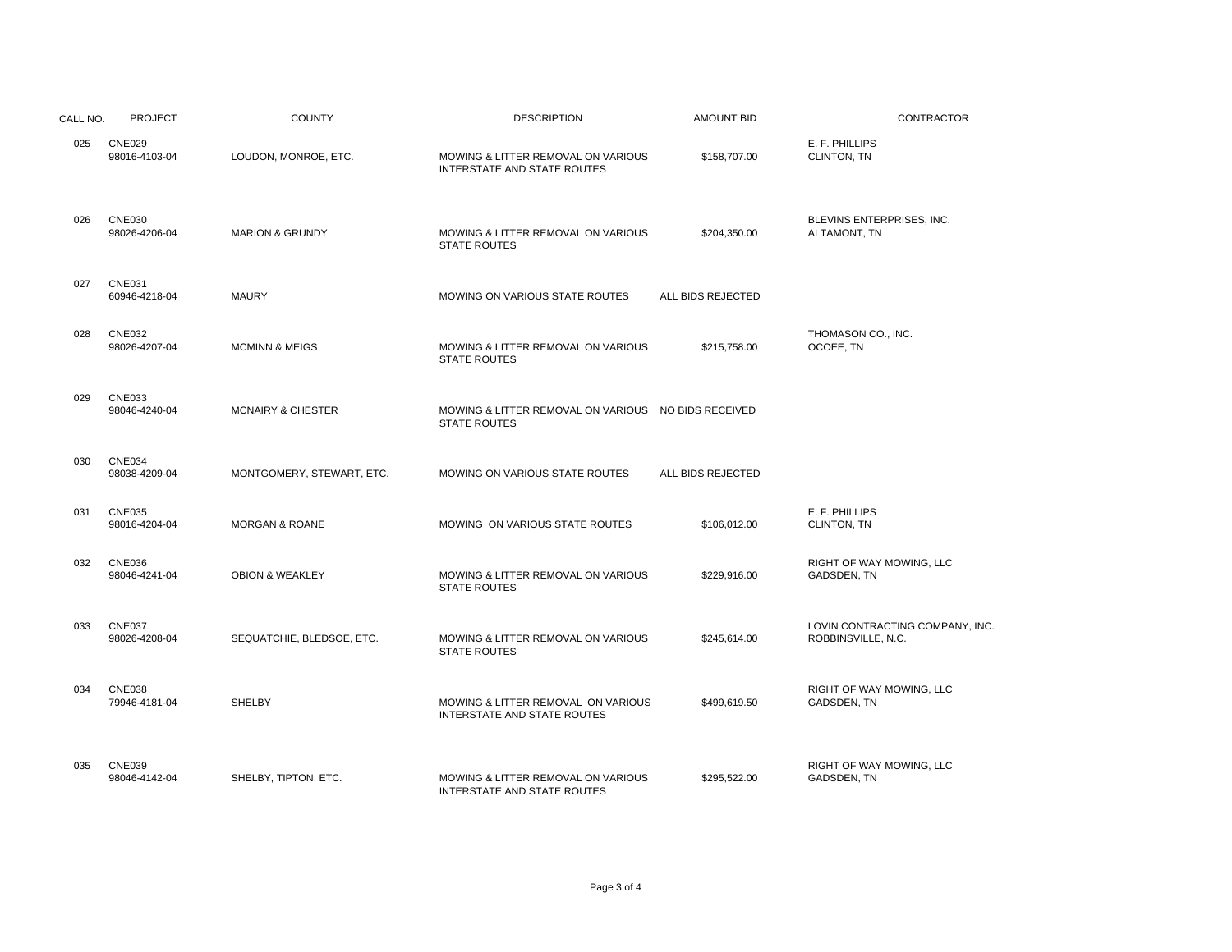| CALL NO. | <b>PROJECT</b>                 | <b>COUNTY</b>                | <b>DESCRIPTION</b>                                                         | <b>AMOUNT BID</b> | <b>CONTRACTOR</b>                                     |
|----------|--------------------------------|------------------------------|----------------------------------------------------------------------------|-------------------|-------------------------------------------------------|
| 025      | <b>CNE029</b><br>98016-4103-04 | LOUDON, MONROE, ETC.         | MOWING & LITTER REMOVAL ON VARIOUS<br>INTERSTATE AND STATE ROUTES          | \$158,707.00      | E. F. PHILLIPS<br>CLINTON, TN                         |
| 026      | <b>CNE030</b><br>98026-4206-04 | <b>MARION &amp; GRUNDY</b>   | MOWING & LITTER REMOVAL ON VARIOUS<br><b>STATE ROUTES</b>                  | \$204,350.00      | BLEVINS ENTERPRISES, INC.<br>ALTAMONT, TN             |
| 027      | <b>CNE031</b><br>60946-4218-04 | <b>MAURY</b>                 | MOWING ON VARIOUS STATE ROUTES                                             | ALL BIDS REJECTED |                                                       |
| 028      | <b>CNE032</b><br>98026-4207-04 | <b>MCMINN &amp; MEIGS</b>    | MOWING & LITTER REMOVAL ON VARIOUS<br><b>STATE ROUTES</b>                  | \$215.758.00      | THOMASON CO., INC.<br>OCOEE, TN                       |
| 029      | <b>CNE033</b><br>98046-4240-04 | <b>MCNAIRY &amp; CHESTER</b> | MOWING & LITTER REMOVAL ON VARIOUS NO BIDS RECEIVED<br><b>STATE ROUTES</b> |                   |                                                       |
| 030      | <b>CNE034</b><br>98038-4209-04 | MONTGOMERY, STEWART, ETC.    | MOWING ON VARIOUS STATE ROUTES                                             | ALL BIDS REJECTED |                                                       |
| 031      | <b>CNE035</b><br>98016-4204-04 | <b>MORGAN &amp; ROANE</b>    | MOWING ON VARIOUS STATE ROUTES                                             | \$106,012.00      | E. F. PHILLIPS<br>CLINTON, TN                         |
| 032      | <b>CNE036</b><br>98046-4241-04 | <b>OBION &amp; WEAKLEY</b>   | MOWING & LITTER REMOVAL ON VARIOUS<br><b>STATE ROUTES</b>                  | \$229,916.00      | RIGHT OF WAY MOWING, LLC<br>GADSDEN, TN               |
| 033      | <b>CNE037</b><br>98026-4208-04 | SEQUATCHIE, BLEDSOE, ETC.    | MOWING & LITTER REMOVAL ON VARIOUS<br><b>STATE ROUTES</b>                  | \$245,614.00      | LOVIN CONTRACTING COMPANY, INC.<br>ROBBINSVILLE, N.C. |
| 034      | <b>CNE038</b><br>79946-4181-04 | <b>SHELBY</b>                | MOWING & LITTER REMOVAL ON VARIOUS<br>INTERSTATE AND STATE ROUTES          | \$499,619.50      | RIGHT OF WAY MOWING, LLC<br>GADSDEN, TN               |
| 035      | <b>CNE039</b><br>98046-4142-04 | SHELBY, TIPTON, ETC.         | MOWING & LITTER REMOVAL ON VARIOUS<br>INTERSTATE AND STATE ROUTES          | \$295,522.00      | RIGHT OF WAY MOWING, LLC<br>GADSDEN, TN               |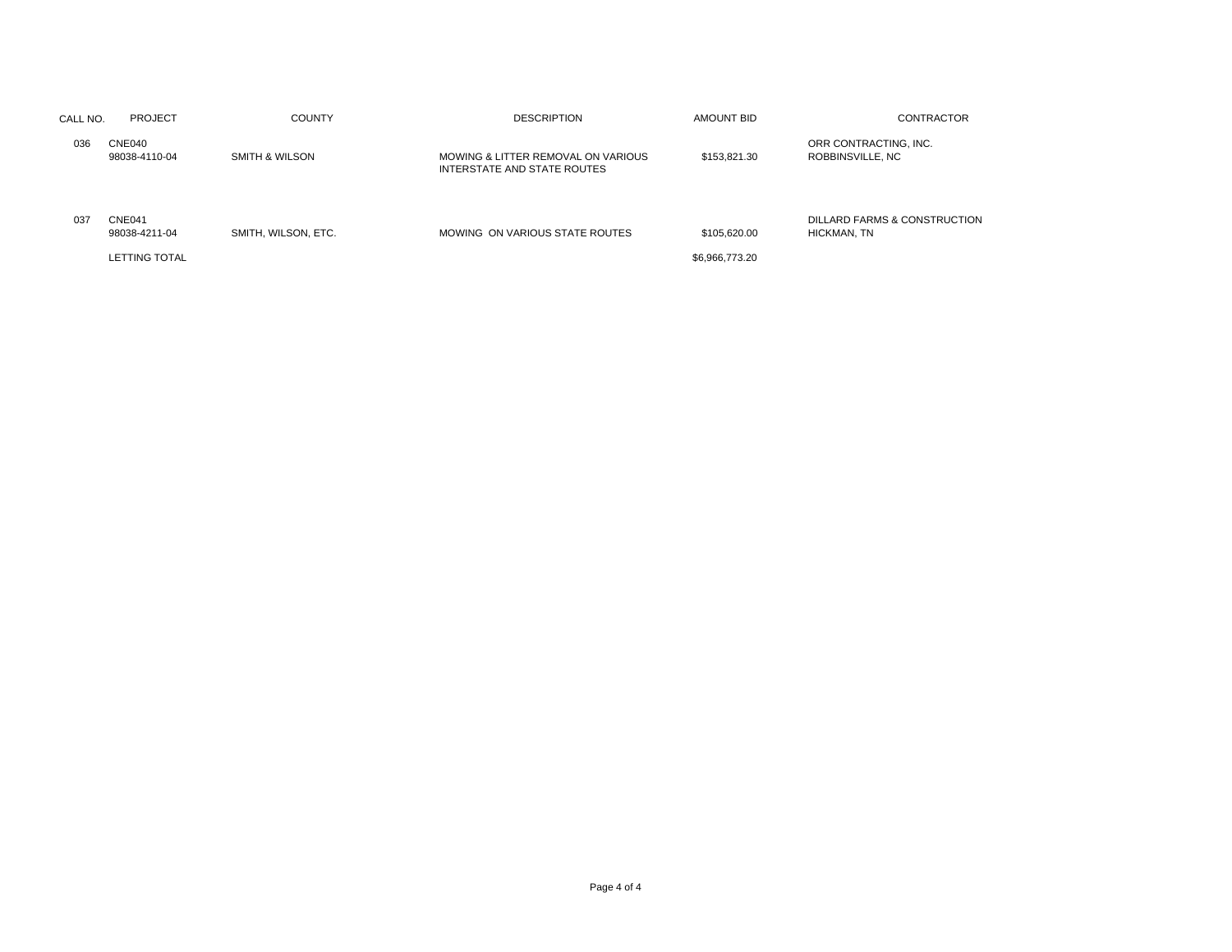| CALL NO. | <b>PROJECT</b>                           | <b>COUNTY</b>       | <b>DESCRIPTION</b>                                                | AMOUNT BID                     | <b>CONTRACTOR</b>                           |
|----------|------------------------------------------|---------------------|-------------------------------------------------------------------|--------------------------------|---------------------------------------------|
| 036      | CNE040<br>98038-4110-04                  | SMITH & WILSON      | MOWING & LITTER REMOVAL ON VARIOUS<br>INTERSTATE AND STATE ROUTES | \$153,821,30                   | ORR CONTRACTING, INC.<br>ROBBINSVILLE, NC   |
| 037      | CNE041<br>98038-4211-04<br>LETTING TOTAL | SMITH, WILSON, ETC. | MOWING ON VARIOUS STATE ROUTES                                    | \$105,620.00<br>\$6,966,773.20 | DILLARD FARMS & CONSTRUCTION<br>HICKMAN, TN |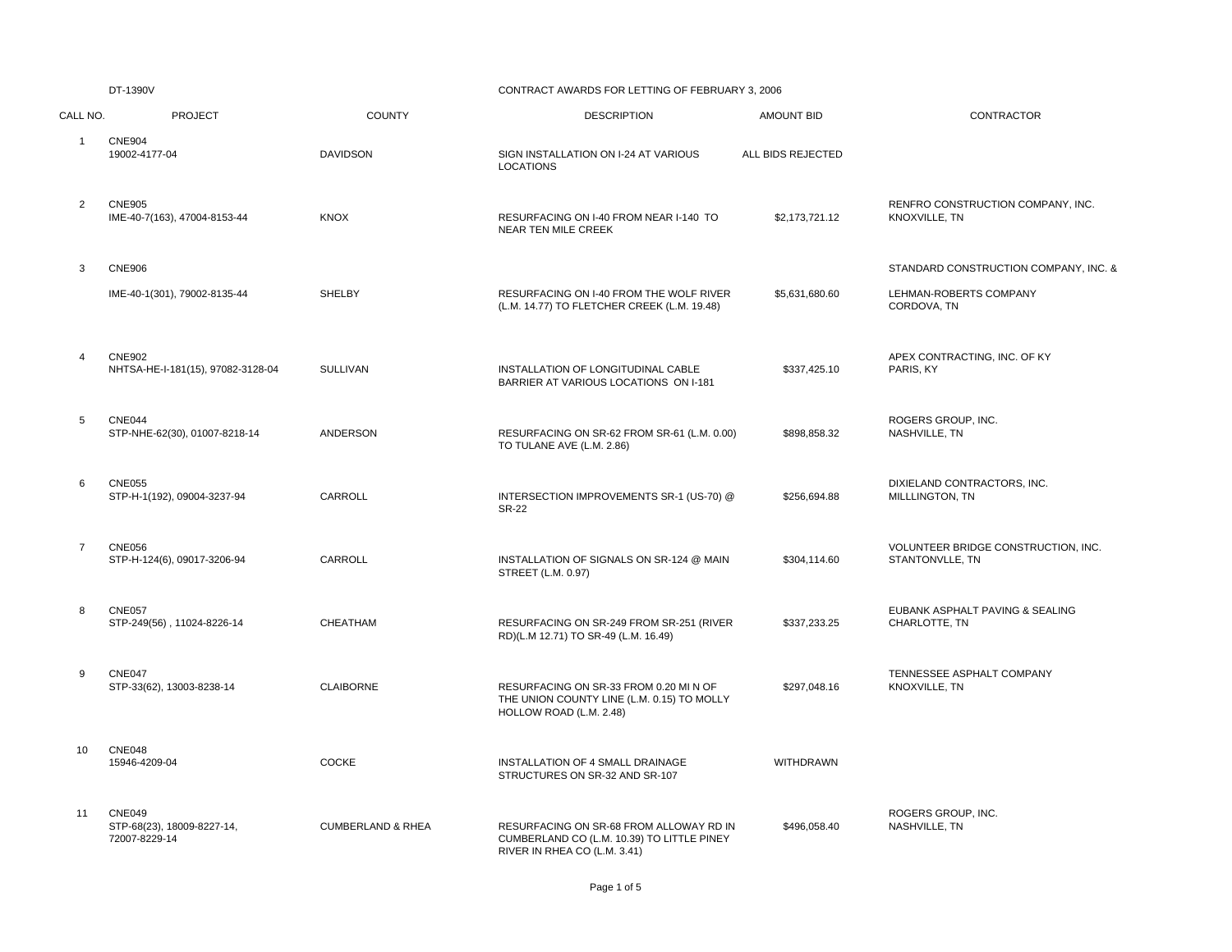#### CONTRACT AWARDS FOR LETTING OF FEBRUARY 3, 2006

| CALL NO.       | <b>PROJECT</b>                                               | <b>COUNTY</b>                | <b>DESCRIPTION</b>                                                                                                    | <b>AMOUNT BID</b> | CONTRACTOR                                                |
|----------------|--------------------------------------------------------------|------------------------------|-----------------------------------------------------------------------------------------------------------------------|-------------------|-----------------------------------------------------------|
| $\mathbf{1}$   | <b>CNE904</b><br>19002-4177-04                               | <b>DAVIDSON</b>              | SIGN INSTALLATION ON I-24 AT VARIOUS<br><b>LOCATIONS</b>                                                              | ALL BIDS REJECTED |                                                           |
| $\overline{2}$ | <b>CNE905</b><br>IME-40-7(163), 47004-8153-44                | <b>KNOX</b>                  | RESURFACING ON I-40 FROM NEAR I-140 TO<br><b>NEAR TEN MILE CREEK</b>                                                  | \$2,173,721.12    | RENFRO CONSTRUCTION COMPANY, INC.<br><b>KNOXVILLE, TN</b> |
| 3              | <b>CNE906</b>                                                |                              |                                                                                                                       |                   | STANDARD CONSTRUCTION COMPANY, INC. &                     |
|                | IME-40-1(301), 79002-8135-44                                 | <b>SHELBY</b>                | RESURFACING ON I-40 FROM THE WOLF RIVER<br>(L.M. 14.77) TO FLETCHER CREEK (L.M. 19.48)                                | \$5,631,680.60    | LEHMAN-ROBERTS COMPANY<br>CORDOVA, TN                     |
| 4              | <b>CNE902</b><br>NHTSA-HE-I-181(15), 97082-3128-04           | <b>SULLIVAN</b>              | INSTALLATION OF LONGITUDINAL CABLE<br>BARRIER AT VARIOUS LOCATIONS ON I-181                                           | \$337,425.10      | APEX CONTRACTING, INC. OF KY<br>PARIS, KY                 |
| 5              | <b>CNE044</b><br>STP-NHE-62(30), 01007-8218-14               | ANDERSON                     | RESURFACING ON SR-62 FROM SR-61 (L.M. 0.00)<br>TO TULANE AVE (L.M. 2.86)                                              | \$898,858.32      | ROGERS GROUP, INC.<br>NASHVILLE, TN                       |
| 6              | <b>CNE055</b><br>STP-H-1(192), 09004-3237-94                 | CARROLL                      | INTERSECTION IMPROVEMENTS SR-1 (US-70) @<br><b>SR-22</b>                                                              | \$256,694.88      | DIXIELAND CONTRACTORS, INC.<br>MILLLINGTON, TN            |
| $\overline{7}$ | <b>CNE056</b><br>STP-H-124(6), 09017-3206-94                 | CARROLL                      | INSTALLATION OF SIGNALS ON SR-124 @ MAIN<br>STREET (L.M. 0.97)                                                        | \$304,114.60      | VOLUNTEER BRIDGE CONSTRUCTION, INC.<br>STANTONVLLE, TN    |
| 8              | <b>CNE057</b><br>STP-249(56), 11024-8226-14                  | CHEATHAM                     | RESURFACING ON SR-249 FROM SR-251 (RIVER<br>RD)(L.M 12.71) TO SR-49 (L.M. 16.49)                                      | \$337,233.25      | EUBANK ASPHALT PAVING & SEALING<br>CHARLOTTE, TN          |
| 9              | CNE047<br>STP-33(62), 13003-8238-14                          | <b>CLAIBORNE</b>             | RESURFACING ON SR-33 FROM 0.20 MI N OF<br>THE UNION COUNTY LINE (L.M. 0.15) TO MOLLY<br>HOLLOW ROAD (L.M. 2.48)       | \$297,048.16      | TENNESSEE ASPHALT COMPANY<br>KNOXVILLE, TN                |
| 10             | <b>CNE048</b><br>15946-4209-04                               | <b>COCKE</b>                 | INSTALLATION OF 4 SMALL DRAINAGE<br>STRUCTURES ON SR-32 AND SR-107                                                    | <b>WITHDRAWN</b>  |                                                           |
| 11             | <b>CNE049</b><br>STP-68(23), 18009-8227-14,<br>72007-8229-14 | <b>CUMBERLAND &amp; RHEA</b> | RESURFACING ON SR-68 FROM ALLOWAY RD IN<br>CUMBERLAND CO (L.M. 10.39) TO LITTLE PINEY<br>RIVER IN RHEA CO (L.M. 3.41) | \$496,058.40      | ROGERS GROUP, INC.<br>NASHVILLE, TN                       |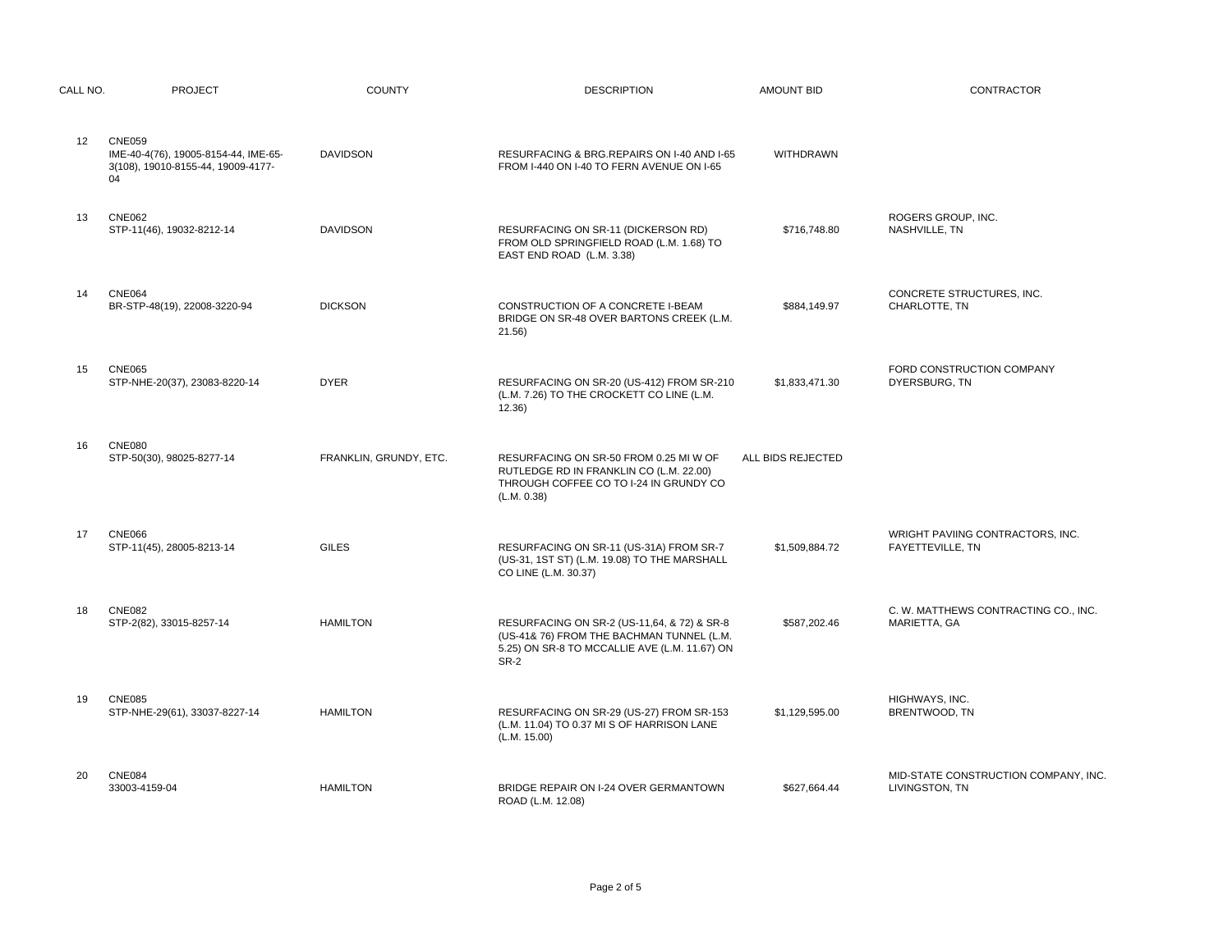| CALL NO.          | <b>PROJECT</b>                                                                                    | <b>COUNTY</b>          | <b>DESCRIPTION</b>                                                                                                                                | <b>AMOUNT BID</b> | CONTRACTOR                                             |
|-------------------|---------------------------------------------------------------------------------------------------|------------------------|---------------------------------------------------------------------------------------------------------------------------------------------------|-------------------|--------------------------------------------------------|
| $12 \overline{ }$ | <b>CNE059</b><br>IME-40-4(76), 19005-8154-44, IME-65-<br>3(108), 19010-8155-44, 19009-4177-<br>04 | <b>DAVIDSON</b>        | RESURFACING & BRG.REPAIRS ON I-40 AND I-65<br>FROM I-440 ON I-40 TO FERN AVENUE ON I-65                                                           | WITHDRAWN         |                                                        |
| 13                | <b>CNE062</b><br>STP-11(46), 19032-8212-14                                                        | <b>DAVIDSON</b>        | RESURFACING ON SR-11 (DICKERSON RD)<br>FROM OLD SPRINGFIELD ROAD (L.M. 1.68) TO<br>EAST END ROAD (L.M. 3.38)                                      | \$716,748.80      | ROGERS GROUP, INC.<br>NASHVILLE, TN                    |
| 14                | <b>CNE064</b><br>BR-STP-48(19), 22008-3220-94                                                     | <b>DICKSON</b>         | CONSTRUCTION OF A CONCRETE I-BEAM<br>BRIDGE ON SR-48 OVER BARTONS CREEK (L.M.<br>21.56)                                                           | \$884,149.97      | CONCRETE STRUCTURES, INC.<br>CHARLOTTE, TN             |
| 15                | <b>CNE065</b><br>STP-NHE-20(37), 23083-8220-14                                                    | <b>DYER</b>            | RESURFACING ON SR-20 (US-412) FROM SR-210<br>(L.M. 7.26) TO THE CROCKETT CO LINE (L.M.<br>12.36)                                                  | \$1,833,471.30    | FORD CONSTRUCTION COMPANY<br>DYERSBURG, TN             |
| 16                | <b>CNE080</b><br>STP-50(30), 98025-8277-14                                                        | FRANKLIN, GRUNDY, ETC. | RESURFACING ON SR-50 FROM 0.25 MI W OF<br>RUTLEDGE RD IN FRANKLIN CO (L.M. 22.00)<br>THROUGH COFFEE CO TO I-24 IN GRUNDY CO<br>(L.M. 0.38)        | ALL BIDS REJECTED |                                                        |
| 17                | <b>CNE066</b><br>STP-11(45), 28005-8213-14                                                        | <b>GILES</b>           | RESURFACING ON SR-11 (US-31A) FROM SR-7<br>(US-31, 1ST ST) (L.M. 19.08) TO THE MARSHALL<br>CO LINE (L.M. 30.37)                                   | \$1,509,884.72    | WRIGHT PAVIING CONTRACTORS, INC.<br>FAYETTEVILLE, TN   |
| 18                | <b>CNE082</b><br>STP-2(82), 33015-8257-14                                                         | <b>HAMILTON</b>        | RESURFACING ON SR-2 (US-11,64, & 72) & SR-8<br>(US-41& 76) FROM THE BACHMAN TUNNEL (L.M.<br>5.25) ON SR-8 TO MCCALLIE AVE (L.M. 11.67) ON<br>SR-2 | \$587,202.46      | C. W. MATTHEWS CONTRACTING CO., INC.<br>MARIETTA, GA   |
| 19                | <b>CNE085</b><br>STP-NHE-29(61), 33037-8227-14                                                    | <b>HAMILTON</b>        | RESURFACING ON SR-29 (US-27) FROM SR-153<br>(L.M. 11.04) TO 0.37 MI S OF HARRISON LANE<br>(L.M. 15.00)                                            | \$1,129,595.00    | HIGHWAYS, INC.<br>BRENTWOOD, TN                        |
| 20                | <b>CNE084</b><br>33003-4159-04                                                                    | <b>HAMILTON</b>        | BRIDGE REPAIR ON I-24 OVER GERMANTOWN<br>ROAD (L.M. 12.08)                                                                                        | \$627,664.44      | MID-STATE CONSTRUCTION COMPANY, INC.<br>LIVINGSTON, TN |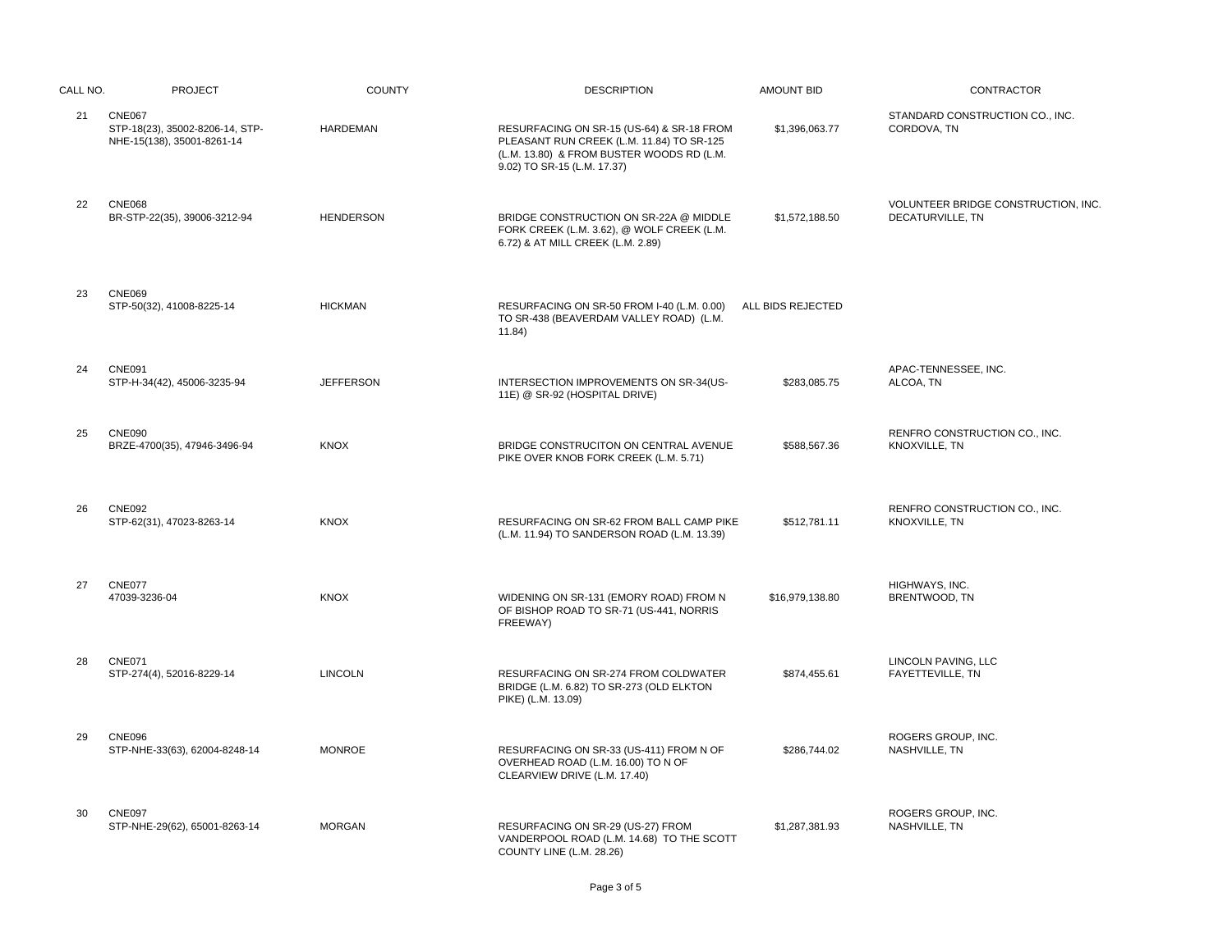| CALL NO. | <b>PROJECT</b>                                                                 | <b>COUNTY</b>    | <b>DESCRIPTION</b>                                                                                                                                                 | <b>AMOUNT BID</b> | CONTRACTOR                                              |
|----------|--------------------------------------------------------------------------------|------------------|--------------------------------------------------------------------------------------------------------------------------------------------------------------------|-------------------|---------------------------------------------------------|
| 21       | <b>CNE067</b><br>STP-18(23), 35002-8206-14, STP-<br>NHE-15(138), 35001-8261-14 | <b>HARDEMAN</b>  | RESURFACING ON SR-15 (US-64) & SR-18 FROM<br>PLEASANT RUN CREEK (L.M. 11.84) TO SR-125<br>(L.M. 13.80) & FROM BUSTER WOODS RD (L.M.<br>9.02) TO SR-15 (L.M. 17.37) | \$1,396,063.77    | STANDARD CONSTRUCTION CO., INC.<br>CORDOVA, TN          |
| 22       | <b>CNE068</b><br>BR-STP-22(35), 39006-3212-94                                  | <b>HENDERSON</b> | BRIDGE CONSTRUCTION ON SR-22A @ MIDDLE<br>FORK CREEK (L.M. 3.62), @ WOLF CREEK (L.M.<br>6.72) & AT MILL CREEK (L.M. 2.89)                                          | \$1,572,188.50    | VOLUNTEER BRIDGE CONSTRUCTION, INC.<br>DECATURVILLE, TN |
| 23       | <b>CNE069</b><br>STP-50(32), 41008-8225-14                                     | <b>HICKMAN</b>   | RESURFACING ON SR-50 FROM I-40 (L.M. 0.00)<br>TO SR-438 (BEAVERDAM VALLEY ROAD) (L.M.<br>11.84)                                                                    | ALL BIDS REJECTED |                                                         |
| 24       | <b>CNE091</b><br>STP-H-34(42), 45006-3235-94                                   | <b>JEFFERSON</b> | INTERSECTION IMPROVEMENTS ON SR-34(US-<br>11E) @ SR-92 (HOSPITAL DRIVE)                                                                                            | \$283,085.75      | APAC-TENNESSEE, INC.<br>ALCOA, TN                       |
| 25       | <b>CNE090</b><br>BRZE-4700(35), 47946-3496-94                                  | <b>KNOX</b>      | BRIDGE CONSTRUCITON ON CENTRAL AVENUE<br>PIKE OVER KNOB FORK CREEK (L.M. 5.71)                                                                                     | \$588.567.36      | RENFRO CONSTRUCTION CO., INC.<br>KNOXVILLE, TN          |
| 26       | <b>CNE092</b><br>STP-62(31), 47023-8263-14                                     | <b>KNOX</b>      | RESURFACING ON SR-62 FROM BALL CAMP PIKE<br>(L.M. 11.94) TO SANDERSON ROAD (L.M. 13.39)                                                                            | \$512,781.11      | RENFRO CONSTRUCTION CO., INC.<br>KNOXVILLE, TN          |
| 27       | <b>CNE077</b><br>47039-3236-04                                                 | <b>KNOX</b>      | WIDENING ON SR-131 (EMORY ROAD) FROM N<br>OF BISHOP ROAD TO SR-71 (US-441, NORRIS<br>FREEWAY)                                                                      | \$16.979.138.80   | HIGHWAYS, INC.<br>BRENTWOOD, TN                         |
| 28       | <b>CNE071</b><br>STP-274(4), 52016-8229-14                                     | <b>LINCOLN</b>   | RESURFACING ON SR-274 FROM COLDWATER<br>BRIDGE (L.M. 6.82) TO SR-273 (OLD ELKTON<br>PIKE) (L.M. 13.09)                                                             | \$874,455.61      | LINCOLN PAVING, LLC<br>FAYETTEVILLE, TN                 |
| 29       | <b>CNE096</b><br>STP-NHE-33(63), 62004-8248-14                                 | <b>MONROE</b>    | RESURFACING ON SR-33 (US-411) FROM N OF<br>OVERHEAD ROAD (L.M. 16.00) TO N OF<br>CLEARVIEW DRIVE (L.M. 17.40)                                                      | \$286,744.02      | ROGERS GROUP, INC.<br>NASHVILLE, TN                     |
| 30       | <b>CNE097</b><br>STP-NHE-29(62), 65001-8263-14                                 | <b>MORGAN</b>    | RESURFACING ON SR-29 (US-27) FROM<br>VANDERPOOL ROAD (L.M. 14.68) TO THE SCOTT<br>COUNTY LINE (L.M. 28.26)                                                         | \$1,287,381.93    | ROGERS GROUP, INC.<br>NASHVILLE, TN                     |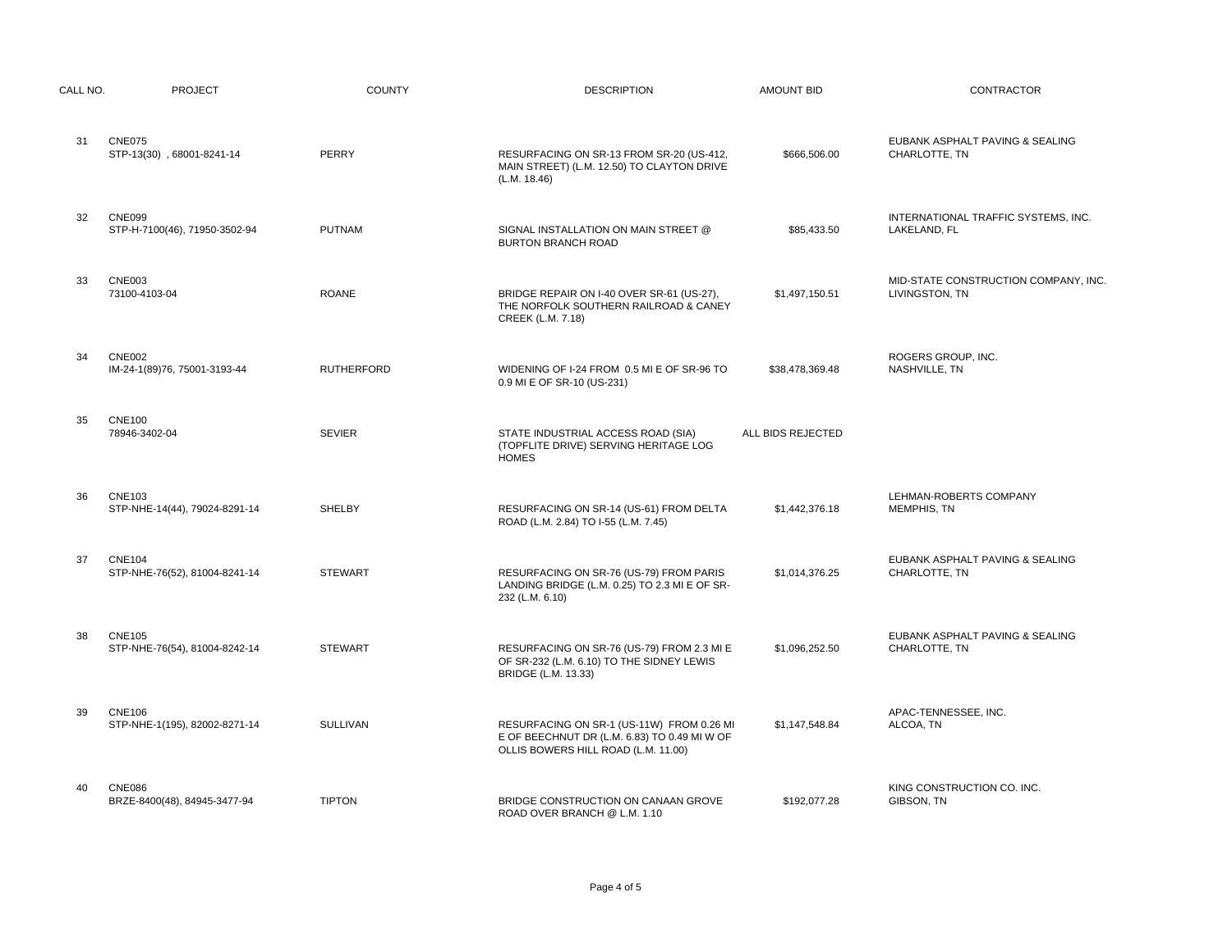| CALL NO. | <b>PROJECT</b>                                 | <b>COUNTY</b>     | <b>DESCRIPTION</b>                                                                                                               | <b>AMOUNT BID</b> | CONTRACTOR                                             |
|----------|------------------------------------------------|-------------------|----------------------------------------------------------------------------------------------------------------------------------|-------------------|--------------------------------------------------------|
| 31       | <b>CNE075</b><br>STP-13(30), 68001-8241-14     | PERRY             | RESURFACING ON SR-13 FROM SR-20 (US-412,<br>MAIN STREET) (L.M. 12.50) TO CLAYTON DRIVE<br>(L.M. 18.46)                           | \$666,506.00      | EUBANK ASPHALT PAVING & SEALING<br>CHARLOTTE, TN       |
| 32       | <b>CNE099</b><br>STP-H-7100(46), 71950-3502-94 | <b>PUTNAM</b>     | SIGNAL INSTALLATION ON MAIN STREET @<br><b>BURTON BRANCH ROAD</b>                                                                | \$85,433.50       | INTERNATIONAL TRAFFIC SYSTEMS, INC.<br>LAKELAND, FL    |
| 33       | <b>CNE003</b><br>73100-4103-04                 | <b>ROANE</b>      | BRIDGE REPAIR ON I-40 OVER SR-61 (US-27),<br>THE NORFOLK SOUTHERN RAILROAD & CANEY<br>CREEK (L.M. 7.18)                          | \$1,497,150.51    | MID-STATE CONSTRUCTION COMPANY, INC.<br>LIVINGSTON, TN |
| 34       | <b>CNE002</b><br>IM-24-1(89)76, 75001-3193-44  | <b>RUTHERFORD</b> | WIDENING OF I-24 FROM 0.5 MI E OF SR-96 TO<br>0.9 MI E OF SR-10 (US-231)                                                         | \$38,478,369.48   | ROGERS GROUP, INC.<br>NASHVILLE, TN                    |
| 35       | <b>CNE100</b><br>78946-3402-04                 | <b>SEVIER</b>     | STATE INDUSTRIAL ACCESS ROAD (SIA)<br>(TOPFLITE DRIVE) SERVING HERITAGE LOG<br><b>HOMES</b>                                      | ALL BIDS REJECTED |                                                        |
| 36       | <b>CNE103</b><br>STP-NHE-14(44), 79024-8291-14 | <b>SHELBY</b>     | RESURFACING ON SR-14 (US-61) FROM DELTA<br>ROAD (L.M. 2.84) TO I-55 (L.M. 7.45)                                                  | \$1,442,376.18    | LEHMAN-ROBERTS COMPANY<br>MEMPHIS, TN                  |
| 37       | <b>CNE104</b><br>STP-NHE-76(52), 81004-8241-14 | <b>STEWART</b>    | RESURFACING ON SR-76 (US-79) FROM PARIS<br>LANDING BRIDGE (L.M. 0.25) TO 2.3 MI E OF SR-<br>232 (L.M. 6.10)                      | \$1,014,376.25    | EUBANK ASPHALT PAVING & SEALING<br>CHARLOTTE, TN       |
| 38       | <b>CNE105</b><br>STP-NHE-76(54), 81004-8242-14 | <b>STEWART</b>    | RESURFACING ON SR-76 (US-79) FROM 2.3 MI E<br>OF SR-232 (L.M. 6.10) TO THE SIDNEY LEWIS<br><b>BRIDGE (L.M. 13.33)</b>            | \$1,096,252.50    | EUBANK ASPHALT PAVING & SEALING<br>CHARLOTTE, TN       |
| 39       | <b>CNE106</b><br>STP-NHE-1(195), 82002-8271-14 | <b>SULLIVAN</b>   | RESURFACING ON SR-1 (US-11W) FROM 0.26 MI<br>E OF BEECHNUT DR (L.M. 6.83) TO 0.49 MI W OF<br>OLLIS BOWERS HILL ROAD (L.M. 11.00) | \$1,147,548.84    | APAC-TENNESSEE, INC.<br>ALCOA, TN                      |
| 40       | <b>CNE086</b><br>BRZE-8400(48), 84945-3477-94  | <b>TIPTON</b>     | BRIDGE CONSTRUCTION ON CANAAN GROVE<br>ROAD OVER BRANCH @ L.M. 1.10                                                              | \$192,077.28      | KING CONSTRUCTION CO. INC.<br>GIBSON, TN               |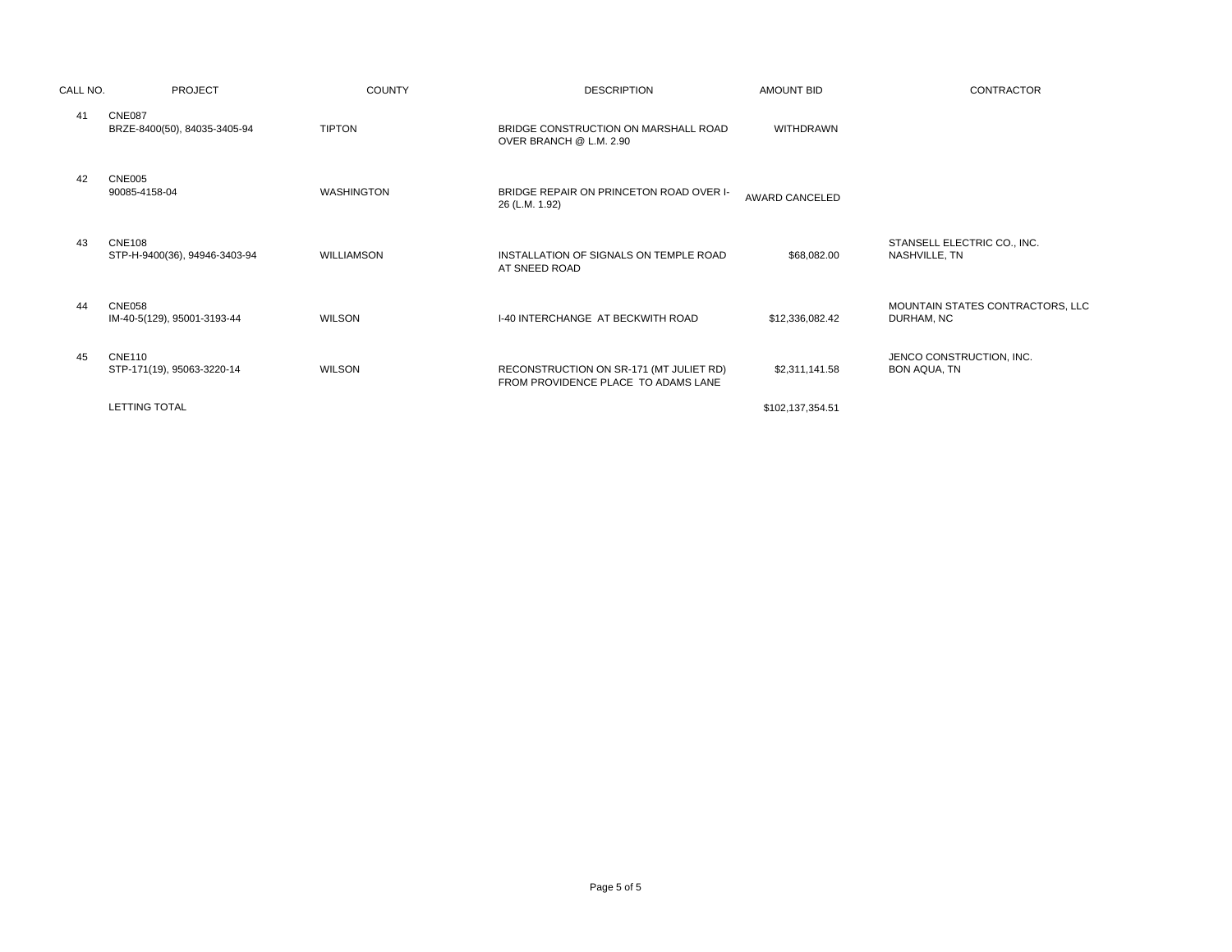| CALL NO. | <b>PROJECT</b>                                 | <b>COUNTY</b>     | <b>DESCRIPTION</b>                                                             | <b>AMOUNT BID</b> | <b>CONTRACTOR</b>                              |
|----------|------------------------------------------------|-------------------|--------------------------------------------------------------------------------|-------------------|------------------------------------------------|
| 41       | <b>CNE087</b><br>BRZE-8400(50), 84035-3405-94  | <b>TIPTON</b>     | BRIDGE CONSTRUCTION ON MARSHALL ROAD<br>OVER BRANCH @ L.M. 2.90                | <b>WITHDRAWN</b>  |                                                |
| 42       | <b>CNE005</b><br>90085-4158-04                 | <b>WASHINGTON</b> | BRIDGE REPAIR ON PRINCETON ROAD OVER I-<br>26 (L.M. 1.92)                      | AWARD CANCELED    |                                                |
| 43       | <b>CNE108</b><br>STP-H-9400(36), 94946-3403-94 | WILLIAMSON        | INSTALLATION OF SIGNALS ON TEMPLE ROAD<br>AT SNEED ROAD                        | \$68,082.00       | STANSELL ELECTRIC CO., INC.<br>NASHVILLE, TN   |
| 44       | <b>CNE058</b><br>IM-40-5(129), 95001-3193-44   | <b>WILSON</b>     | <b>I-40 INTERCHANGE AT BECKWITH ROAD</b>                                       | \$12,336,082.42   | MOUNTAIN STATES CONTRACTORS, LLC<br>DURHAM, NC |
| 45       | <b>CNE110</b><br>STP-171(19), 95063-3220-14    | <b>WILSON</b>     | RECONSTRUCTION ON SR-171 (MT JULIET RD)<br>FROM PROVIDENCE PLACE TO ADAMS LANE | \$2,311,141.58    | JENCO CONSTRUCTION, INC.<br>BON AQUA, TN       |
|          | <b>LETTING TOTAL</b>                           |                   |                                                                                | \$102,137,354.51  |                                                |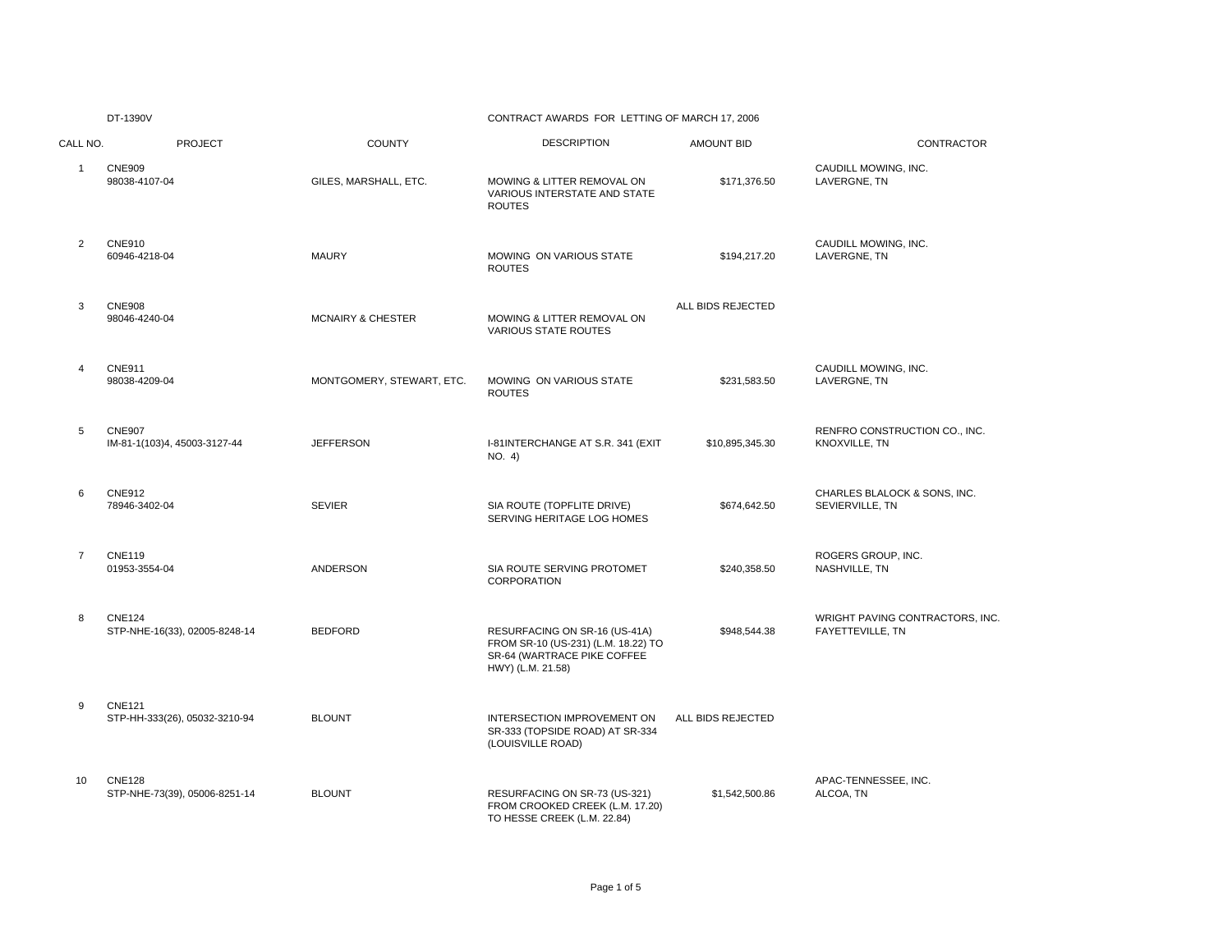## CONTRACT AWARDS FOR LETTING OF MARCH 17, 2006

| CALL NO.       | <b>PROJECT</b>                                 | <b>COUNTY</b>                | <b>DESCRIPTION</b>                                                                                                       | <b>AMOUNT BID</b> | CONTRACTOR                                          |
|----------------|------------------------------------------------|------------------------------|--------------------------------------------------------------------------------------------------------------------------|-------------------|-----------------------------------------------------|
| $\mathbf{1}$   | <b>CNE909</b><br>98038-4107-04                 | GILES, MARSHALL, ETC.        | MOWING & LITTER REMOVAL ON<br>VARIOUS INTERSTATE AND STATE<br><b>ROUTES</b>                                              | \$171,376.50      | CAUDILL MOWING, INC.<br>LAVERGNE, TN                |
| $\overline{2}$ | <b>CNE910</b><br>60946-4218-04                 | <b>MAURY</b>                 | MOWING ON VARIOUS STATE<br><b>ROUTES</b>                                                                                 | \$194,217.20      | CAUDILL MOWING, INC.<br>LAVERGNE, TN                |
| 3              | <b>CNE908</b><br>98046-4240-04                 | <b>MCNAIRY &amp; CHESTER</b> | MOWING & LITTER REMOVAL ON<br><b>VARIOUS STATE ROUTES</b>                                                                | ALL BIDS REJECTED |                                                     |
| 4              | <b>CNE911</b><br>98038-4209-04                 | MONTGOMERY, STEWART, ETC.    | MOWING ON VARIOUS STATE<br><b>ROUTES</b>                                                                                 | \$231,583.50      | CAUDILL MOWING, INC.<br>LAVERGNE, TN                |
| 5              | <b>CNE907</b><br>IM-81-1(103)4, 45003-3127-44  | <b>JEFFERSON</b>             | I-81INTERCHANGE AT S.R. 341 (EXIT<br>NO. 4)                                                                              | \$10,895,345.30   | RENFRO CONSTRUCTION CO., INC.<br>KNOXVILLE, TN      |
| 6              | <b>CNE912</b><br>78946-3402-04                 | <b>SEVIER</b>                | SIA ROUTE (TOPFLITE DRIVE)<br>SERVING HERITAGE LOG HOMES                                                                 | \$674,642.50      | CHARLES BLALOCK & SONS, INC.<br>SEVIERVILLE, TN     |
| $\overline{7}$ | <b>CNE119</b><br>01953-3554-04                 | ANDERSON                     | SIA ROUTE SERVING PROTOMET<br><b>CORPORATION</b>                                                                         | \$240,358.50      | ROGERS GROUP, INC.<br>NASHVILLE, TN                 |
| 8              | <b>CNE124</b><br>STP-NHE-16(33), 02005-8248-14 | <b>BEDFORD</b>               | RESURFACING ON SR-16 (US-41A)<br>FROM SR-10 (US-231) (L.M. 18.22) TO<br>SR-64 (WARTRACE PIKE COFFEE<br>HWY) (L.M. 21.58) | \$948,544.38      | WRIGHT PAVING CONTRACTORS. INC.<br>FAYETTEVILLE, TN |
| 9              | <b>CNE121</b><br>STP-HH-333(26), 05032-3210-94 | <b>BLOUNT</b>                | INTERSECTION IMPROVEMENT ON<br>SR-333 (TOPSIDE ROAD) AT SR-334<br>(LOUISVILLE ROAD)                                      | ALL BIDS REJECTED |                                                     |
| 10             | <b>CNE128</b><br>STP-NHE-73(39), 05006-8251-14 | <b>BLOUNT</b>                | RESURFACING ON SR-73 (US-321)<br>FROM CROOKED CREEK (L.M. 17.20)<br>TO HESSE CREEK (L.M. 22.84)                          | \$1,542,500.86    | APAC-TENNESSEE, INC.<br>ALCOA, TN                   |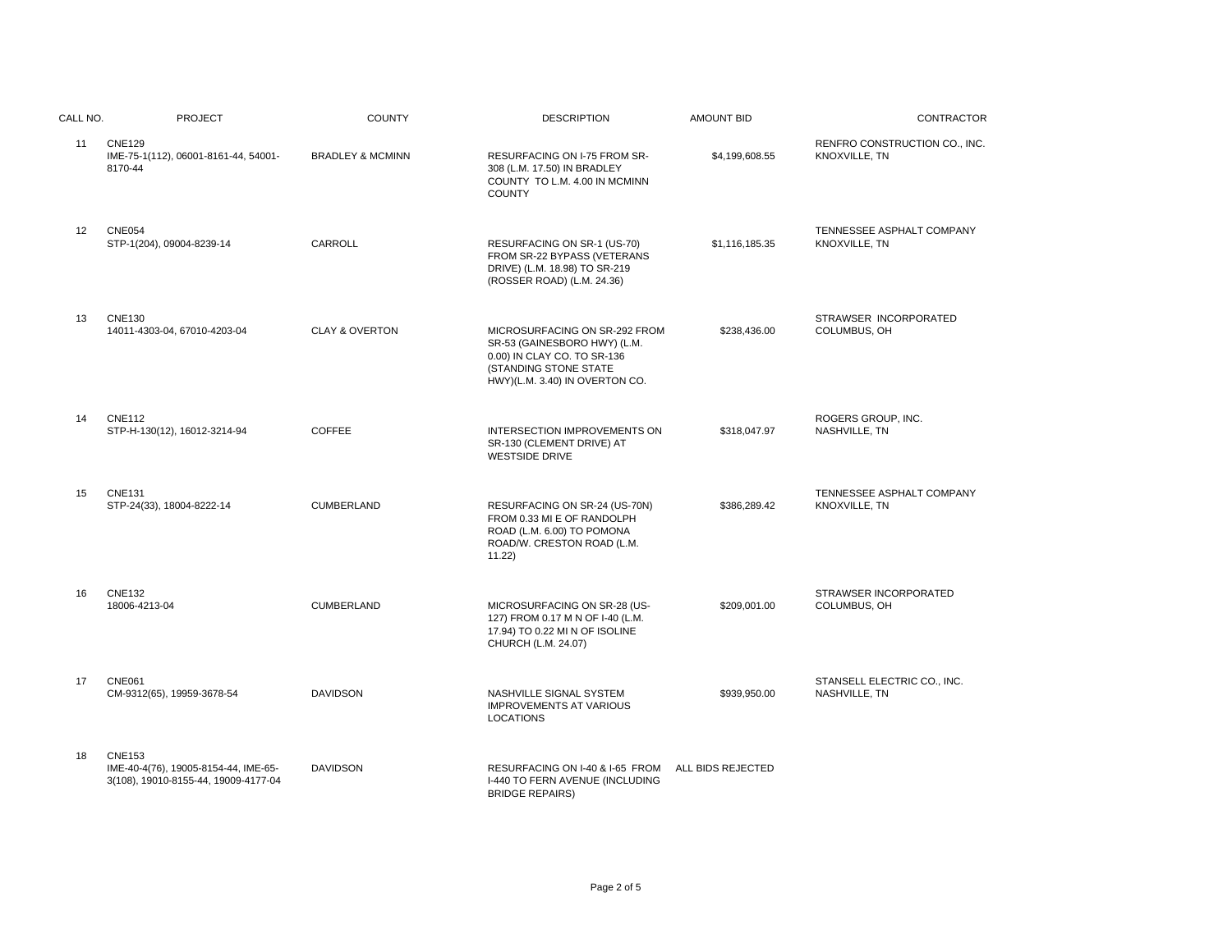| CALL NO. | <b>PROJECT</b>                                                                                | <b>COUNTY</b>               | <b>DESCRIPTION</b>                                                                                                                                      | <b>AMOUNT BID</b> | <b>CONTRACTOR</b>                              |
|----------|-----------------------------------------------------------------------------------------------|-----------------------------|---------------------------------------------------------------------------------------------------------------------------------------------------------|-------------------|------------------------------------------------|
| 11       | <b>CNE129</b><br>IME-75-1(112), 06001-8161-44, 54001-<br>8170-44                              | <b>BRADLEY &amp; MCMINN</b> | RESURFACING ON I-75 FROM SR-<br>308 (L.M. 17.50) IN BRADLEY<br>COUNTY TO L.M. 4.00 IN MCMINN<br><b>COUNTY</b>                                           | \$4,199,608.55    | RENFRO CONSTRUCTION CO., INC.<br>KNOXVILLE, TN |
| 12       | <b>CNE054</b><br>STP-1(204), 09004-8239-14                                                    | CARROLL                     | RESURFACING ON SR-1 (US-70)<br>FROM SR-22 BYPASS (VETERANS<br>DRIVE) (L.M. 18.98) TO SR-219<br>(ROSSER ROAD) (L.M. 24.36)                               | \$1,116,185.35    | TENNESSEE ASPHALT COMPANY<br>KNOXVILLE, TN     |
| 13       | <b>CNE130</b><br>14011-4303-04, 67010-4203-04                                                 | <b>CLAY &amp; OVERTON</b>   | MICROSURFACING ON SR-292 FROM<br>SR-53 (GAINESBORO HWY) (L.M.<br>0.00) IN CLAY CO. TO SR-136<br>(STANDING STONE STATE<br>HWY)(L.M. 3.40) IN OVERTON CO. | \$238,436.00      | STRAWSER INCORPORATED<br>COLUMBUS, OH          |
| 14       | <b>CNE112</b><br>STP-H-130(12), 16012-3214-94                                                 | COFFEE                      | INTERSECTION IMPROVEMENTS ON<br>SR-130 (CLEMENT DRIVE) AT<br><b>WESTSIDE DRIVE</b>                                                                      | \$318,047.97      | ROGERS GROUP, INC.<br>NASHVILLE, TN            |
| 15       | <b>CNE131</b><br>STP-24(33), 18004-8222-14                                                    | <b>CUMBERLAND</b>           | RESURFACING ON SR-24 (US-70N)<br>FROM 0.33 MI E OF RANDOLPH<br>ROAD (L.M. 6.00) TO POMONA<br>ROAD/W. CRESTON ROAD (L.M.<br>11.22                        | \$386,289.42      | TENNESSEE ASPHALT COMPANY<br>KNOXVILLE, TN     |
| 16       | <b>CNE132</b><br>18006-4213-04                                                                | CUMBERLAND                  | MICROSURFACING ON SR-28 (US-<br>127) FROM 0.17 M N OF I-40 (L.M.<br>17.94) TO 0.22 MI N OF ISOLINE<br>CHURCH (L.M. 24.07)                               | \$209,001.00      | STRAWSER INCORPORATED<br>COLUMBUS, OH          |
| 17       | <b>CNE061</b><br>CM-9312(65), 19959-3678-54                                                   | <b>DAVIDSON</b>             | NASHVILLE SIGNAL SYSTEM<br><b>IMPROVEMENTS AT VARIOUS</b><br><b>LOCATIONS</b>                                                                           | \$939,950.00      | STANSELL ELECTRIC CO., INC.<br>NASHVILLE, TN   |
| 18       | <b>CNE153</b><br>IME-40-4(76), 19005-8154-44, IME-65-<br>3(108), 19010-8155-44, 19009-4177-04 | <b>DAVIDSON</b>             | RESURFACING ON I-40 & I-65 FROM<br>I-440 TO FERN AVENUE (INCLUDING<br><b>BRIDGE REPAIRS)</b>                                                            | ALL BIDS REJECTED |                                                |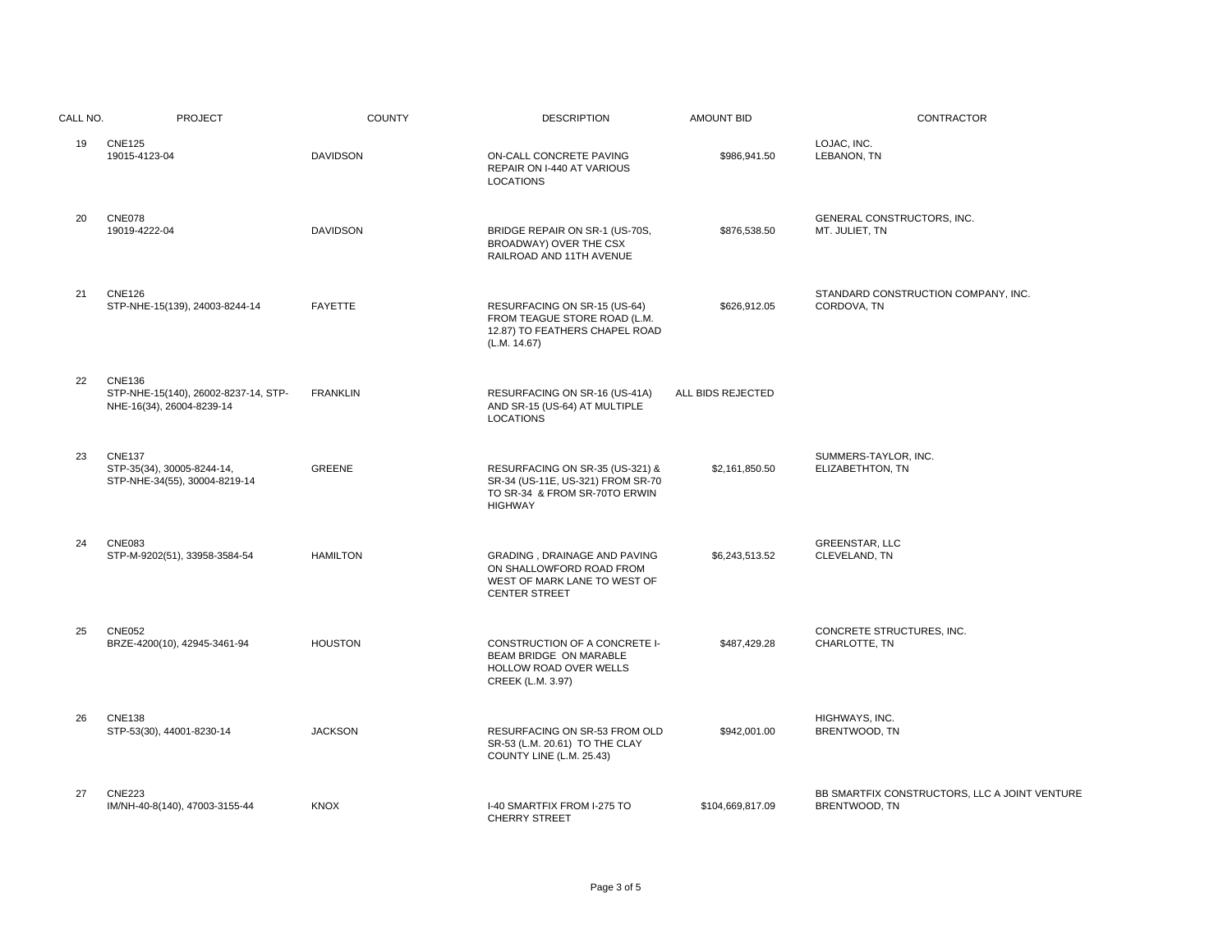| CALL NO. | <b>PROJECT</b>                                                               | <b>COUNTY</b>   | <b>DESCRIPTION</b>                                                                                                      | <b>AMOUNT BID</b> | CONTRACTOR                                                     |
|----------|------------------------------------------------------------------------------|-----------------|-------------------------------------------------------------------------------------------------------------------------|-------------------|----------------------------------------------------------------|
| 19       | <b>CNE125</b><br>19015-4123-04                                               | <b>DAVIDSON</b> | ON-CALL CONCRETE PAVING<br>REPAIR ON I-440 AT VARIOUS<br><b>LOCATIONS</b>                                               | \$986,941.50      | LOJAC, INC.<br>LEBANON, TN                                     |
| 20       | <b>CNE078</b><br>19019-4222-04                                               | <b>DAVIDSON</b> | BRIDGE REPAIR ON SR-1 (US-70S,<br>BROADWAY) OVER THE CSX<br>RAILROAD AND 11TH AVENUE                                    | \$876,538.50      | GENERAL CONSTRUCTORS, INC.<br>MT. JULIET, TN                   |
| 21       | <b>CNE126</b><br>STP-NHE-15(139), 24003-8244-14                              | <b>FAYETTE</b>  | RESURFACING ON SR-15 (US-64)<br>FROM TEAGUE STORE ROAD (L.M.<br>12.87) TO FEATHERS CHAPEL ROAD<br>(L.M. 14.67)          | \$626,912.05      | STANDARD CONSTRUCTION COMPANY, INC.<br>CORDOVA, TN             |
| 22       | CNE136<br>STP-NHE-15(140), 26002-8237-14, STP-<br>NHE-16(34), 26004-8239-14  | <b>FRANKLIN</b> | RESURFACING ON SR-16 (US-41A)<br>AND SR-15 (US-64) AT MULTIPLE<br><b>LOCATIONS</b>                                      | ALL BIDS REJECTED |                                                                |
| 23       | <b>CNE137</b><br>STP-35(34), 30005-8244-14,<br>STP-NHE-34(55), 30004-8219-14 | <b>GREENE</b>   | RESURFACING ON SR-35 (US-321) &<br>SR-34 (US-11E, US-321) FROM SR-70<br>TO SR-34 & FROM SR-70TO ERWIN<br><b>HIGHWAY</b> | \$2,161,850.50    | SUMMERS-TAYLOR, INC.<br>ELIZABETHTON, TN                       |
| 24       | <b>CNE083</b><br>STP-M-9202(51), 33958-3584-54                               | <b>HAMILTON</b> | GRADING, DRAINAGE AND PAVING<br>ON SHALLOWFORD ROAD FROM<br>WEST OF MARK LANE TO WEST OF<br><b>CENTER STREET</b>        | \$6,243,513.52    | <b>GREENSTAR, LLC</b><br>CLEVELAND, TN                         |
| 25       | <b>CNE052</b><br>BRZE-4200(10), 42945-3461-94                                | <b>HOUSTON</b>  | CONSTRUCTION OF A CONCRETE I-<br>BEAM BRIDGE ON MARABLE<br>HOLLOW ROAD OVER WELLS<br>CREEK (L.M. 3.97)                  | \$487,429.28      | CONCRETE STRUCTURES. INC.<br>CHARLOTTE, TN                     |
| 26       | <b>CNE138</b><br>STP-53(30), 44001-8230-14                                   | <b>JACKSON</b>  | RESURFACING ON SR-53 FROM OLD<br>SR-53 (L.M. 20.61) TO THE CLAY<br>COUNTY LINE (L.M. 25.43)                             | \$942,001.00      | HIGHWAYS, INC.<br>BRENTWOOD, TN                                |
| 27       | <b>CNE223</b><br>IM/NH-40-8(140), 47003-3155-44                              | <b>KNOX</b>     | I-40 SMARTFIX FROM I-275 TO<br><b>CHERRY STREET</b>                                                                     | \$104,669,817.09  | BB SMARTFIX CONSTRUCTORS, LLC A JOINT VENTURE<br>BRENTWOOD, TN |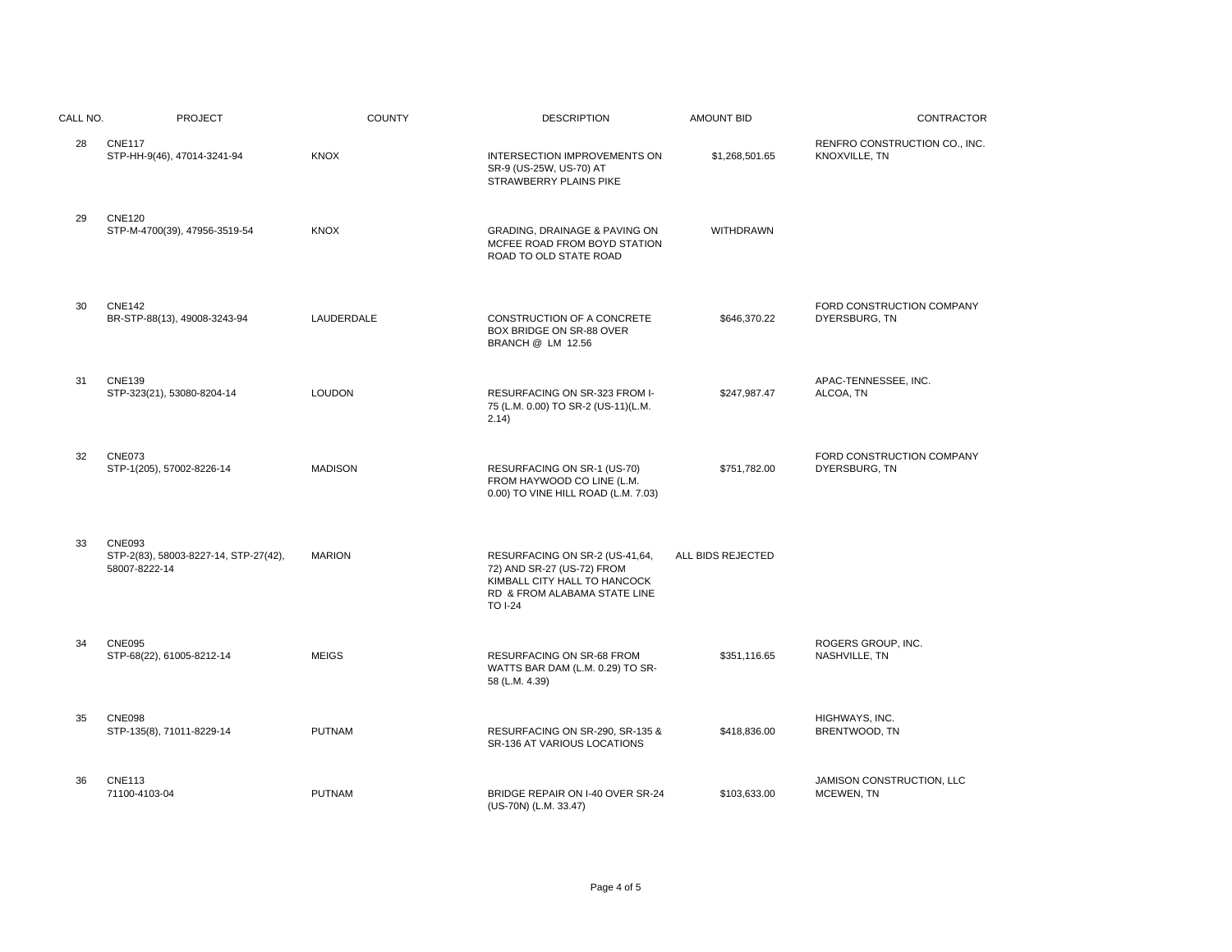| CALL NO. | <b>PROJECT</b>                                                          | <b>COUNTY</b>  | <b>DESCRIPTION</b>                                                                                                                             | <b>AMOUNT BID</b> | CONTRACTOR                                     |
|----------|-------------------------------------------------------------------------|----------------|------------------------------------------------------------------------------------------------------------------------------------------------|-------------------|------------------------------------------------|
| 28       | <b>CNE117</b><br>STP-HH-9(46), 47014-3241-94                            | <b>KNOX</b>    | INTERSECTION IMPROVEMENTS ON<br>SR-9 (US-25W, US-70) AT<br>STRAWBERRY PLAINS PIKE                                                              | \$1,268,501.65    | RENFRO CONSTRUCTION CO., INC.<br>KNOXVILLE, TN |
| 29       | <b>CNE120</b><br>STP-M-4700(39), 47956-3519-54                          | <b>KNOX</b>    | GRADING, DRAINAGE & PAVING ON<br>MCFEE ROAD FROM BOYD STATION<br>ROAD TO OLD STATE ROAD                                                        | <b>WITHDRAWN</b>  |                                                |
| 30       | <b>CNE142</b><br>BR-STP-88(13), 49008-3243-94                           | LAUDERDALE     | CONSTRUCTION OF A CONCRETE<br>BOX BRIDGE ON SR-88 OVER<br><b>BRANCH @ LM 12.56</b>                                                             | \$646,370.22      | FORD CONSTRUCTION COMPANY<br>DYERSBURG, TN     |
| 31       | <b>CNE139</b><br>STP-323(21), 53080-8204-14                             | <b>LOUDON</b>  | RESURFACING ON SR-323 FROM I-<br>75 (L.M. 0.00) TO SR-2 (US-11)(L.M.<br>2.14)                                                                  | \$247,987.47      | APAC-TENNESSEE, INC.<br>ALCOA, TN              |
| 32       | <b>CNE073</b><br>STP-1(205), 57002-8226-14                              | <b>MADISON</b> | RESURFACING ON SR-1 (US-70)<br>FROM HAYWOOD CO LINE (L.M.<br>0.00) TO VINE HILL ROAD (L.M. 7.03)                                               | \$751,782.00      | FORD CONSTRUCTION COMPANY<br>DYERSBURG, TN     |
| 33       | <b>CNE093</b><br>STP-2(83), 58003-8227-14, STP-27(42),<br>58007-8222-14 | <b>MARION</b>  | RESURFACING ON SR-2 (US-41,64,<br>72) AND SR-27 (US-72) FROM<br>KIMBALL CITY HALL TO HANCOCK<br>RD & FROM ALABAMA STATE LINE<br><b>TO I-24</b> | ALL BIDS REJECTED |                                                |
| 34       | <b>CNE095</b><br>STP-68(22), 61005-8212-14                              | <b>MEIGS</b>   | RESURFACING ON SR-68 FROM<br>WATTS BAR DAM (L.M. 0.29) TO SR-<br>58 (L.M. 4.39)                                                                | \$351,116.65      | ROGERS GROUP, INC.<br>NASHVILLE, TN            |
| 35       | <b>CNE098</b><br>STP-135(8), 71011-8229-14                              | <b>PUTNAM</b>  | RESURFACING ON SR-290, SR-135 &<br>SR-136 AT VARIOUS LOCATIONS                                                                                 | \$418,836.00      | HIGHWAYS, INC.<br>BRENTWOOD, TN                |
| 36       | <b>CNE113</b><br>71100-4103-04                                          | <b>PUTNAM</b>  | BRIDGE REPAIR ON I-40 OVER SR-24<br>(US-70N) (L.M. 33.47)                                                                                      | \$103,633.00      | JAMISON CONSTRUCTION, LLC<br>MCEWEN, TN        |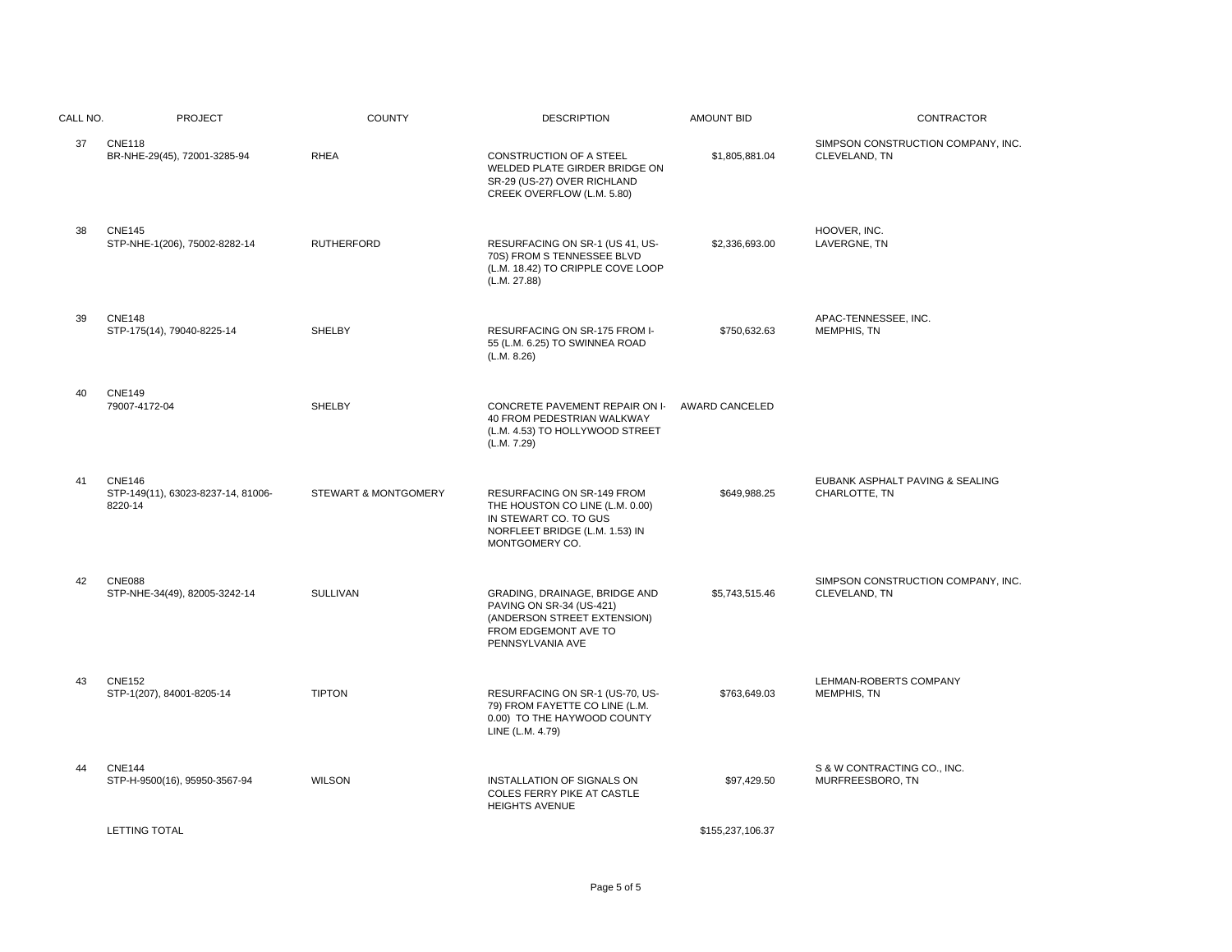| CALL NO. | <b>PROJECT</b>                                                 | <b>COUNTY</b>        | <b>DESCRIPTION</b>                                                                                                                         | <b>AMOUNT BID</b> | CONTRACTOR                                          |
|----------|----------------------------------------------------------------|----------------------|--------------------------------------------------------------------------------------------------------------------------------------------|-------------------|-----------------------------------------------------|
| 37       | <b>CNE118</b><br>BR-NHE-29(45), 72001-3285-94                  | <b>RHEA</b>          | CONSTRUCTION OF A STEEL<br>WELDED PLATE GIRDER BRIDGE ON<br>SR-29 (US-27) OVER RICHLAND<br>CREEK OVERFLOW (L.M. 5.80)                      | \$1,805,881.04    | SIMPSON CONSTRUCTION COMPANY, INC.<br>CLEVELAND, TN |
| 38       | <b>CNE145</b><br>STP-NHE-1(206), 75002-8282-14                 | <b>RUTHERFORD</b>    | RESURFACING ON SR-1 (US 41, US-<br>70S) FROM S TENNESSEE BLVD<br>(L.M. 18.42) TO CRIPPLE COVE LOOP<br>(L.M. 27.88)                         | \$2,336,693.00    | HOOVER, INC.<br>LAVERGNE, TN                        |
| 39       | <b>CNE148</b><br>STP-175(14), 79040-8225-14                    | <b>SHELBY</b>        | RESURFACING ON SR-175 FROM I-<br>55 (L.M. 6.25) TO SWINNEA ROAD<br>(L.M. 8.26)                                                             | \$750,632.63      | APAC-TENNESSEE, INC.<br>MEMPHIS, TN                 |
| 40       | <b>CNE149</b><br>79007-4172-04                                 | SHELBY               | CONCRETE PAVEMENT REPAIR ON I-<br>40 FROM PEDESTRIAN WALKWAY<br>(L.M. 4.53) TO HOLLYWOOD STREET<br>(L.M. 7.29)                             | AWARD CANCELED    |                                                     |
| 41       | <b>CNE146</b><br>STP-149(11), 63023-8237-14, 81006-<br>8220-14 | STEWART & MONTGOMERY | RESURFACING ON SR-149 FROM<br>THE HOUSTON CO LINE (L.M. 0.00)<br>IN STEWART CO. TO GUS<br>NORFLEET BRIDGE (L.M. 1.53) IN<br>MONTGOMERY CO. | \$649,988.25      | EUBANK ASPHALT PAVING & SEALING<br>CHARLOTTE, TN    |
| 42       | <b>CNE088</b><br>STP-NHE-34(49), 82005-3242-14                 | <b>SULLIVAN</b>      | GRADING, DRAINAGE, BRIDGE AND<br>PAVING ON SR-34 (US-421)<br>(ANDERSON STREET EXTENSION)<br>FROM EDGEMONT AVE TO<br>PENNSYLVANIA AVE       | \$5,743,515.46    | SIMPSON CONSTRUCTION COMPANY, INC.<br>CLEVELAND, TN |
| 43       | <b>CNE152</b><br>STP-1(207), 84001-8205-14                     | <b>TIPTON</b>        | RESURFACING ON SR-1 (US-70, US-<br>79) FROM FAYETTE CO LINE (L.M.<br>0.00) TO THE HAYWOOD COUNTY<br>LINE (L.M. 4.79)                       | \$763,649.03      | LEHMAN-ROBERTS COMPANY<br><b>MEMPHIS, TN</b>        |
| 44       | <b>CNE144</b><br>STP-H-9500(16), 95950-3567-94                 | <b>WILSON</b>        | INSTALLATION OF SIGNALS ON<br>COLES FERRY PIKE AT CASTLE<br><b>HEIGHTS AVENUE</b>                                                          | \$97,429.50       | S & W CONTRACTING CO., INC.<br>MURFREESBORO, TN     |
|          | <b>LETTING TOTAL</b>                                           |                      |                                                                                                                                            | \$155,237,106.37  |                                                     |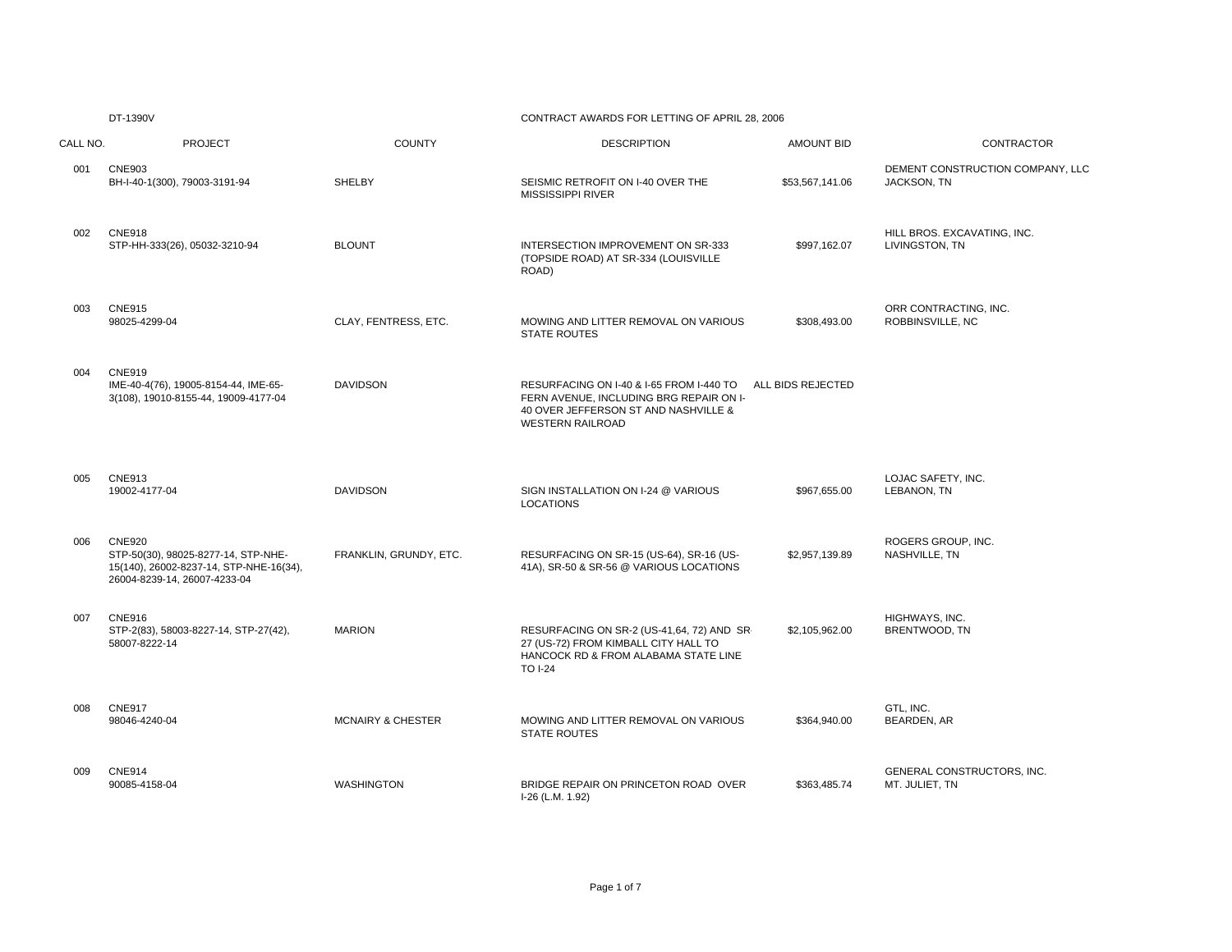# CONTRACT AWARDS FOR LETTING OF APRIL 28, 2006

| CALL NO. | <b>PROJECT</b>                                                                                                                  | <b>COUNTY</b>                | <b>DESCRIPTION</b>                                                                                                                                     | <b>AMOUNT BID</b> | <b>CONTRACTOR</b>                               |
|----------|---------------------------------------------------------------------------------------------------------------------------------|------------------------------|--------------------------------------------------------------------------------------------------------------------------------------------------------|-------------------|-------------------------------------------------|
| 001      | <b>CNE903</b><br>BH-I-40-1(300), 79003-3191-94                                                                                  | <b>SHELBY</b>                | SEISMIC RETROFIT ON I-40 OVER THE<br><b>MISSISSIPPI RIVER</b>                                                                                          | \$53,567,141.06   | DEMENT CONSTRUCTION COMPANY, LLC<br>JACKSON, TN |
| 002      | <b>CNE918</b><br>STP-HH-333(26), 05032-3210-94                                                                                  | <b>BLOUNT</b>                | INTERSECTION IMPROVEMENT ON SR-333<br>(TOPSIDE ROAD) AT SR-334 (LOUISVILLE<br>ROAD)                                                                    | \$997.162.07      | HILL BROS. EXCAVATING, INC.<br>LIVINGSTON, TN   |
| 003      | <b>CNE915</b><br>98025-4299-04                                                                                                  | CLAY, FENTRESS, ETC.         | MOWING AND LITTER REMOVAL ON VARIOUS<br><b>STATE ROUTES</b>                                                                                            | \$308,493.00      | ORR CONTRACTING, INC.<br>ROBBINSVILLE, NC       |
| 004      | <b>CNE919</b><br>IME-40-4(76), 19005-8154-44, IME-65-<br>3(108), 19010-8155-44, 19009-4177-04                                   | <b>DAVIDSON</b>              | RESURFACING ON I-40 & I-65 FROM I-440 TO<br>FERN AVENUE. INCLUDING BRG REPAIR ON I-<br>40 OVER JEFFERSON ST AND NASHVILLE &<br><b>WESTERN RAILROAD</b> | ALL BIDS REJECTED |                                                 |
| 005      | <b>CNE913</b><br>19002-4177-04                                                                                                  | <b>DAVIDSON</b>              | SIGN INSTALLATION ON I-24 @ VARIOUS<br><b>LOCATIONS</b>                                                                                                | \$967,655.00      | LOJAC SAFETY, INC.<br>LEBANON, TN               |
| 006      | <b>CNE920</b><br>STP-50(30), 98025-8277-14, STP-NHE-<br>15(140), 26002-8237-14, STP-NHE-16(34),<br>26004-8239-14, 26007-4233-04 | FRANKLIN, GRUNDY, ETC.       | RESURFACING ON SR-15 (US-64), SR-16 (US-<br>41A), SR-50 & SR-56 @ VARIOUS LOCATIONS                                                                    | \$2,957,139.89    | ROGERS GROUP, INC.<br>NASHVILLE, TN             |
| 007      | <b>CNE916</b><br>STP-2(83), 58003-8227-14, STP-27(42),<br>58007-8222-14                                                         | <b>MARION</b>                | RESURFACING ON SR-2 (US-41,64, 72) AND SR-<br>27 (US-72) FROM KIMBALL CITY HALL TO<br>HANCOCK RD & FROM ALABAMA STATE LINE<br><b>TO I-24</b>           | \$2,105,962.00    | HIGHWAYS, INC.<br>BRENTWOOD, TN                 |
| 008      | <b>CNE917</b><br>98046-4240-04                                                                                                  | <b>MCNAIRY &amp; CHESTER</b> | MOWING AND LITTER REMOVAL ON VARIOUS<br><b>STATE ROUTES</b>                                                                                            | \$364,940.00      | GTL, INC.<br>BEARDEN, AR                        |
| 009      | <b>CNE914</b><br>90085-4158-04                                                                                                  | <b>WASHINGTON</b>            | BRIDGE REPAIR ON PRINCETON ROAD OVER<br>I-26 (L.M. 1.92)                                                                                               | \$363,485.74      | GENERAL CONSTRUCTORS, INC.<br>MT. JULIET, TN    |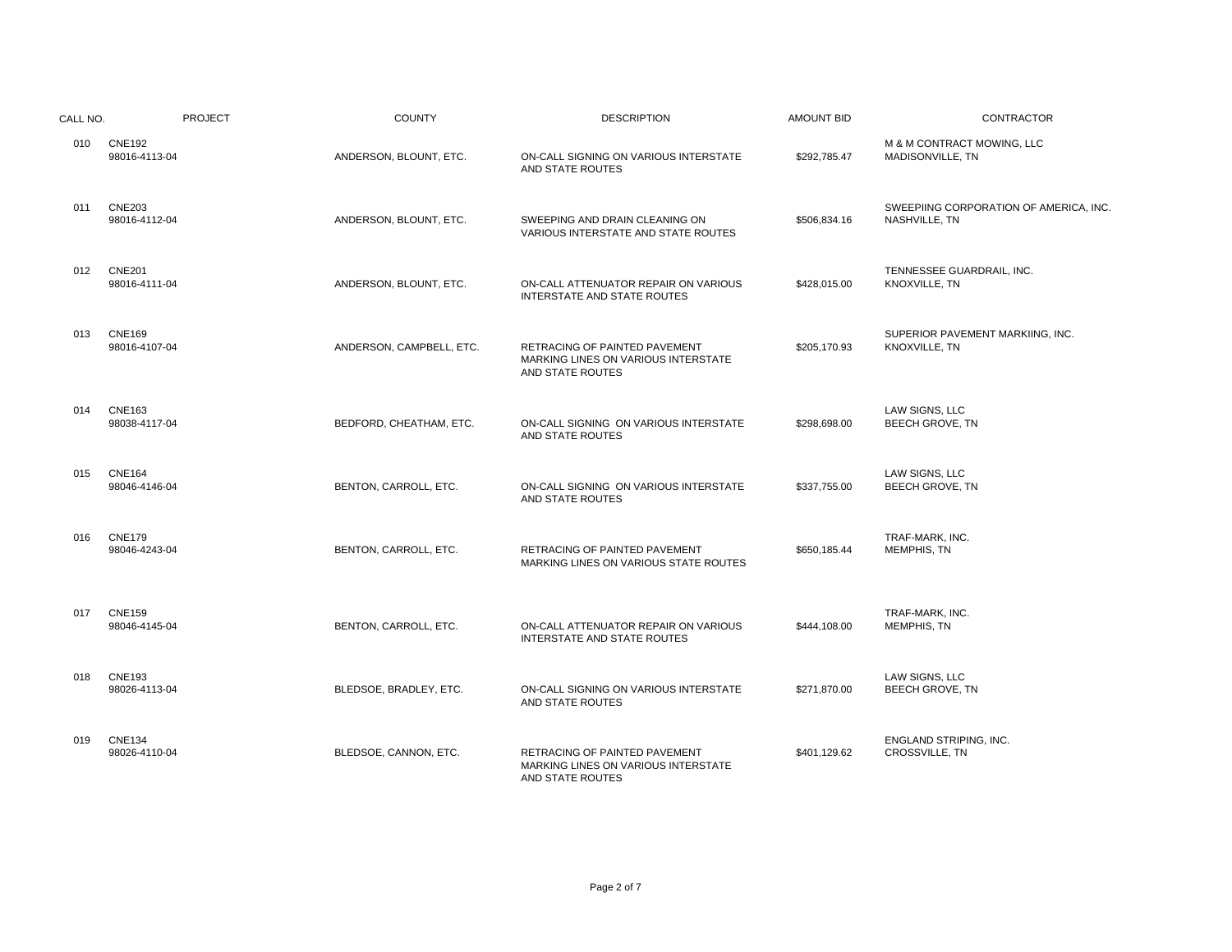| CALL NO. | <b>PROJECT</b>                 | <b>COUNTY</b>            | <b>DESCRIPTION</b>                                                                       | <b>AMOUNT BID</b> | <b>CONTRACTOR</b>                                       |
|----------|--------------------------------|--------------------------|------------------------------------------------------------------------------------------|-------------------|---------------------------------------------------------|
| 010      | <b>CNE192</b><br>98016-4113-04 | ANDERSON, BLOUNT, ETC.   | ON-CALL SIGNING ON VARIOUS INTERSTATE<br>AND STATE ROUTES                                | \$292,785.47      | M & M CONTRACT MOWING, LLC<br>MADISONVILLE, TN          |
| 011      | <b>CNE203</b><br>98016-4112-04 | ANDERSON, BLOUNT, ETC.   | SWEEPING AND DRAIN CLEANING ON<br>VARIOUS INTERSTATE AND STATE ROUTES                    | \$506,834.16      | SWEEPIING CORPORATION OF AMERICA, INC.<br>NASHVILLE, TN |
| 012      | <b>CNE201</b><br>98016-4111-04 | ANDERSON, BLOUNT, ETC.   | ON-CALL ATTENUATOR REPAIR ON VARIOUS<br><b>INTERSTATE AND STATE ROUTES</b>               | \$428,015.00      | TENNESSEE GUARDRAIL, INC.<br>KNOXVILLE, TN              |
| 013      | <b>CNE169</b><br>98016-4107-04 | ANDERSON, CAMPBELL, ETC. | RETRACING OF PAINTED PAVEMENT<br>MARKING LINES ON VARIOUS INTERSTATE<br>AND STATE ROUTES | \$205,170.93      | SUPERIOR PAVEMENT MARKIING, INC.<br>KNOXVILLE, TN       |
| 014      | <b>CNE163</b><br>98038-4117-04 | BEDFORD, CHEATHAM, ETC.  | ON-CALL SIGNING ON VARIOUS INTERSTATE<br>AND STATE ROUTES                                | \$298,698.00      | LAW SIGNS, LLC<br><b>BEECH GROVE, TN</b>                |
| 015      | <b>CNE164</b><br>98046-4146-04 | BENTON, CARROLL, ETC.    | ON-CALL SIGNING ON VARIOUS INTERSTATE<br>AND STATE ROUTES                                | \$337,755.00      | LAW SIGNS, LLC<br><b>BEECH GROVE, TN</b>                |
| 016      | <b>CNE179</b><br>98046-4243-04 | BENTON, CARROLL, ETC.    | <b>RETRACING OF PAINTED PAVEMENT</b><br>MARKING LINES ON VARIOUS STATE ROUTES            | \$650,185.44      | TRAF-MARK, INC.<br>MEMPHIS, TN                          |
| 017      | <b>CNE159</b><br>98046-4145-04 | BENTON, CARROLL, ETC.    | ON-CALL ATTENUATOR REPAIR ON VARIOUS<br>INTERSTATE AND STATE ROUTES                      | \$444,108.00      | TRAF-MARK, INC.<br>MEMPHIS, TN                          |
| 018      | <b>CNE193</b><br>98026-4113-04 | BLEDSOE, BRADLEY, ETC.   | ON-CALL SIGNING ON VARIOUS INTERSTATE<br>AND STATE ROUTES                                | \$271,870.00      | LAW SIGNS, LLC<br><b>BEECH GROVE, TN</b>                |
| 019      | <b>CNE134</b><br>98026-4110-04 | BLEDSOE, CANNON, ETC.    | RETRACING OF PAINTED PAVEMENT<br>MARKING LINES ON VARIOUS INTERSTATE<br>AND STATE ROUTES | \$401,129.62      | ENGLAND STRIPING, INC.<br>CROSSVILLE, TN                |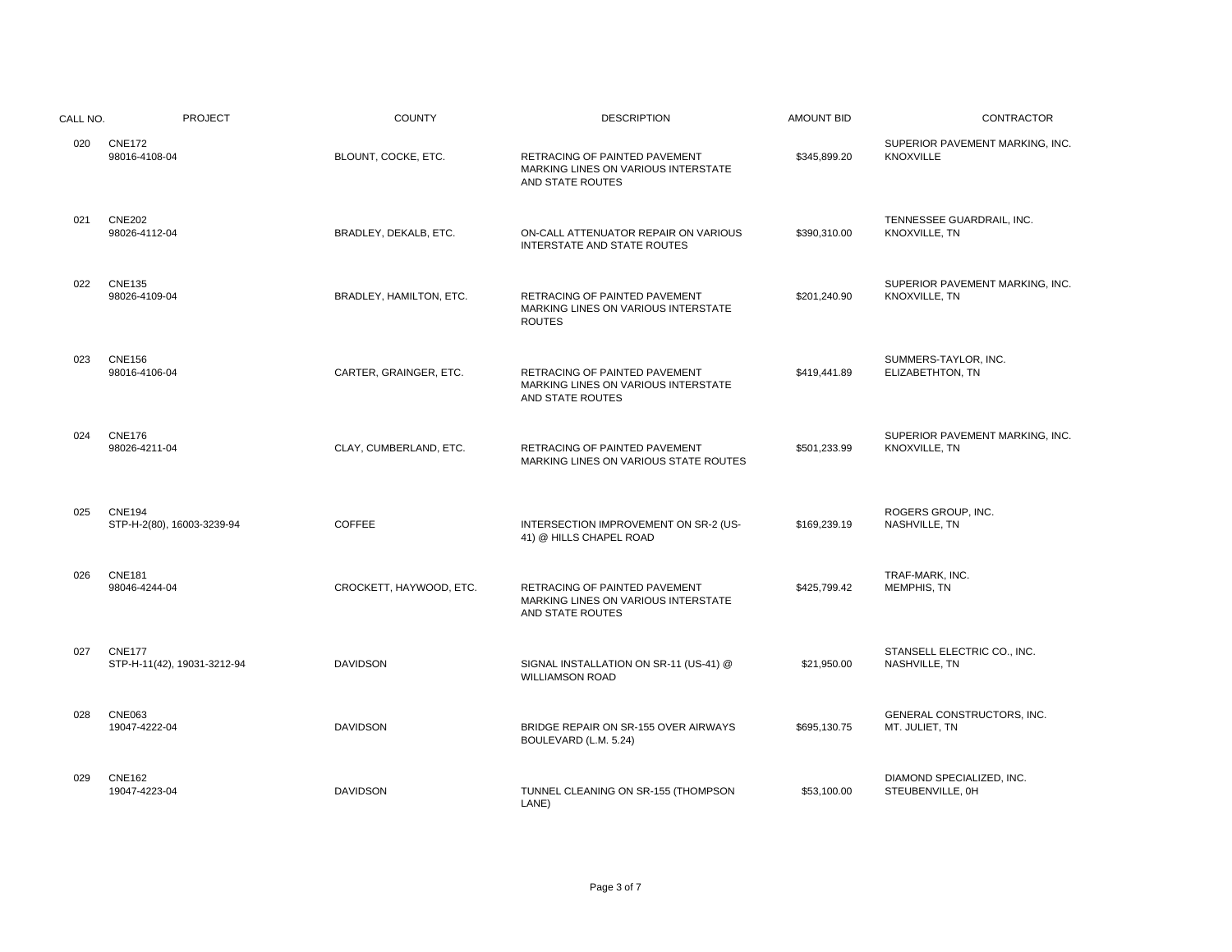| CALL NO. | <b>PROJECT</b>                               | <b>COUNTY</b>           | <b>DESCRIPTION</b>                                                                       | <b>AMOUNT BID</b> | <b>CONTRACTOR</b>                                   |
|----------|----------------------------------------------|-------------------------|------------------------------------------------------------------------------------------|-------------------|-----------------------------------------------------|
| 020      | <b>CNE172</b><br>98016-4108-04               | BLOUNT, COCKE, ETC.     | RETRACING OF PAINTED PAVEMENT<br>MARKING LINES ON VARIOUS INTERSTATE<br>AND STATE ROUTES | \$345,899.20      | SUPERIOR PAVEMENT MARKING, INC.<br><b>KNOXVILLE</b> |
| 021      | <b>CNE202</b><br>98026-4112-04               | BRADLEY, DEKALB, ETC.   | ON-CALL ATTENUATOR REPAIR ON VARIOUS<br>INTERSTATE AND STATE ROUTES                      | \$390,310.00      | TENNESSEE GUARDRAIL, INC.<br>KNOXVILLE, TN          |
| 022      | <b>CNE135</b><br>98026-4109-04               | BRADLEY, HAMILTON, ETC. | RETRACING OF PAINTED PAVEMENT<br>MARKING LINES ON VARIOUS INTERSTATE<br><b>ROUTES</b>    | \$201,240.90      | SUPERIOR PAVEMENT MARKING, INC.<br>KNOXVILLE, TN    |
| 023      | <b>CNE156</b><br>98016-4106-04               | CARTER, GRAINGER, ETC.  | RETRACING OF PAINTED PAVEMENT<br>MARKING LINES ON VARIOUS INTERSTATE<br>AND STATE ROUTES | \$419,441.89      | SUMMERS-TAYLOR, INC.<br>ELIZABETHTON, TN            |
| 024      | <b>CNE176</b><br>98026-4211-04               | CLAY, CUMBERLAND, ETC.  | RETRACING OF PAINTED PAVEMENT<br>MARKING LINES ON VARIOUS STATE ROUTES                   | \$501,233.99      | SUPERIOR PAVEMENT MARKING, INC.<br>KNOXVILLE, TN    |
| 025      | <b>CNE194</b><br>STP-H-2(80), 16003-3239-94  | <b>COFFEE</b>           | INTERSECTION IMPROVEMENT ON SR-2 (US-<br>41) @ HILLS CHAPEL ROAD                         | \$169,239.19      | ROGERS GROUP, INC.<br>NASHVILLE, TN                 |
| 026      | <b>CNE181</b><br>98046-4244-04               | CROCKETT, HAYWOOD, ETC. | RETRACING OF PAINTED PAVEMENT<br>MARKING LINES ON VARIOUS INTERSTATE<br>AND STATE ROUTES | \$425,799.42      | TRAF-MARK, INC.<br><b>MEMPHIS, TN</b>               |
| 027      | <b>CNE177</b><br>STP-H-11(42), 19031-3212-94 | <b>DAVIDSON</b>         | SIGNAL INSTALLATION ON SR-11 (US-41) @<br><b>WILLIAMSON ROAD</b>                         | \$21,950.00       | STANSELL ELECTRIC CO., INC.<br>NASHVILLE, TN        |
| 028      | <b>CNE063</b><br>19047-4222-04               | <b>DAVIDSON</b>         | BRIDGE REPAIR ON SR-155 OVER AIRWAYS<br>BOULEVARD (L.M. 5.24)                            | \$695.130.75      | GENERAL CONSTRUCTORS, INC.<br>MT. JULIET, TN        |
| 029      | <b>CNE162</b><br>19047-4223-04               | <b>DAVIDSON</b>         | TUNNEL CLEANING ON SR-155 (THOMPSON<br>LANE)                                             | \$53,100.00       | DIAMOND SPECIALIZED, INC.<br>STEUBENVILLE, 0H       |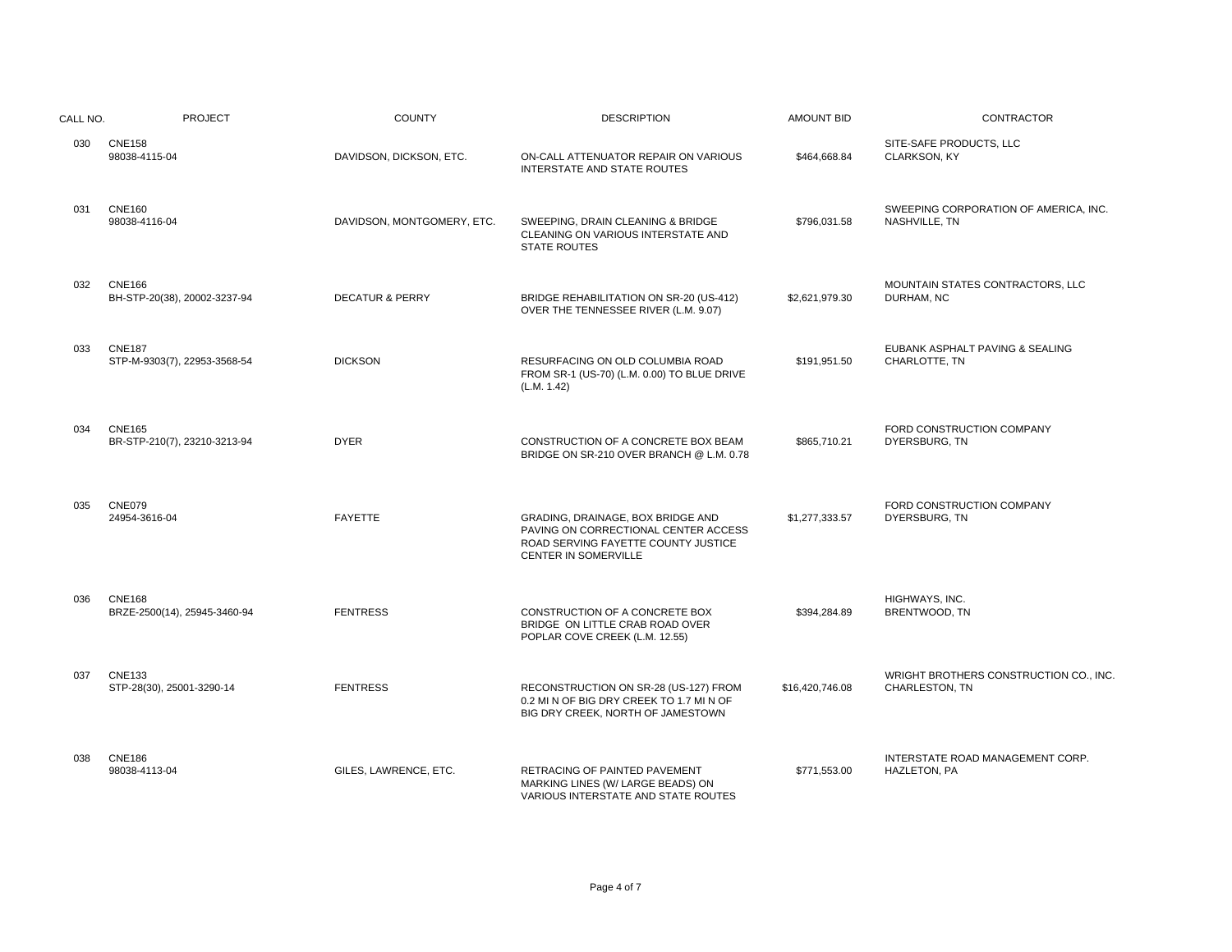| CALL NO. | <b>PROJECT</b>                                | <b>COUNTY</b>              | <b>DESCRIPTION</b>                                                                                                                       | <b>AMOUNT BID</b> | CONTRACTOR                                               |
|----------|-----------------------------------------------|----------------------------|------------------------------------------------------------------------------------------------------------------------------------------|-------------------|----------------------------------------------------------|
| 030      | <b>CNE158</b><br>98038-4115-04                | DAVIDSON, DICKSON, ETC.    | ON-CALL ATTENUATOR REPAIR ON VARIOUS<br><b>INTERSTATE AND STATE ROUTES</b>                                                               | \$464,668.84      | SITE-SAFE PRODUCTS, LLC<br>CLARKSON, KY                  |
| 031      | <b>CNE160</b><br>98038-4116-04                | DAVIDSON, MONTGOMERY, ETC. | SWEEPING, DRAIN CLEANING & BRIDGE<br><b>CLEANING ON VARIOUS INTERSTATE AND</b><br><b>STATE ROUTES</b>                                    | \$796,031.58      | SWEEPING CORPORATION OF AMERICA, INC.<br>NASHVILLE, TN   |
| 032      | <b>CNE166</b><br>BH-STP-20(38), 20002-3237-94 | <b>DECATUR &amp; PERRY</b> | BRIDGE REHABILITATION ON SR-20 (US-412)<br>OVER THE TENNESSEE RIVER (L.M. 9.07)                                                          | \$2,621,979.30    | MOUNTAIN STATES CONTRACTORS, LLC<br>DURHAM, NC           |
| 033      | <b>CNE187</b><br>STP-M-9303(7), 22953-3568-54 | <b>DICKSON</b>             | RESURFACING ON OLD COLUMBIA ROAD<br>FROM SR-1 (US-70) (L.M. 0.00) TO BLUE DRIVE<br>(L.M. 1.42)                                           | \$191,951.50      | EUBANK ASPHALT PAVING & SEALING<br>CHARLOTTE, TN         |
| 034      | <b>CNE165</b><br>BR-STP-210(7), 23210-3213-94 | <b>DYER</b>                | CONSTRUCTION OF A CONCRETE BOX BEAM<br>BRIDGE ON SR-210 OVER BRANCH @ L.M. 0.78                                                          | \$865.710.21      | FORD CONSTRUCTION COMPANY<br>DYERSBURG, TN               |
| 035      | <b>CNE079</b><br>24954-3616-04                | <b>FAYETTE</b>             | GRADING, DRAINAGE, BOX BRIDGE AND<br>PAVING ON CORRECTIONAL CENTER ACCESS<br>ROAD SERVING FAYETTE COUNTY JUSTICE<br>CENTER IN SOMERVILLE | \$1,277,333.57    | FORD CONSTRUCTION COMPANY<br>DYERSBURG, TN               |
| 036      | <b>CNE168</b><br>BRZE-2500(14), 25945-3460-94 | <b>FENTRESS</b>            | CONSTRUCTION OF A CONCRETE BOX<br>BRIDGE ON LITTLE CRAB ROAD OVER<br>POPLAR COVE CREEK (L.M. 12.55)                                      | \$394,284.89      | HIGHWAYS, INC.<br>BRENTWOOD, TN                          |
| 037      | <b>CNE133</b><br>STP-28(30), 25001-3290-14    | <b>FENTRESS</b>            | RECONSTRUCTION ON SR-28 (US-127) FROM<br>0.2 MI N OF BIG DRY CREEK TO 1.7 MI N OF<br>BIG DRY CREEK, NORTH OF JAMESTOWN                   | \$16,420,746.08   | WRIGHT BROTHERS CONSTRUCTION CO., INC.<br>CHARLESTON, TN |
| 038      | <b>CNE186</b><br>98038-4113-04                | GILES, LAWRENCE, ETC.      | RETRACING OF PAINTED PAVEMENT<br>MARKING LINES (W/ LARGE BEADS) ON<br>VARIOUS INTERSTATE AND STATE ROUTES                                | \$771,553.00      | INTERSTATE ROAD MANAGEMENT CORP.<br>HAZLETON, PA         |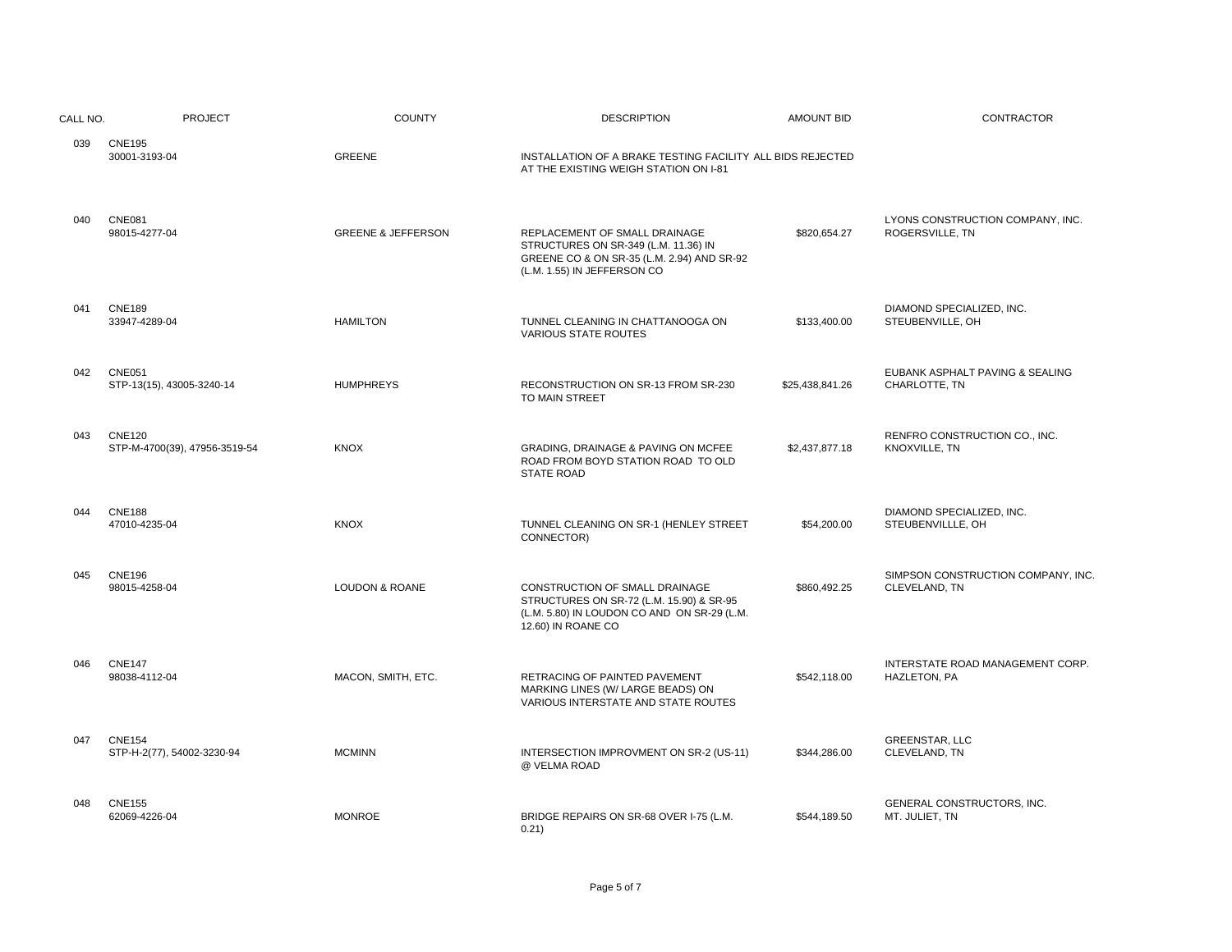| CALL NO. | <b>PROJECT</b>                                 | <b>COUNTY</b>                 | <b>DESCRIPTION</b>                                                                                                                                 | <b>AMOUNT BID</b> | <b>CONTRACTOR</b>                                   |
|----------|------------------------------------------------|-------------------------------|----------------------------------------------------------------------------------------------------------------------------------------------------|-------------------|-----------------------------------------------------|
| 039      | <b>CNE195</b><br>30001-3193-04                 | <b>GREENE</b>                 | INSTALLATION OF A BRAKE TESTING FACILITY ALL BIDS REJECTED<br>AT THE EXISTING WEIGH STATION ON I-81                                                |                   |                                                     |
| 040      | <b>CNE081</b><br>98015-4277-04                 | <b>GREENE &amp; JEFFERSON</b> | REPLACEMENT OF SMALL DRAINAGE<br>STRUCTURES ON SR-349 (L.M. 11.36) IN<br>GREENE CO & ON SR-35 (L.M. 2.94) AND SR-92<br>(L.M. 1.55) IN JEFFERSON CO | \$820,654.27      | LYONS CONSTRUCTION COMPANY, INC.<br>ROGERSVILLE, TN |
| 041      | <b>CNE189</b><br>33947-4289-04                 | <b>HAMILTON</b>               | TUNNEL CLEANING IN CHATTANOOGA ON<br><b>VARIOUS STATE ROUTES</b>                                                                                   | \$133,400.00      | DIAMOND SPECIALIZED, INC.<br>STEUBENVILLE, OH       |
| 042      | <b>CNE051</b><br>STP-13(15), 43005-3240-14     | <b>HUMPHREYS</b>              | RECONSTRUCTION ON SR-13 FROM SR-230<br>TO MAIN STREET                                                                                              | \$25,438,841.26   | EUBANK ASPHALT PAVING & SEALING<br>CHARLOTTE, TN    |
| 043      | <b>CNE120</b><br>STP-M-4700(39), 47956-3519-54 | <b>KNOX</b>                   | GRADING, DRAINAGE & PAVING ON MCFEE<br>ROAD FROM BOYD STATION ROAD TO OLD<br><b>STATE ROAD</b>                                                     | \$2,437,877.18    | RENFRO CONSTRUCTION CO., INC.<br>KNOXVILLE, TN      |
| 044      | <b>CNE188</b><br>47010-4235-04                 | <b>KNOX</b>                   | TUNNEL CLEANING ON SR-1 (HENLEY STREET<br>CONNECTOR)                                                                                               | \$54,200.00       | DIAMOND SPECIALIZED, INC.<br>STEUBENVILLLE, OH      |
| 045      | <b>CNE196</b><br>98015-4258-04                 | LOUDON & ROANE                | CONSTRUCTION OF SMALL DRAINAGE<br>STRUCTURES ON SR-72 (L.M. 15.90) & SR-95<br>(L.M. 5.80) IN LOUDON CO AND ON SR-29 (L.M.<br>12.60) IN ROANE CO    | \$860,492.25      | SIMPSON CONSTRUCTION COMPANY, INC.<br>CLEVELAND, TN |
| 046      | <b>CNE147</b><br>98038-4112-04                 | MACON, SMITH, ETC.            | RETRACING OF PAINTED PAVEMENT<br>MARKING LINES (W/ LARGE BEADS) ON<br>VARIOUS INTERSTATE AND STATE ROUTES                                          | \$542,118.00      | INTERSTATE ROAD MANAGEMENT CORP.<br>HAZLETON, PA    |
| 047      | <b>CNE154</b><br>STP-H-2(77), 54002-3230-94    | <b>MCMINN</b>                 | INTERSECTION IMPROVMENT ON SR-2 (US-11)<br>@ VELMA ROAD                                                                                            | \$344,286.00      | <b>GREENSTAR, LLC</b><br>CLEVELAND, TN              |
| 048      | <b>CNE155</b><br>62069-4226-04                 | <b>MONROE</b>                 | BRIDGE REPAIRS ON SR-68 OVER I-75 (L.M.<br>0.21)                                                                                                   | \$544,189.50      | GENERAL CONSTRUCTORS, INC.<br>MT. JULIET, TN        |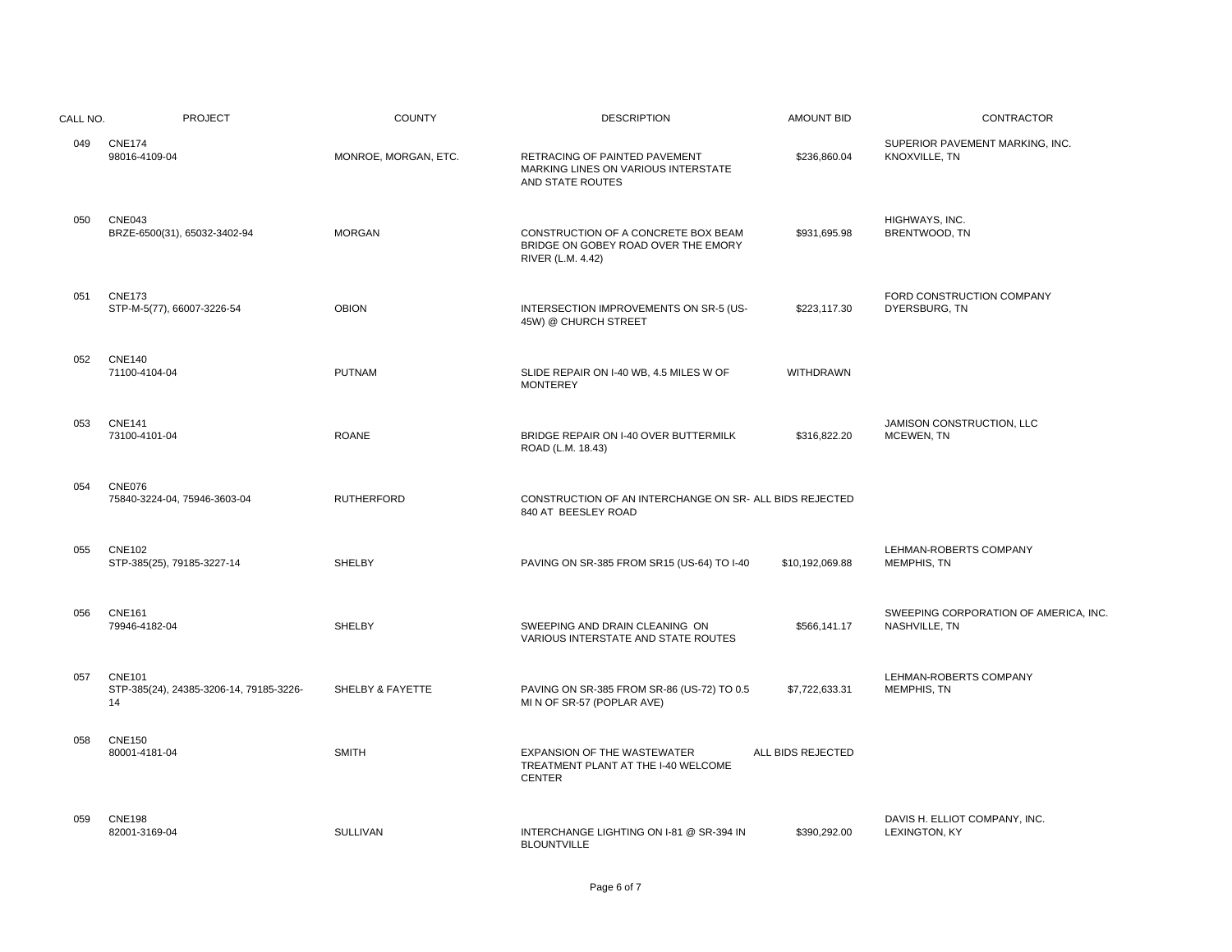| CALL NO. | PROJECT                                                        | <b>COUNTY</b>        | <b>DESCRIPTION</b>                                                                              | AMOUNT BID        | CONTRACTOR                                             |
|----------|----------------------------------------------------------------|----------------------|-------------------------------------------------------------------------------------------------|-------------------|--------------------------------------------------------|
| 049      | <b>CNE174</b><br>98016-4109-04                                 | MONROE, MORGAN, ETC. | RETRACING OF PAINTED PAVEMENT<br>MARKING LINES ON VARIOUS INTERSTATE<br>AND STATE ROUTES        | \$236,860.04      | SUPERIOR PAVEMENT MARKING, INC.<br>KNOXVILLE, TN       |
| 050      | <b>CNE043</b><br>BRZE-6500(31), 65032-3402-94                  | <b>MORGAN</b>        | CONSTRUCTION OF A CONCRETE BOX BEAM<br>BRIDGE ON GOBEY ROAD OVER THE EMORY<br>RIVER (L.M. 4.42) | \$931,695.98      | HIGHWAYS, INC.<br>BRENTWOOD, TN                        |
| 051      | <b>CNE173</b><br>STP-M-5(77), 66007-3226-54                    | <b>OBION</b>         | INTERSECTION IMPROVEMENTS ON SR-5 (US-<br>45W) @ CHURCH STREET                                  | \$223,117.30      | FORD CONSTRUCTION COMPANY<br>DYERSBURG, TN             |
| 052      | <b>CNE140</b><br>71100-4104-04                                 | <b>PUTNAM</b>        | SLIDE REPAIR ON I-40 WB, 4.5 MILES W OF<br><b>MONTEREY</b>                                      | <b>WITHDRAWN</b>  |                                                        |
| 053      | <b>CNE141</b><br>73100-4101-04                                 | <b>ROANE</b>         | BRIDGE REPAIR ON I-40 OVER BUTTERMILK<br>ROAD (L.M. 18.43)                                      | \$316,822.20      | JAMISON CONSTRUCTION, LLC<br>MCEWEN, TN                |
| 054      | CNE076<br>75840-3224-04, 75946-3603-04                         | <b>RUTHERFORD</b>    | CONSTRUCTION OF AN INTERCHANGE ON SR- ALL BIDS REJECTED<br>840 AT BEESLEY ROAD                  |                   |                                                        |
| 055      | <b>CNE102</b><br>STP-385(25), 79185-3227-14                    | <b>SHELBY</b>        | PAVING ON SR-385 FROM SR15 (US-64) TO I-40                                                      | \$10,192,069.88   | LEHMAN-ROBERTS COMPANY<br><b>MEMPHIS, TN</b>           |
| 056      | <b>CNE161</b><br>79946-4182-04                                 | SHELBY               | SWEEPING AND DRAIN CLEANING ON<br>VARIOUS INTERSTATE AND STATE ROUTES                           | \$566,141.17      | SWEEPING CORPORATION OF AMERICA, INC.<br>NASHVILLE, TN |
| 057      | <b>CNE101</b><br>STP-385(24), 24385-3206-14, 79185-3226-<br>14 | SHELBY & FAYETTE     | PAVING ON SR-385 FROM SR-86 (US-72) TO 0.5<br>MI N OF SR-57 (POPLAR AVE)                        | \$7,722,633.31    | LEHMAN-ROBERTS COMPANY<br>MEMPHIS, TN                  |
| 058      | <b>CNE150</b><br>80001-4181-04                                 | <b>SMITH</b>         | EXPANSION OF THE WASTEWATER<br>TREATMENT PLANT AT THE I-40 WELCOME<br><b>CENTER</b>             | ALL BIDS REJECTED |                                                        |
| 059      | <b>CNE198</b><br>82001-3169-04                                 | SULLIVAN             | INTERCHANGE LIGHTING ON I-81 @ SR-394 IN<br><b>BLOUNTVILLE</b>                                  | \$390,292.00      | DAVIS H. ELLIOT COMPANY, INC.<br>LEXINGTON, KY         |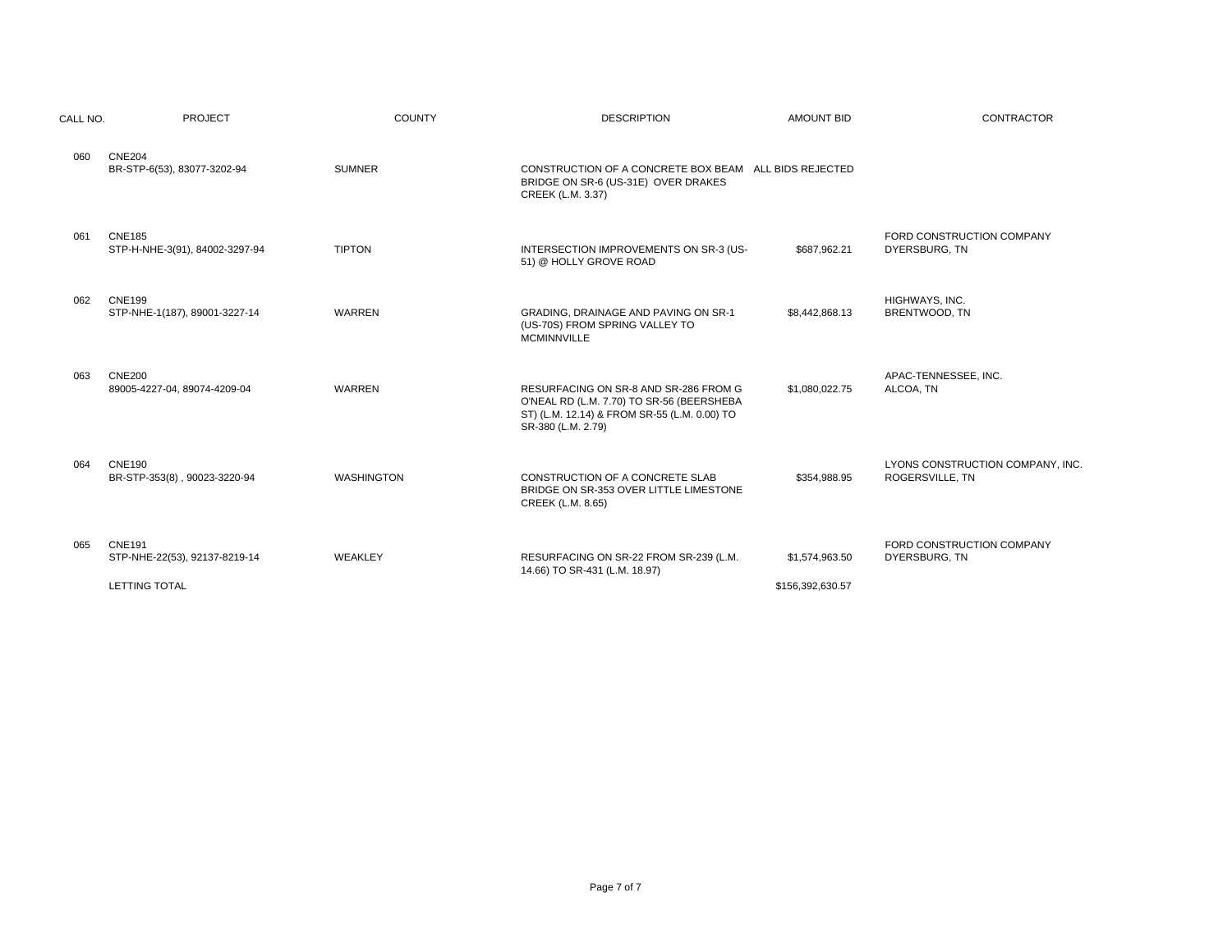| CALL NO. | <b>PROJECT</b>                                                         | <b>COUNTY</b>     | <b>DESCRIPTION</b>                                                                                                                                       | <b>AMOUNT BID</b>                  | <b>CONTRACTOR</b>                                   |
|----------|------------------------------------------------------------------------|-------------------|----------------------------------------------------------------------------------------------------------------------------------------------------------|------------------------------------|-----------------------------------------------------|
| 060      | <b>CNE204</b><br>BR-STP-6(53), 83077-3202-94                           | <b>SUMNER</b>     | CONSTRUCTION OF A CONCRETE BOX BEAM ALL BIDS REJECTED<br>BRIDGE ON SR-6 (US-31E) OVER DRAKES<br>CREEK (L.M. 3.37)                                        |                                    |                                                     |
| 061      | <b>CNE185</b><br>STP-H-NHE-3(91), 84002-3297-94                        | <b>TIPTON</b>     | INTERSECTION IMPROVEMENTS ON SR-3 (US-<br>51) @ HOLLY GROVE ROAD                                                                                         | \$687,962.21                       | FORD CONSTRUCTION COMPANY<br>DYERSBURG, TN          |
| 062      | <b>CNE199</b><br>STP-NHE-1(187), 89001-3227-14                         | <b>WARREN</b>     | GRADING, DRAINAGE AND PAVING ON SR-1<br>(US-70S) FROM SPRING VALLEY TO<br><b>MCMINNVILLE</b>                                                             | \$8,442,868.13                     | HIGHWAYS, INC.<br>BRENTWOOD, TN                     |
| 063      | <b>CNE200</b><br>89005-4227-04, 89074-4209-04                          | <b>WARREN</b>     | RESURFACING ON SR-8 AND SR-286 FROM G<br>O'NEAL RD (L.M. 7.70) TO SR-56 (BEERSHEBA<br>ST) (L.M. 12.14) & FROM SR-55 (L.M. 0.00) TO<br>SR-380 (L.M. 2.79) | \$1,080,022.75                     | APAC-TENNESSEE, INC.<br>ALCOA, TN                   |
| 064      | <b>CNE190</b><br>BR-STP-353(8), 90023-3220-94                          | <b>WASHINGTON</b> | CONSTRUCTION OF A CONCRETE SLAB<br>BRIDGE ON SR-353 OVER LITTLE LIMESTONE<br>CREEK (L.M. 8.65)                                                           | \$354.988.95                       | LYONS CONSTRUCTION COMPANY, INC.<br>ROGERSVILLE. TN |
| 065      | <b>CNE191</b><br>STP-NHE-22(53), 92137-8219-14<br><b>LETTING TOTAL</b> | WEAKLEY           | RESURFACING ON SR-22 FROM SR-239 (L.M.<br>14.66) TO SR-431 (L.M. 18.97)                                                                                  | \$1,574,963.50<br>\$156,392,630.57 | FORD CONSTRUCTION COMPANY<br>DYERSBURG, TN          |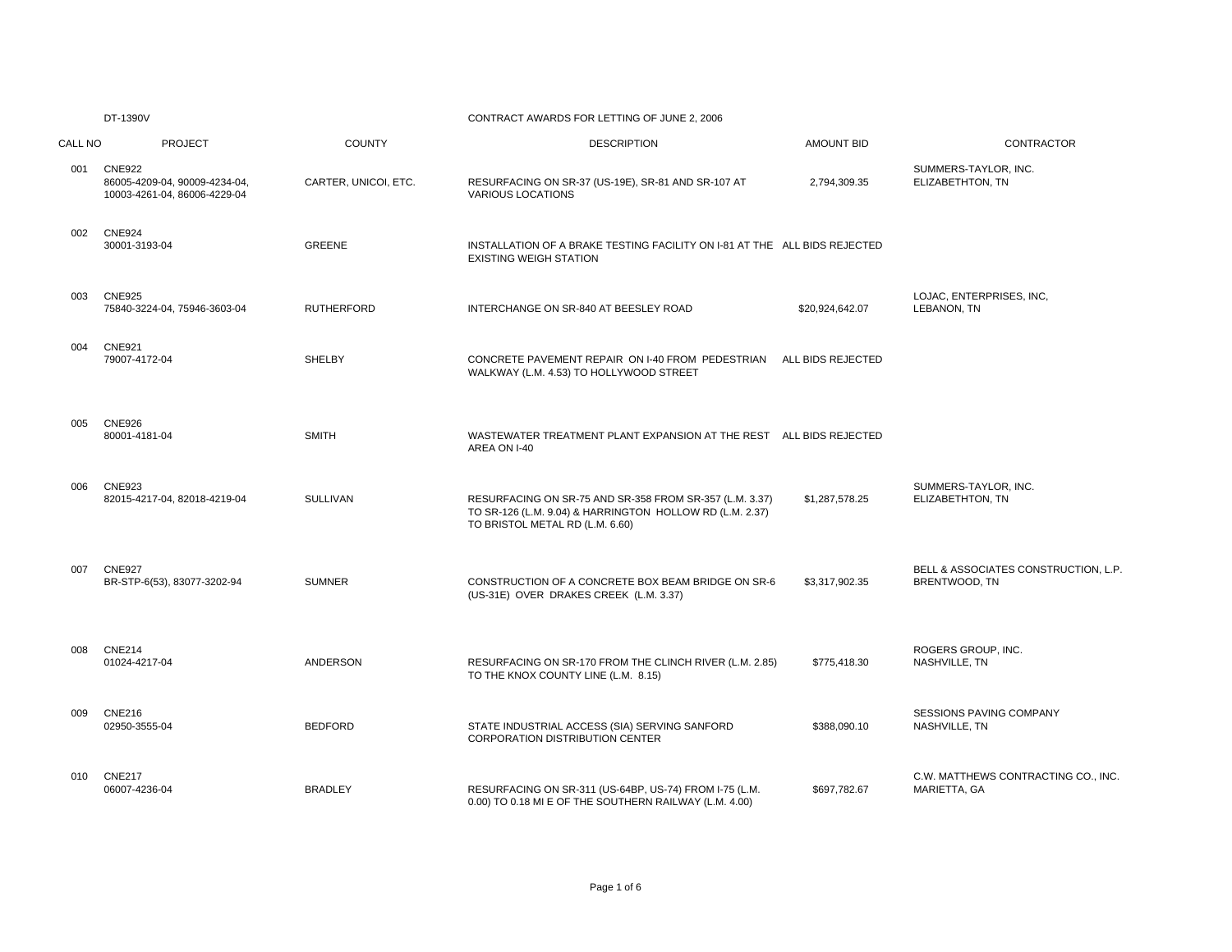|         | DT-1390V                                                                       |                      | CONTRACT AWARDS FOR LETTING OF JUNE 2, 2006                                                                                                            |                   |                                                       |
|---------|--------------------------------------------------------------------------------|----------------------|--------------------------------------------------------------------------------------------------------------------------------------------------------|-------------------|-------------------------------------------------------|
| CALL NO | <b>PROJECT</b>                                                                 | <b>COUNTY</b>        | <b>DESCRIPTION</b>                                                                                                                                     | <b>AMOUNT BID</b> | CONTRACTOR                                            |
| 001     | <b>CNE922</b><br>86005-4209-04, 90009-4234-04,<br>10003-4261-04, 86006-4229-04 | CARTER, UNICOI, ETC. | RESURFACING ON SR-37 (US-19E), SR-81 AND SR-107 AT<br><b>VARIOUS LOCATIONS</b>                                                                         | 2,794,309.35      | SUMMERS-TAYLOR, INC.<br>ELIZABETHTON, TN              |
| 002     | <b>CNE924</b><br>30001-3193-04                                                 | <b>GREENE</b>        | INSTALLATION OF A BRAKE TESTING FACILITY ON I-81 AT THE ALL BIDS REJECTED<br><b>EXISTING WEIGH STATION</b>                                             |                   |                                                       |
| 003     | <b>CNE925</b><br>75840-3224-04, 75946-3603-04                                  | <b>RUTHERFORD</b>    | INTERCHANGE ON SR-840 AT BEESLEY ROAD                                                                                                                  | \$20,924,642.07   | LOJAC, ENTERPRISES, INC.<br>LEBANON, TN               |
| 004     | <b>CNE921</b><br>79007-4172-04                                                 | SHELBY               | CONCRETE PAVEMENT REPAIR ON I-40 FROM PEDESTRIAN<br>WALKWAY (L.M. 4.53) TO HOLLYWOOD STREET                                                            | ALL BIDS REJECTED |                                                       |
| 005     | <b>CNE926</b><br>80001-4181-04                                                 | <b>SMITH</b>         | WASTEWATER TREATMENT PLANT EXPANSION AT THE REST ALL BIDS REJECTED<br>AREA ON I-40                                                                     |                   |                                                       |
| 006     | <b>CNE923</b><br>82015-4217-04, 82018-4219-04                                  | <b>SULLIVAN</b>      | RESURFACING ON SR-75 AND SR-358 FROM SR-357 (L.M. 3.37)<br>TO SR-126 (L.M. 9.04) & HARRINGTON HOLLOW RD (L.M. 2.37)<br>TO BRISTOL METAL RD (L.M. 6.60) | \$1,287,578.25    | SUMMERS-TAYLOR, INC.<br>ELIZABETHTON, TN              |
| 007     | <b>CNE927</b><br>BR-STP-6(53), 83077-3202-94                                   | <b>SUMNER</b>        | CONSTRUCTION OF A CONCRETE BOX BEAM BRIDGE ON SR-6<br>(US-31E) OVER DRAKES CREEK (L.M. 3.37)                                                           | \$3,317,902.35    | BELL & ASSOCIATES CONSTRUCTION, L.P.<br>BRENTWOOD, TN |
| 008     | <b>CNE214</b><br>01024-4217-04                                                 | <b>ANDERSON</b>      | RESURFACING ON SR-170 FROM THE CLINCH RIVER (L.M. 2.85)<br>TO THE KNOX COUNTY LINE (L.M. 8.15)                                                         | \$775,418.30      | ROGERS GROUP, INC.<br>NASHVILLE, TN                   |
| 009     | <b>CNE216</b><br>02950-3555-04                                                 | <b>BEDFORD</b>       | STATE INDUSTRIAL ACCESS (SIA) SERVING SANFORD<br><b>CORPORATION DISTRIBUTION CENTER</b>                                                                | \$388,090.10      | <b>SESSIONS PAVING COMPANY</b><br>NASHVILLE, TN       |
| 010     | <b>CNE217</b><br>06007-4236-04                                                 | <b>BRADLEY</b>       | RESURFACING ON SR-311 (US-64BP, US-74) FROM I-75 (L.M.<br>0.00) TO 0.18 MI E OF THE SOUTHERN RAILWAY (L.M. 4.00)                                       | \$697,782.67      | C.W. MATTHEWS CONTRACTING CO., INC.<br>MARIETTA, GA   |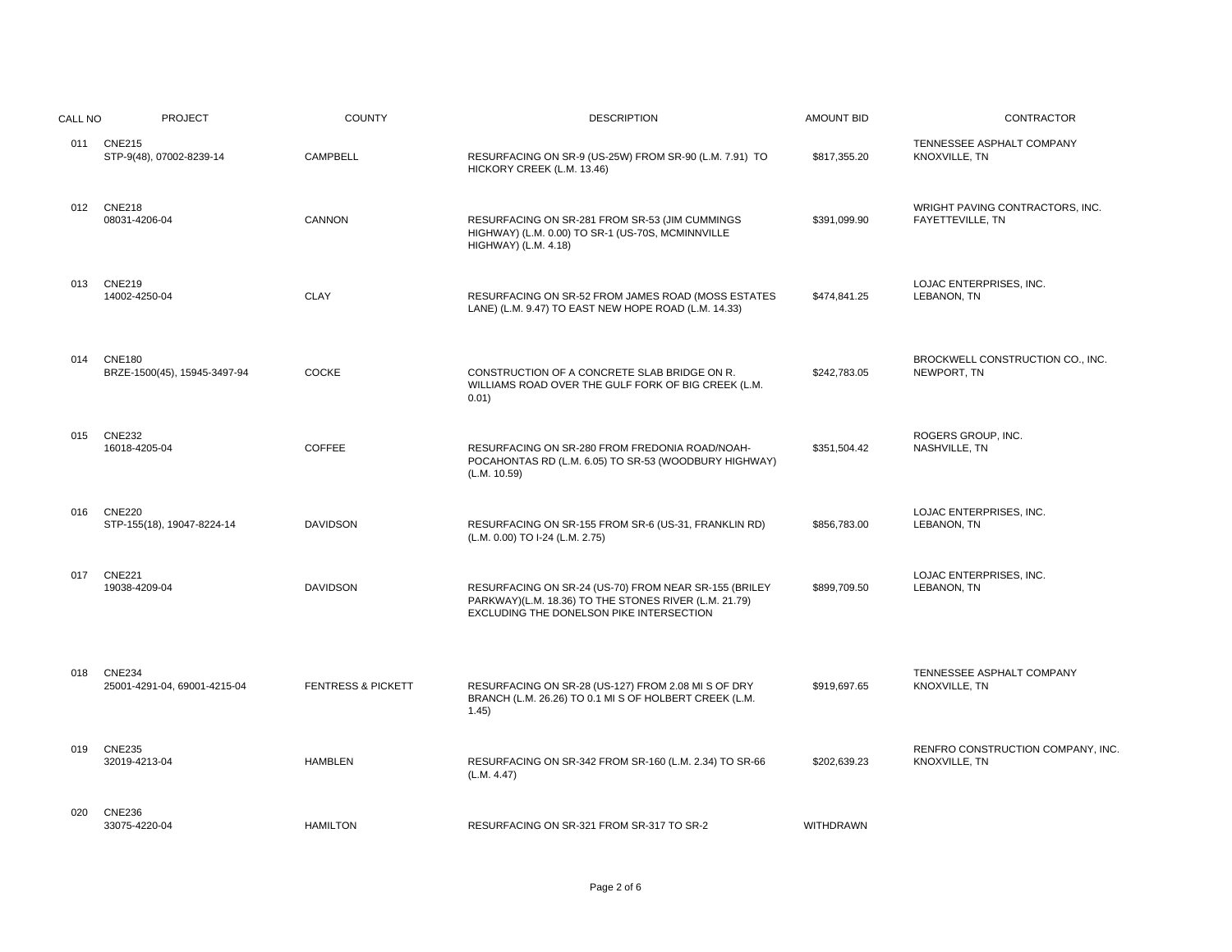| CALL NO | <b>PROJECT</b>                                | <b>COUNTY</b>                 | <b>DESCRIPTION</b>                                                                                                                                         | <b>AMOUNT BID</b> | <b>CONTRACTOR</b>                                   |
|---------|-----------------------------------------------|-------------------------------|------------------------------------------------------------------------------------------------------------------------------------------------------------|-------------------|-----------------------------------------------------|
|         | 011 CNE215<br>STP-9(48), 07002-8239-14        | CAMPBELL                      | RESURFACING ON SR-9 (US-25W) FROM SR-90 (L.M. 7.91) TO<br>HICKORY CREEK (L.M. 13.46)                                                                       | \$817,355.20      | TENNESSEE ASPHALT COMPANY<br>KNOXVILLE, TN          |
| 012     | <b>CNE218</b><br>08031-4206-04                | <b>CANNON</b>                 | RESURFACING ON SR-281 FROM SR-53 (JIM CUMMINGS<br>HIGHWAY) (L.M. 0.00) TO SR-1 (US-70S, MCMINNVILLE<br>HIGHWAY) (L.M. 4.18)                                | \$391,099.90      | WRIGHT PAVING CONTRACTORS, INC.<br>FAYETTEVILLE, TN |
| 013     | <b>CNE219</b><br>14002-4250-04                | <b>CLAY</b>                   | RESURFACING ON SR-52 FROM JAMES ROAD (MOSS ESTATES<br>LANE) (L.M. 9.47) TO EAST NEW HOPE ROAD (L.M. 14.33)                                                 | \$474,841.25      | LOJAC ENTERPRISES, INC.<br>LEBANON, TN              |
| 014     | <b>CNE180</b><br>BRZE-1500(45), 15945-3497-94 | <b>COCKE</b>                  | CONSTRUCTION OF A CONCRETE SLAB BRIDGE ON R.<br>WILLIAMS ROAD OVER THE GULF FORK OF BIG CREEK (L.M.<br>0.01)                                               | \$242,783.05      | BROCKWELL CONSTRUCTION CO., INC.<br>NEWPORT, TN     |
| 015     | <b>CNE232</b><br>16018-4205-04                | <b>COFFEE</b>                 | RESURFACING ON SR-280 FROM FREDONIA ROAD/NOAH-<br>POCAHONTAS RD (L.M. 6.05) TO SR-53 (WOODBURY HIGHWAY)<br>(L.M. 10.59)                                    | \$351,504.42      | ROGERS GROUP, INC.<br>NASHVILLE, TN                 |
| 016     | <b>CNE220</b><br>STP-155(18), 19047-8224-14   | <b>DAVIDSON</b>               | RESURFACING ON SR-155 FROM SR-6 (US-31, FRANKLIN RD)<br>(L.M. 0.00) TO I-24 (L.M. 2.75)                                                                    | \$856.783.00      | LOJAC ENTERPRISES, INC.<br>LEBANON, TN              |
| 017     | <b>CNE221</b><br>19038-4209-04                | <b>DAVIDSON</b>               | RESURFACING ON SR-24 (US-70) FROM NEAR SR-155 (BRILEY<br>PARKWAY)(L.M. 18.36) TO THE STONES RIVER (L.M. 21.79)<br>EXCLUDING THE DONELSON PIKE INTERSECTION | \$899,709.50      | LOJAC ENTERPRISES. INC.<br>LEBANON, TN              |
| 018     | <b>CNE234</b><br>25001-4291-04, 69001-4215-04 | <b>FENTRESS &amp; PICKETT</b> | RESURFACING ON SR-28 (US-127) FROM 2.08 MI S OF DRY<br>BRANCH (L.M. 26.26) TO 0.1 MI S OF HOLBERT CREEK (L.M.<br>1.45)                                     | \$919,697.65      | TENNESSEE ASPHALT COMPANY<br>KNOXVILLE, TN          |
| 019     | <b>CNE235</b><br>32019-4213-04                | <b>HAMBLEN</b>                | RESURFACING ON SR-342 FROM SR-160 (L.M. 2.34) TO SR-66<br>(L.M. 4.47)                                                                                      | \$202,639.23      | RENFRO CONSTRUCTION COMPANY, INC.<br>KNOXVILLE, TN  |
| 020     | <b>CNE236</b><br>33075-4220-04                | <b>HAMILTON</b>               | RESURFACING ON SR-321 FROM SR-317 TO SR-2                                                                                                                  | <b>WITHDRAWN</b>  |                                                     |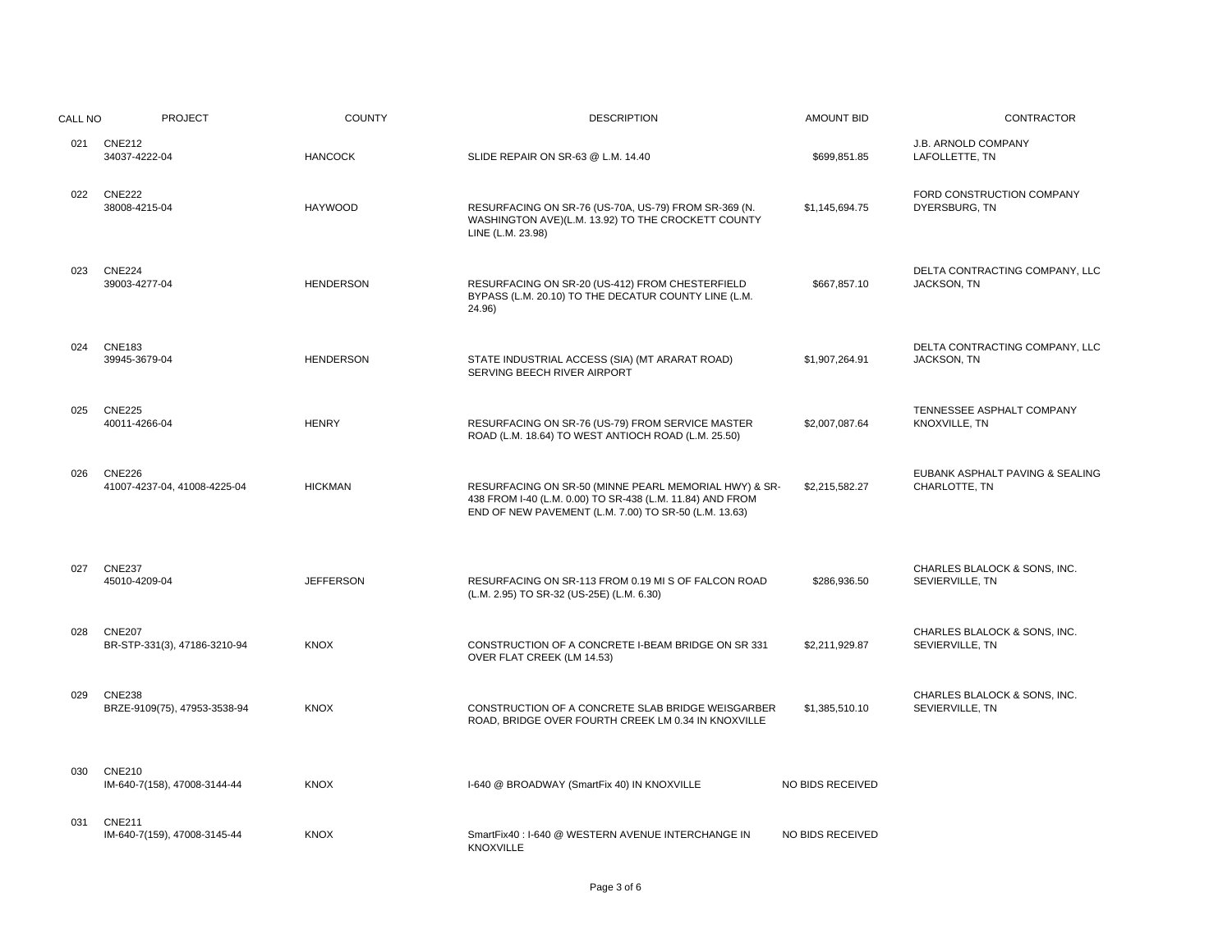| CALL NO | <b>PROJECT</b>                                | <b>COUNTY</b>    | <b>DESCRIPTION</b>                                                                                                                                                          | <b>AMOUNT BID</b> | CONTRACTOR                                       |
|---------|-----------------------------------------------|------------------|-----------------------------------------------------------------------------------------------------------------------------------------------------------------------------|-------------------|--------------------------------------------------|
|         | 021 CNE212<br>34037-4222-04                   | <b>HANCOCK</b>   | SLIDE REPAIR ON SR-63 @ L.M. 14.40                                                                                                                                          | \$699,851.85      | <b>J.B. ARNOLD COMPANY</b><br>LAFOLLETTE, TN     |
| 022     | <b>CNE222</b><br>38008-4215-04                | <b>HAYWOOD</b>   | RESURFACING ON SR-76 (US-70A, US-79) FROM SR-369 (N.<br>WASHINGTON AVE)(L.M. 13.92) TO THE CROCKETT COUNTY<br>LINE (L.M. 23.98)                                             | \$1,145,694.75    | FORD CONSTRUCTION COMPANY<br>DYERSBURG, TN       |
| 023     | <b>CNE224</b><br>39003-4277-04                | <b>HENDERSON</b> | RESURFACING ON SR-20 (US-412) FROM CHESTERFIELD<br>BYPASS (L.M. 20.10) TO THE DECATUR COUNTY LINE (L.M.<br>24.96)                                                           | \$667,857.10      | DELTA CONTRACTING COMPANY, LLC<br>JACKSON, TN    |
| 024     | <b>CNE183</b><br>39945-3679-04                | <b>HENDERSON</b> | STATE INDUSTRIAL ACCESS (SIA) (MT ARARAT ROAD)<br>SERVING BEECH RIVER AIRPORT                                                                                               | \$1,907,264.91    | DELTA CONTRACTING COMPANY, LLC<br>JACKSON, TN    |
| 025     | <b>CNE225</b><br>40011-4266-04                | <b>HENRY</b>     | RESURFACING ON SR-76 (US-79) FROM SERVICE MASTER<br>ROAD (L.M. 18.64) TO WEST ANTIOCH ROAD (L.M. 25.50)                                                                     | \$2,007,087.64    | TENNESSEE ASPHALT COMPANY<br>KNOXVILLE, TN       |
| 026     | <b>CNE226</b><br>41007-4237-04, 41008-4225-04 | <b>HICKMAN</b>   | RESURFACING ON SR-50 (MINNE PEARL MEMORIAL HWY) & SR-<br>438 FROM I-40 (L.M. 0.00) TO SR-438 (L.M. 11.84) AND FROM<br>END OF NEW PAVEMENT (L.M. 7.00) TO SR-50 (L.M. 13.63) | \$2,215,582.27    | EUBANK ASPHALT PAVING & SEALING<br>CHARLOTTE, TN |
| 027     | <b>CNE237</b><br>45010-4209-04                | <b>JEFFERSON</b> | RESURFACING ON SR-113 FROM 0.19 MI S OF FALCON ROAD<br>(L.M. 2.95) TO SR-32 (US-25E) (L.M. 6.30)                                                                            | \$286,936.50      | CHARLES BLALOCK & SONS. INC.<br>SEVIERVILLE, TN  |
| 028     | <b>CNE207</b><br>BR-STP-331(3), 47186-3210-94 | <b>KNOX</b>      | CONSTRUCTION OF A CONCRETE I-BEAM BRIDGE ON SR 331<br>OVER FLAT CREEK (LM 14.53)                                                                                            | \$2,211,929.87    | CHARLES BLALOCK & SONS, INC.<br>SEVIERVILLE, TN  |
| 029     | <b>CNE238</b><br>BRZE-9109(75), 47953-3538-94 | <b>KNOX</b>      | CONSTRUCTION OF A CONCRETE SLAB BRIDGE WEISGARBER<br>ROAD, BRIDGE OVER FOURTH CREEK LM 0.34 IN KNOXVILLE                                                                    | \$1,385,510.10    | CHARLES BLALOCK & SONS, INC.<br>SEVIERVILLE, TN  |
| 030     | <b>CNE210</b><br>IM-640-7(158), 47008-3144-44 | <b>KNOX</b>      | I-640 @ BROADWAY (SmartFix 40) IN KNOXVILLE                                                                                                                                 | NO BIDS RECEIVED  |                                                  |
| 031     | <b>CNE211</b><br>IM-640-7(159), 47008-3145-44 | <b>KNOX</b>      | SmartFix40 : I-640 @ WESTERN AVENUE INTERCHANGE IN<br><b>KNOXVILLE</b>                                                                                                      | NO BIDS RECEIVED  |                                                  |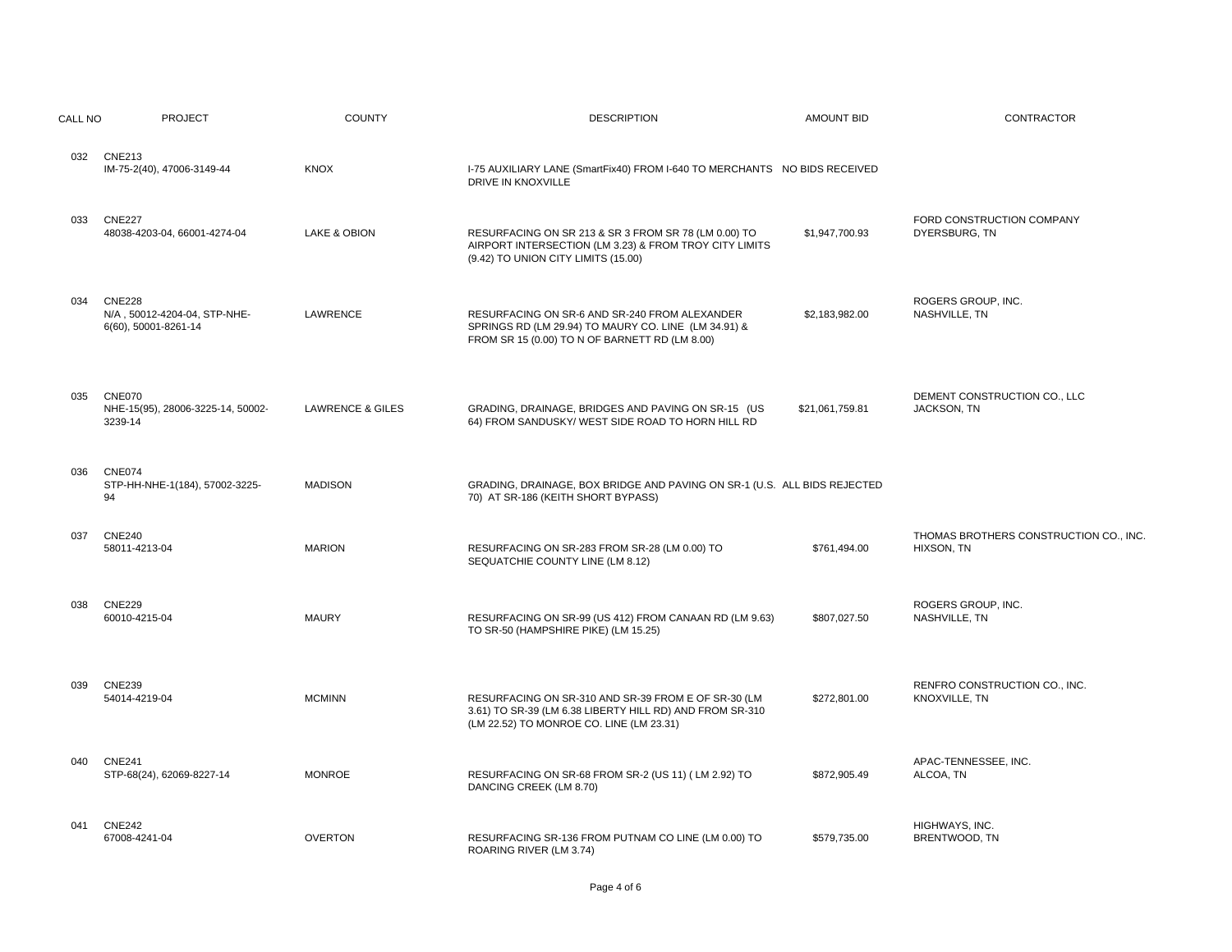| CALL NO | <b>PROJECT</b>                                                        | <b>COUNTY</b>               | <b>DESCRIPTION</b>                                                                                                                                          | <b>AMOUNT BID</b> | <b>CONTRACTOR</b>                                    |
|---------|-----------------------------------------------------------------------|-----------------------------|-------------------------------------------------------------------------------------------------------------------------------------------------------------|-------------------|------------------------------------------------------|
| 032     | <b>CNE213</b><br>IM-75-2(40), 47006-3149-44                           | <b>KNOX</b>                 | I-75 AUXILIARY LANE (SmartFix40) FROM I-640 TO MERCHANTS NO BIDS RECEIVED<br>DRIVE IN KNOXVILLE                                                             |                   |                                                      |
| 033     | <b>CNE227</b><br>48038-4203-04, 66001-4274-04                         | LAKE & OBION                | RESURFACING ON SR 213 & SR 3 FROM SR 78 (LM 0.00) TO<br>AIRPORT INTERSECTION (LM 3.23) & FROM TROY CITY LIMITS<br>(9.42) TO UNION CITY LIMITS (15.00)       | \$1,947,700.93    | FORD CONSTRUCTION COMPANY<br>DYERSBURG, TN           |
| 034     | <b>CNE228</b><br>N/A, 50012-4204-04, STP-NHE-<br>6(60), 50001-8261-14 | LAWRENCE                    | RESURFACING ON SR-6 AND SR-240 FROM ALEXANDER<br>SPRINGS RD (LM 29.94) TO MAURY CO. LINE (LM 34.91) &<br>FROM SR 15 (0.00) TO N OF BARNETT RD (LM 8.00)     | \$2,183,982.00    | ROGERS GROUP, INC.<br>NASHVILLE, TN                  |
| 035     | <b>CNE070</b><br>NHE-15(95), 28006-3225-14, 50002-<br>3239-14         | <b>LAWRENCE &amp; GILES</b> | GRADING, DRAINAGE, BRIDGES AND PAVING ON SR-15 (US<br>64) FROM SANDUSKY/ WEST SIDE ROAD TO HORN HILL RD                                                     | \$21,061,759.81   | DEMENT CONSTRUCTION CO., LLC<br>JACKSON, TN          |
| 036     | <b>CNE074</b><br>STP-HH-NHE-1(184), 57002-3225-<br>94                 | <b>MADISON</b>              | GRADING, DRAINAGE, BOX BRIDGE AND PAVING ON SR-1 (U.S. ALL BIDS REJECTED<br>70) AT SR-186 (KEITH SHORT BYPASS)                                              |                   |                                                      |
| 037     | <b>CNE240</b><br>58011-4213-04                                        | <b>MARION</b>               | RESURFACING ON SR-283 FROM SR-28 (LM 0.00) TO<br>SEQUATCHIE COUNTY LINE (LM 8.12)                                                                           | \$761,494.00      | THOMAS BROTHERS CONSTRUCTION CO., INC.<br>HIXSON, TN |
| 038     | <b>CNE229</b><br>60010-4215-04                                        | <b>MAURY</b>                | RESURFACING ON SR-99 (US 412) FROM CANAAN RD (LM 9.63)<br>TO SR-50 (HAMPSHIRE PIKE) (LM 15.25)                                                              | \$807,027.50      | ROGERS GROUP, INC.<br>NASHVILLE, TN                  |
| 039     | <b>CNE239</b><br>54014-4219-04                                        | <b>MCMINN</b>               | RESURFACING ON SR-310 AND SR-39 FROM E OF SR-30 (LM<br>3.61) TO SR-39 (LM 6.38 LIBERTY HILL RD) AND FROM SR-310<br>(LM 22.52) TO MONROE CO. LINE (LM 23.31) | \$272,801.00      | RENFRO CONSTRUCTION CO., INC.<br>KNOXVILLE, TN       |
| 040     | <b>CNE241</b><br>STP-68(24), 62069-8227-14                            | <b>MONROE</b>               | RESURFACING ON SR-68 FROM SR-2 (US 11) (LM 2.92) TO<br>DANCING CREEK (LM 8.70)                                                                              | \$872,905.49      | APAC-TENNESSEE, INC.<br>ALCOA, TN                    |
| 041     | <b>CNE242</b><br>67008-4241-04                                        | <b>OVERTON</b>              | RESURFACING SR-136 FROM PUTNAM CO LINE (LM 0.00) TO<br>ROARING RIVER (LM 3.74)                                                                              | \$579,735.00      | HIGHWAYS, INC.<br>BRENTWOOD, TN                      |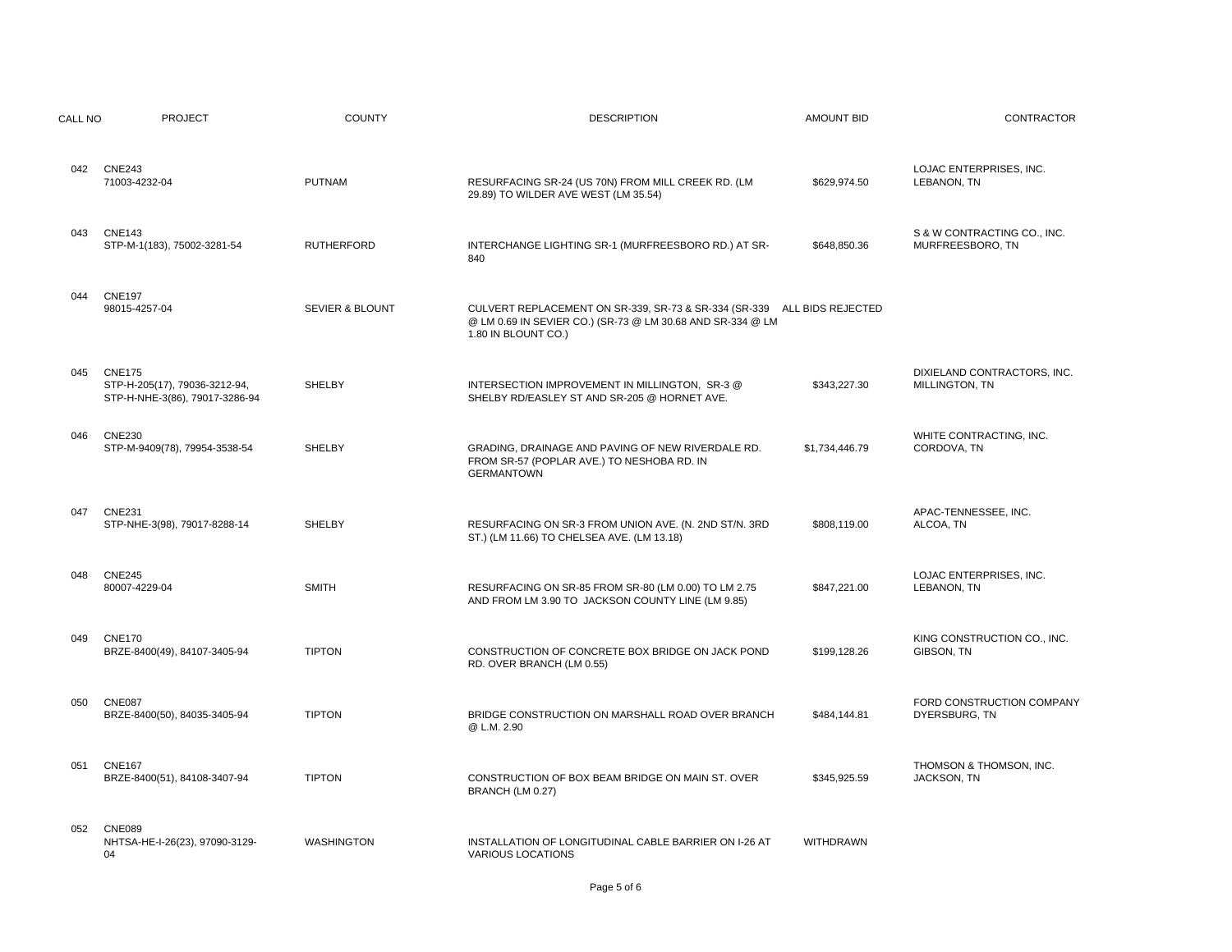| CALL NO | <b>PROJECT</b>                                                                   | <b>COUNTY</b>     | <b>DESCRIPTION</b>                                                                                                                                           | <b>AMOUNT BID</b> | <b>CONTRACTOR</b>                               |
|---------|----------------------------------------------------------------------------------|-------------------|--------------------------------------------------------------------------------------------------------------------------------------------------------------|-------------------|-------------------------------------------------|
| 042     | <b>CNE243</b><br>71003-4232-04                                                   | <b>PUTNAM</b>     | RESURFACING SR-24 (US 70N) FROM MILL CREEK RD. (LM<br>29.89) TO WILDER AVE WEST (LM 35.54)                                                                   | \$629,974.50      | LOJAC ENTERPRISES, INC.<br>LEBANON, TN          |
| 043     | <b>CNE143</b><br>STP-M-1(183), 75002-3281-54                                     | <b>RUTHERFORD</b> | INTERCHANGE LIGHTING SR-1 (MURFREESBORO RD.) AT SR-<br>840                                                                                                   | \$648,850.36      | S & W CONTRACTING CO., INC.<br>MURFREESBORO, TN |
| 044     | <b>CNE197</b><br>98015-4257-04                                                   | SEVIER & BLOUNT   | CULVERT REPLACEMENT ON SR-339, SR-73 & SR-334 (SR-339 ALL BIDS REJECTED<br>@ LM 0.69 IN SEVIER CO.) (SR-73 @ LM 30.68 AND SR-334 @ LM<br>1.80 IN BLOUNT CO.) |                   |                                                 |
| 045     | <b>CNE175</b><br>STP-H-205(17), 79036-3212-94,<br>STP-H-NHE-3(86), 79017-3286-94 | <b>SHELBY</b>     | INTERSECTION IMPROVEMENT IN MILLINGTON, SR-3 @<br>SHELBY RD/EASLEY ST AND SR-205 @ HORNET AVE.                                                               | \$343.227.30      | DIXIELAND CONTRACTORS, INC.<br>MILLINGTON, TN   |
| 046     | <b>CNE230</b><br>STP-M-9409(78), 79954-3538-54                                   | <b>SHELBY</b>     | GRADING, DRAINAGE AND PAVING OF NEW RIVERDALE RD.<br>FROM SR-57 (POPLAR AVE.) TO NESHOBA RD. IN<br><b>GERMANTOWN</b>                                         | \$1,734,446.79    | WHITE CONTRACTING, INC.<br>CORDOVA, TN          |
| 047     | <b>CNE231</b><br>STP-NHE-3(98), 79017-8288-14                                    | <b>SHELBY</b>     | RESURFACING ON SR-3 FROM UNION AVE. (N. 2ND ST/N. 3RD<br>ST.) (LM 11.66) TO CHELSEA AVE. (LM 13.18)                                                          | \$808,119.00      | APAC-TENNESSEE, INC.<br>ALCOA, TN               |
| 048     | <b>CNE245</b><br>80007-4229-04                                                   | <b>SMITH</b>      | RESURFACING ON SR-85 FROM SR-80 (LM 0.00) TO LM 2.75<br>AND FROM LM 3.90 TO JACKSON COUNTY LINE (LM 9.85)                                                    | \$847,221.00      | LOJAC ENTERPRISES, INC.<br>LEBANON, TN          |
| 049     | <b>CNE170</b><br>BRZE-8400(49), 84107-3405-94                                    | <b>TIPTON</b>     | CONSTRUCTION OF CONCRETE BOX BRIDGE ON JACK POND<br>RD. OVER BRANCH (LM 0.55)                                                                                | \$199.128.26      | KING CONSTRUCTION CO., INC.<br>GIBSON, TN       |
| 050     | <b>CNE087</b><br>BRZE-8400(50), 84035-3405-94                                    | <b>TIPTON</b>     | BRIDGE CONSTRUCTION ON MARSHALL ROAD OVER BRANCH<br>@ L.M. 2.90                                                                                              | \$484,144.81      | FORD CONSTRUCTION COMPANY<br>DYERSBURG, TN      |
| 051     | <b>CNE167</b><br>BRZE-8400(51), 84108-3407-94                                    | <b>TIPTON</b>     | CONSTRUCTION OF BOX BEAM BRIDGE ON MAIN ST. OVER<br>BRANCH (LM 0.27)                                                                                         | \$345,925.59      | THOMSON & THOMSON, INC.<br>JACKSON, TN          |
| 052     | <b>CNE089</b><br>NHTSA-HE-I-26(23), 97090-3129-<br>04                            | <b>WASHINGTON</b> | INSTALLATION OF LONGITUDINAL CABLE BARRIER ON I-26 AT<br><b>VARIOUS LOCATIONS</b>                                                                            | WITHDRAWN         |                                                 |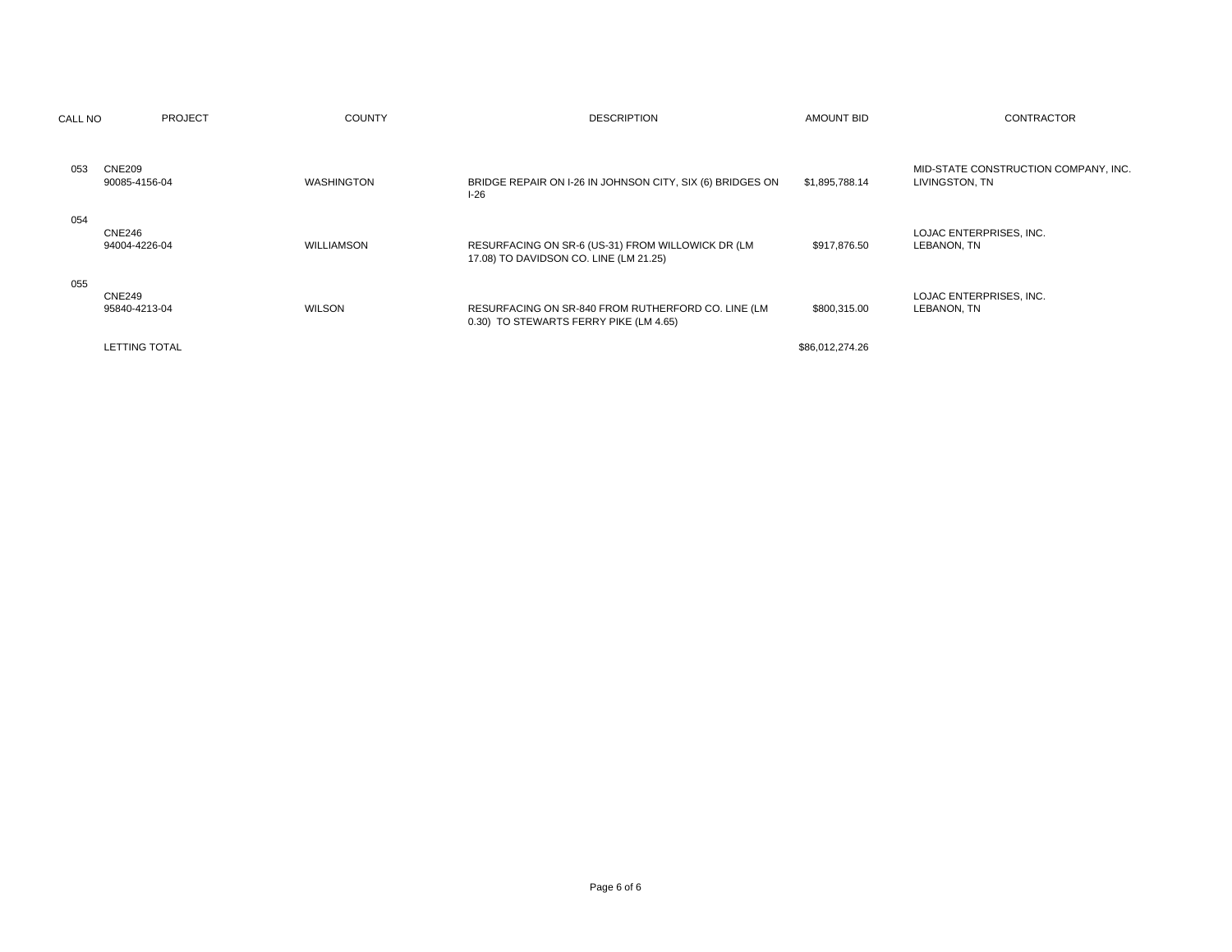| CALL NO | <b>PROJECT</b>                 | <b>COUNTY</b>     | <b>DESCRIPTION</b>                                                                           | AMOUNT BID      | <b>CONTRACTOR</b>                                      |
|---------|--------------------------------|-------------------|----------------------------------------------------------------------------------------------|-----------------|--------------------------------------------------------|
| 053     | <b>CNE209</b><br>90085-4156-04 | <b>WASHINGTON</b> | BRIDGE REPAIR ON I-26 IN JOHNSON CITY, SIX (6) BRIDGES ON<br>$I-26$                          | \$1,895,788.14  | MID-STATE CONSTRUCTION COMPANY, INC.<br>LIVINGSTON, TN |
| 054     | CNE246<br>94004-4226-04        | WILLIAMSON        | RESURFACING ON SR-6 (US-31) FROM WILLOWICK DR (LM<br>17.08) TO DAVIDSON CO. LINE (LM 21.25)  | \$917,876.50    | LOJAC ENTERPRISES, INC.<br>LEBANON, TN                 |
| 055     | <b>CNE249</b><br>95840-4213-04 | <b>WILSON</b>     | RESURFACING ON SR-840 FROM RUTHERFORD CO. LINE (LM<br>0.30) TO STEWARTS FERRY PIKE (LM 4.65) | \$800,315.00    | LOJAC ENTERPRISES, INC.<br>LEBANON, TN                 |
|         | <b>LETTING TOTAL</b>           |                   |                                                                                              | \$86,012,274.26 |                                                        |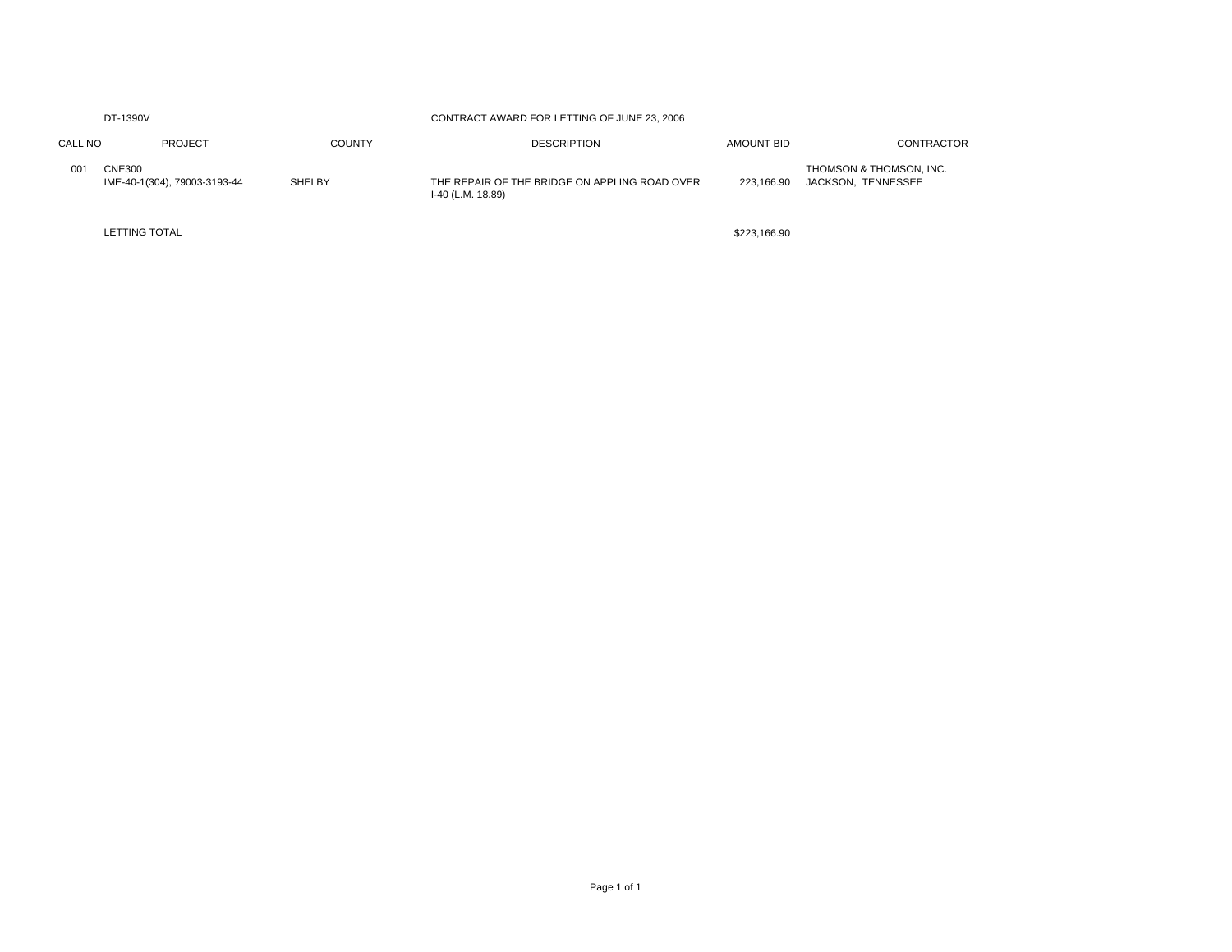| DT-1390V |                                               |               | CONTRACT AWARD FOR LETTING OF JUNE 23, 2006                        |              |                                               |  |
|----------|-----------------------------------------------|---------------|--------------------------------------------------------------------|--------------|-----------------------------------------------|--|
| CALL NO  | PROJECT                                       | <b>COUNTY</b> | <b>DESCRIPTION</b>                                                 | AMOUNT BID   | <b>CONTRACTOR</b>                             |  |
| 001      | <b>CNE300</b><br>IME-40-1(304), 79003-3193-44 | <b>SHELBY</b> | THE REPAIR OF THE BRIDGE ON APPLING ROAD OVER<br>I-40 (L.M. 18.89) | 223.166.90   | THOMSON & THOMSON, INC.<br>JACKSON, TENNESSEE |  |
|          | <b>LETTING TOTAL</b>                          |               |                                                                    | \$223.166.90 |                                               |  |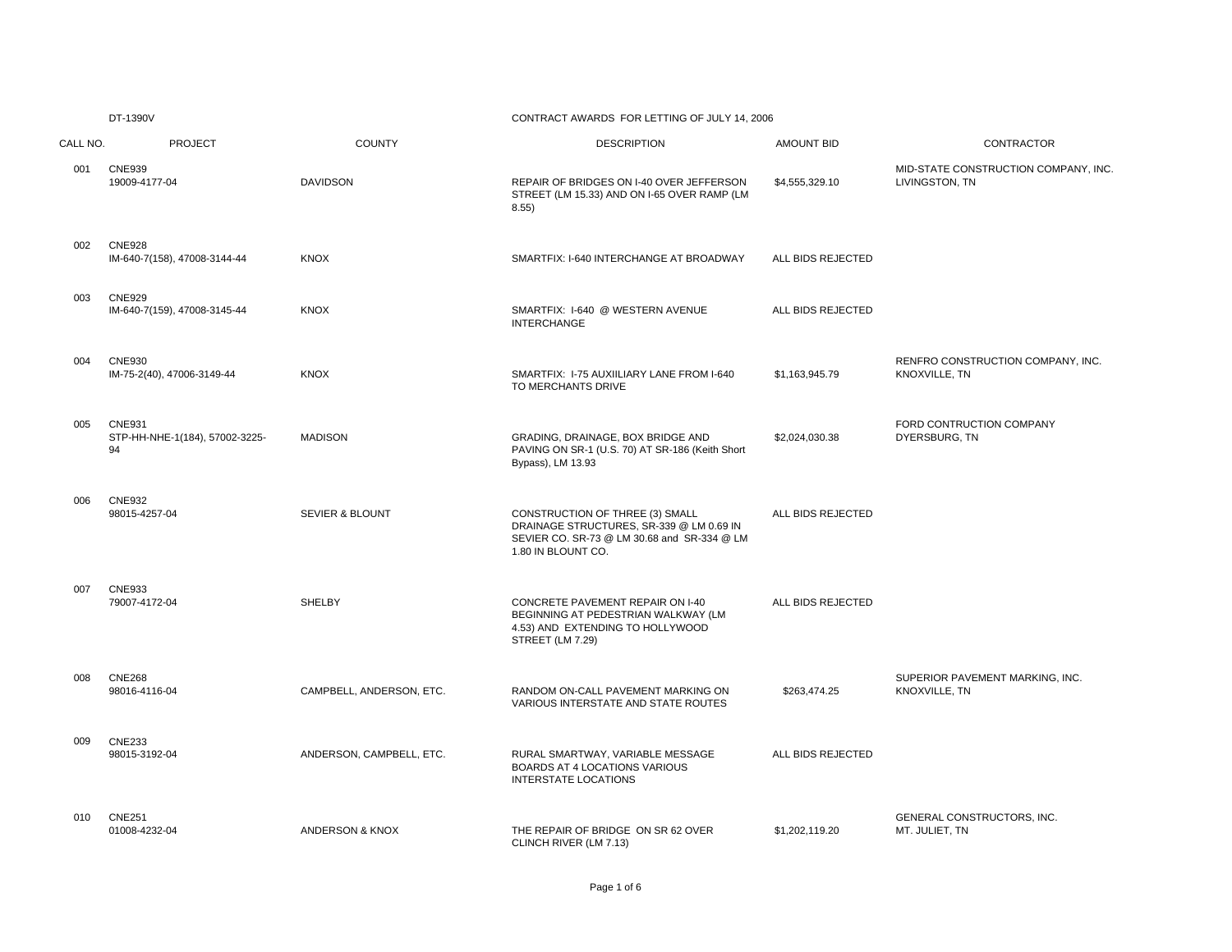# CONTRACT AWARDS FOR LETTING OF JULY 14, 2006

| CALL NO. | <b>PROJECT</b>                                        | <b>COUNTY</b>              | <b>DESCRIPTION</b>                                                                                                                               | <b>AMOUNT BID</b> | CONTRACTOR                                             |
|----------|-------------------------------------------------------|----------------------------|--------------------------------------------------------------------------------------------------------------------------------------------------|-------------------|--------------------------------------------------------|
| 001      | <b>CNE939</b><br>19009-4177-04                        | <b>DAVIDSON</b>            | REPAIR OF BRIDGES ON I-40 OVER JEFFERSON<br>STREET (LM 15.33) AND ON I-65 OVER RAMP (LM<br>8.55)                                                 | \$4,555,329.10    | MID-STATE CONSTRUCTION COMPANY, INC.<br>LIVINGSTON, TN |
| 002      | <b>CNE928</b><br>IM-640-7(158), 47008-3144-44         | <b>KNOX</b>                | SMARTFIX: I-640 INTERCHANGE AT BROADWAY                                                                                                          | ALL BIDS REJECTED |                                                        |
| 003      | <b>CNE929</b><br>IM-640-7(159), 47008-3145-44         | <b>KNOX</b>                | SMARTFIX: I-640 @ WESTERN AVENUE<br><b>INTERCHANGE</b>                                                                                           | ALL BIDS REJECTED |                                                        |
| 004      | <b>CNE930</b><br>IM-75-2(40), 47006-3149-44           | <b>KNOX</b>                | SMARTFIX: I-75 AUXIILIARY LANE FROM I-640<br>TO MERCHANTS DRIVE                                                                                  | \$1,163,945.79    | RENFRO CONSTRUCTION COMPANY, INC.<br>KNOXVILLE, TN     |
| 005      | <b>CNE931</b><br>STP-HH-NHE-1(184), 57002-3225-<br>94 | <b>MADISON</b>             | GRADING, DRAINAGE, BOX BRIDGE AND<br>PAVING ON SR-1 (U.S. 70) AT SR-186 (Keith Short<br>Bypass), LM 13.93                                        | \$2,024,030.38    | FORD CONTRUCTION COMPANY<br>DYERSBURG, TN              |
| 006      | <b>CNE932</b><br>98015-4257-04                        | <b>SEVIER &amp; BLOUNT</b> | CONSTRUCTION OF THREE (3) SMALL<br>DRAINAGE STRUCTURES, SR-339 @ LM 0.69 IN<br>SEVIER CO. SR-73 @ LM 30.68 and SR-334 @ LM<br>1.80 IN BLOUNT CO. | ALL BIDS REJECTED |                                                        |
| 007      | <b>CNE933</b><br>79007-4172-04                        | SHELBY                     | CONCRETE PAVEMENT REPAIR ON I-40<br>BEGINNING AT PEDESTRIAN WALKWAY (LM<br>4.53) AND EXTENDING TO HOLLYWOOD<br>STREET (LM 7.29)                  | ALL BIDS REJECTED |                                                        |
| 008      | <b>CNE268</b><br>98016-4116-04                        | CAMPBELL, ANDERSON, ETC.   | RANDOM ON-CALL PAVEMENT MARKING ON<br>VARIOUS INTERSTATE AND STATE ROUTES                                                                        | \$263,474.25      | SUPERIOR PAVEMENT MARKING, INC.<br>KNOXVILLE, TN       |
| 009      | <b>CNE233</b><br>98015-3192-04                        | ANDERSON, CAMPBELL, ETC.   | RURAL SMARTWAY, VARIABLE MESSAGE<br>BOARDS AT 4 LOCATIONS VARIOUS<br><b>INTERSTATE LOCATIONS</b>                                                 | ALL BIDS REJECTED |                                                        |
| 010      | <b>CNE251</b><br>01008-4232-04                        | ANDERSON & KNOX            | THE REPAIR OF BRIDGE ON SR 62 OVER<br>CLINCH RIVER (LM 7.13)                                                                                     | \$1,202,119.20    | GENERAL CONSTRUCTORS, INC.<br>MT. JULIET, TN           |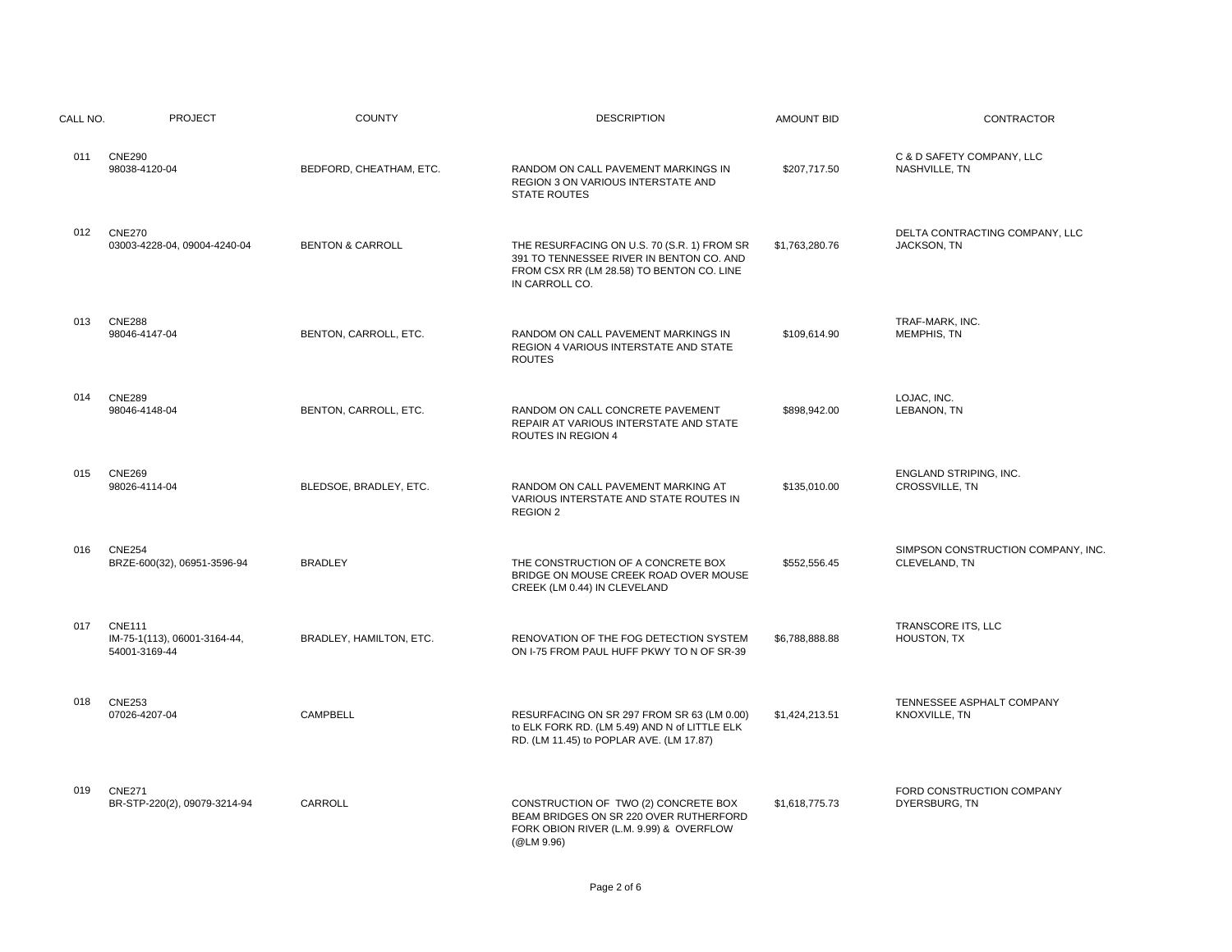| CALL NO. | <b>PROJECT</b>                                                 | <b>COUNTY</b>               | <b>DESCRIPTION</b>                                                                                                                                     | <b>AMOUNT BID</b> | CONTRACTOR                                          |
|----------|----------------------------------------------------------------|-----------------------------|--------------------------------------------------------------------------------------------------------------------------------------------------------|-------------------|-----------------------------------------------------|
| 011      | <b>CNE290</b><br>98038-4120-04                                 | BEDFORD, CHEATHAM, ETC.     | RANDOM ON CALL PAVEMENT MARKINGS IN<br>REGION 3 ON VARIOUS INTERSTATE AND<br><b>STATE ROUTES</b>                                                       | \$207,717.50      | C & D SAFETY COMPANY, LLC<br>NASHVILLE, TN          |
| 012      | <b>CNE270</b><br>03003-4228-04, 09004-4240-04                  | <b>BENTON &amp; CARROLL</b> | THE RESURFACING ON U.S. 70 (S.R. 1) FROM SR<br>391 TO TENNESSEE RIVER IN BENTON CO. AND<br>FROM CSX RR (LM 28.58) TO BENTON CO. LINE<br>IN CARROLL CO. | \$1,763,280.76    | DELTA CONTRACTING COMPANY, LLC<br>JACKSON, TN       |
| 013      | <b>CNE288</b><br>98046-4147-04                                 | BENTON, CARROLL, ETC.       | RANDOM ON CALL PAVEMENT MARKINGS IN<br>REGION 4 VARIOUS INTERSTATE AND STATE<br><b>ROUTES</b>                                                          | \$109,614.90      | TRAF-MARK, INC.<br>MEMPHIS, TN                      |
| 014      | <b>CNE289</b><br>98046-4148-04                                 | BENTON, CARROLL, ETC.       | RANDOM ON CALL CONCRETE PAVEMENT<br>REPAIR AT VARIOUS INTERSTATE AND STATE<br><b>ROUTES IN REGION 4</b>                                                | \$898,942.00      | LOJAC, INC.<br>LEBANON, TN                          |
| 015      | <b>CNE269</b><br>98026-4114-04                                 | BLEDSOE, BRADLEY, ETC.      | RANDOM ON CALL PAVEMENT MARKING AT<br>VARIOUS INTERSTATE AND STATE ROUTES IN<br>REGION 2                                                               | \$135,010.00      | ENGLAND STRIPING, INC.<br>CROSSVILLE, TN            |
| 016      | <b>CNE254</b><br>BRZE-600(32), 06951-3596-94                   | <b>BRADLEY</b>              | THE CONSTRUCTION OF A CONCRETE BOX<br>BRIDGE ON MOUSE CREEK ROAD OVER MOUSE<br>CREEK (LM 0.44) IN CLEVELAND                                            | \$552,556.45      | SIMPSON CONSTRUCTION COMPANY, INC.<br>CLEVELAND, TN |
| 017      | <b>CNE111</b><br>IM-75-1(113), 06001-3164-44,<br>54001-3169-44 | BRADLEY, HAMILTON, ETC.     | RENOVATION OF THE FOG DETECTION SYSTEM<br>ON I-75 FROM PAUL HUFF PKWY TO N OF SR-39                                                                    | \$6,788,888.88    | TRANSCORE ITS, LLC<br>HOUSTON, TX                   |
| 018      | <b>CNE253</b><br>07026-4207-04                                 | CAMPBELL                    | RESURFACING ON SR 297 FROM SR 63 (LM 0.00)<br>to ELK FORK RD. (LM 5.49) AND N of LITTLE ELK<br>RD. (LM 11.45) to POPLAR AVE. (LM 17.87)                | \$1,424,213.51    | TENNESSEE ASPHALT COMPANY<br>KNOXVILLE, TN          |
| 019      | <b>CNE271</b><br>BR-STP-220(2), 09079-3214-94                  | CARROLL                     | CONSTRUCTION OF TWO (2) CONCRETE BOX<br>BEAM BRIDGES ON SR 220 OVER RUTHERFORD<br>FORK OBION RIVER (L.M. 9.99) & OVERFLOW<br>(@LM 9.96)                | \$1,618,775.73    | FORD CONSTRUCTION COMPANY<br>DYERSBURG, TN          |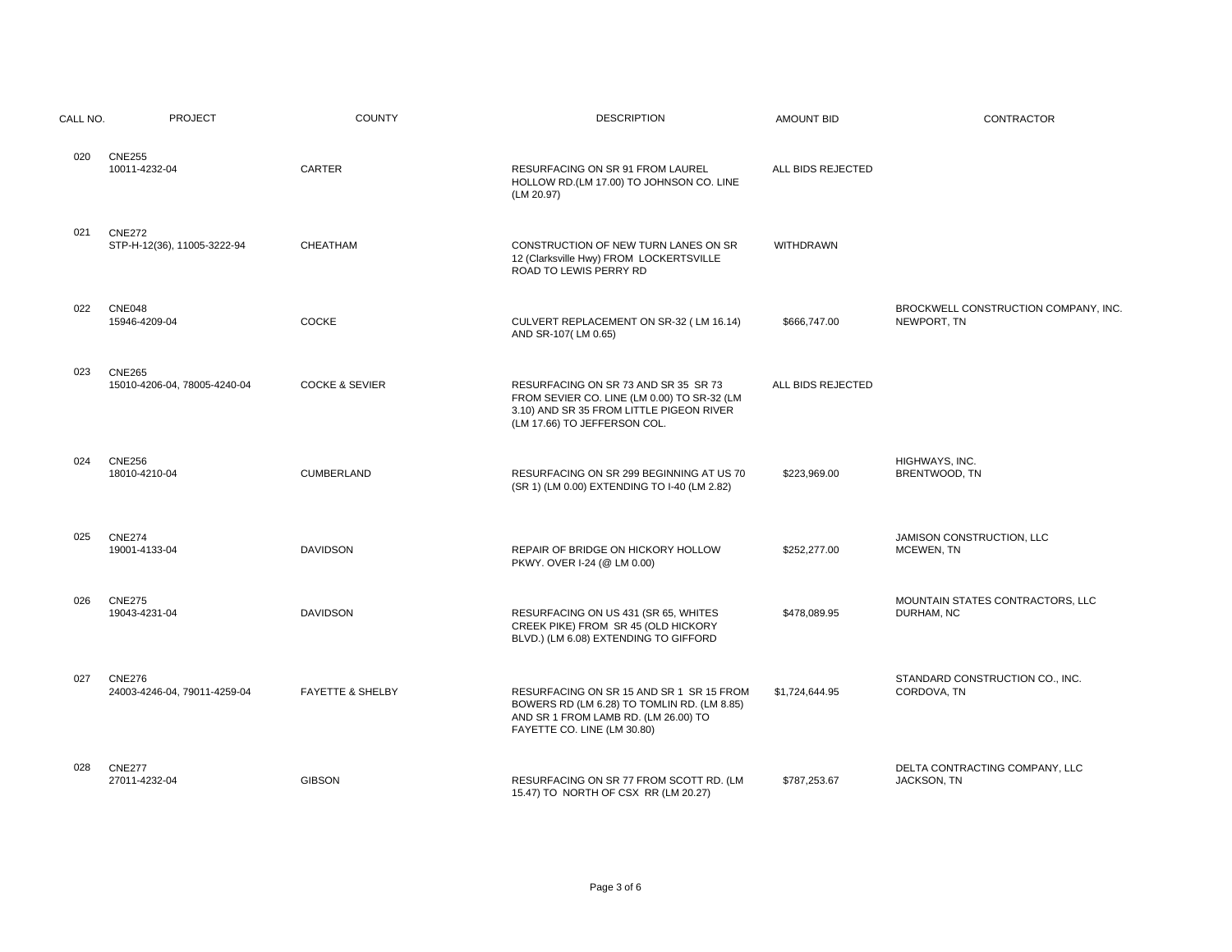| CALL NO. | <b>PROJECT</b>                                | <b>COUNTY</b>               | <b>DESCRIPTION</b>                                                                                                                                              | <b>AMOUNT BID</b> | CONTRACTOR                                          |
|----------|-----------------------------------------------|-----------------------------|-----------------------------------------------------------------------------------------------------------------------------------------------------------------|-------------------|-----------------------------------------------------|
| 020      | <b>CNE255</b><br>10011-4232-04                | CARTER                      | <b>RESURFACING ON SR 91 FROM LAUREL</b><br>HOLLOW RD.(LM 17.00) TO JOHNSON CO. LINE<br>(LM 20.97)                                                               | ALL BIDS REJECTED |                                                     |
| 021      | <b>CNE272</b><br>STP-H-12(36), 11005-3222-94  | CHEATHAM                    | CONSTRUCTION OF NEW TURN LANES ON SR<br>12 (Clarksville Hwy) FROM LOCKERTSVILLE<br>ROAD TO LEWIS PERRY RD                                                       | <b>WITHDRAWN</b>  |                                                     |
| 022      | <b>CNE048</b><br>15946-4209-04                | COCKE                       | CULVERT REPLACEMENT ON SR-32 (LM 16.14)<br>AND SR-107(LM 0.65)                                                                                                  | \$666,747.00      | BROCKWELL CONSTRUCTION COMPANY, INC.<br>NEWPORT, TN |
| 023      | <b>CNE265</b><br>15010-4206-04, 78005-4240-04 | <b>COCKE &amp; SEVIER</b>   | RESURFACING ON SR 73 AND SR 35 SR 73<br>FROM SEVIER CO. LINE (LM 0.00) TO SR-32 (LM<br>3.10) AND SR 35 FROM LITTLE PIGEON RIVER<br>(LM 17.66) TO JEFFERSON COL. | ALL BIDS REJECTED |                                                     |
| 024      | <b>CNE256</b><br>18010-4210-04                | CUMBERLAND                  | RESURFACING ON SR 299 BEGINNING AT US 70<br>(SR 1) (LM 0.00) EXTENDING TO I-40 (LM 2.82)                                                                        | \$223,969.00      | HIGHWAYS, INC.<br>BRENTWOOD, TN                     |
| 025      | <b>CNE274</b><br>19001-4133-04                | <b>DAVIDSON</b>             | REPAIR OF BRIDGE ON HICKORY HOLLOW<br>PKWY. OVER I-24 (@ LM 0.00)                                                                                               | \$252,277.00      | JAMISON CONSTRUCTION, LLC<br>MCEWEN, TN             |
| 026      | <b>CNE275</b><br>19043-4231-04                | <b>DAVIDSON</b>             | RESURFACING ON US 431 (SR 65, WHITES<br>CREEK PIKE) FROM SR 45 (OLD HICKORY<br>BLVD.) (LM 6.08) EXTENDING TO GIFFORD                                            | \$478,089.95      | MOUNTAIN STATES CONTRACTORS, LLC<br>DURHAM, NC      |
| 027      | <b>CNE276</b><br>24003-4246-04, 79011-4259-04 | <b>FAYETTE &amp; SHELBY</b> | RESURFACING ON SR 15 AND SR 1 SR 15 FROM<br>BOWERS RD (LM 6.28) TO TOMLIN RD. (LM 8.85)<br>AND SR 1 FROM LAMB RD. (LM 26.00) TO<br>FAYETTE CO. LINE (LM 30.80)  | \$1,724,644.95    | STANDARD CONSTRUCTION CO., INC.<br>CORDOVA, TN      |
| 028      | <b>CNE277</b><br>27011-4232-04                | <b>GIBSON</b>               | RESURFACING ON SR 77 FROM SCOTT RD. (LM<br>15.47) TO NORTH OF CSX RR (LM 20.27)                                                                                 | \$787,253.67      | DELTA CONTRACTING COMPANY, LLC<br>JACKSON, TN       |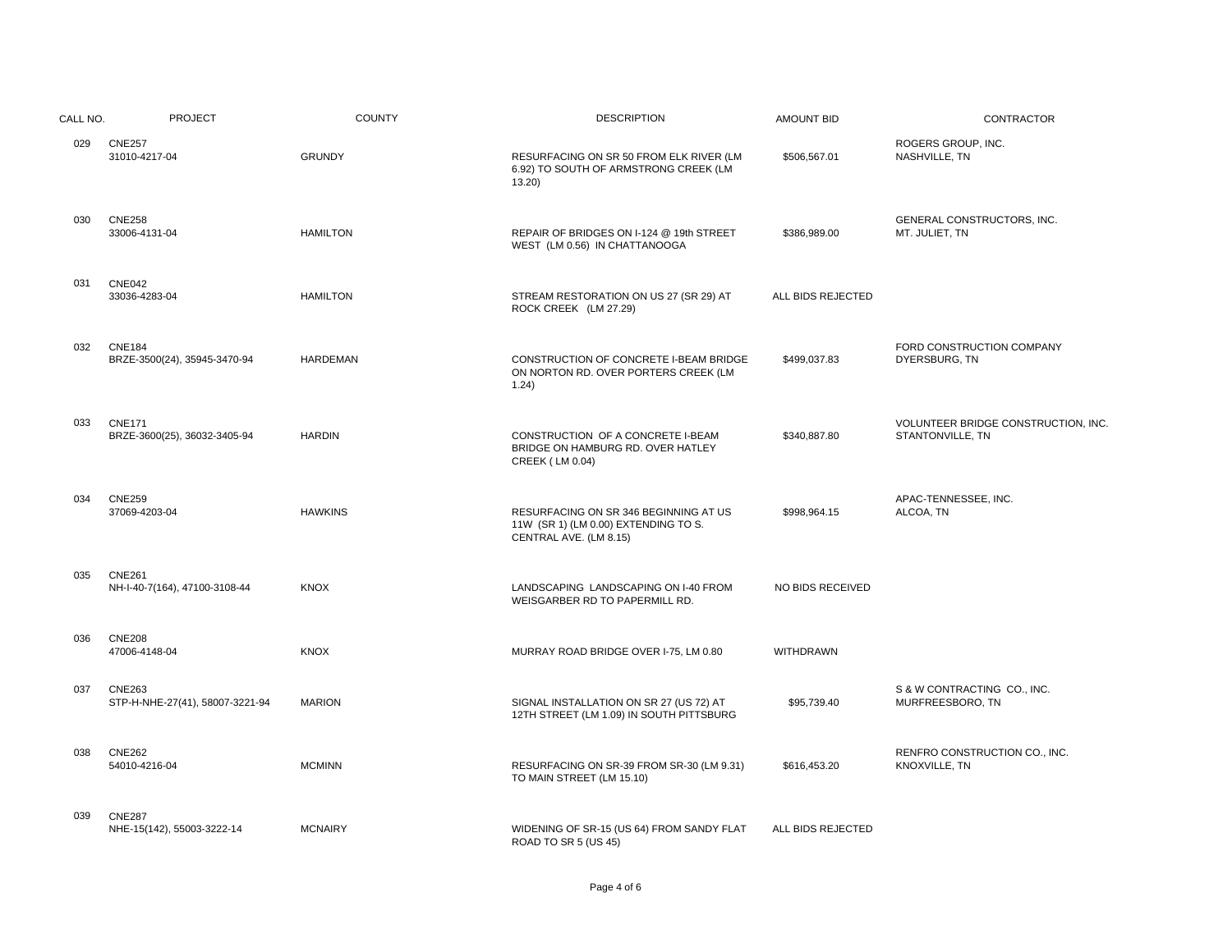| CALL NO. | <b>PROJECT</b>                                   | <b>COUNTY</b>   | <b>DESCRIPTION</b>                                                                                      | <b>AMOUNT BID</b>       | CONTRACTOR                                              |
|----------|--------------------------------------------------|-----------------|---------------------------------------------------------------------------------------------------------|-------------------------|---------------------------------------------------------|
| 029      | <b>CNE257</b><br>31010-4217-04                   | <b>GRUNDY</b>   | RESURFACING ON SR 50 FROM ELK RIVER (LM<br>6.92) TO SOUTH OF ARMSTRONG CREEK (LM<br>13.20               | \$506,567.01            | ROGERS GROUP, INC.<br>NASHVILLE, TN                     |
| 030      | <b>CNE258</b><br>33006-4131-04                   | <b>HAMILTON</b> | REPAIR OF BRIDGES ON I-124 @ 19th STREET<br>WEST (LM 0.56) IN CHATTANOOGA                               | \$386,989.00            | GENERAL CONSTRUCTORS, INC.<br>MT. JULIET, TN            |
| 031      | <b>CNE042</b><br>33036-4283-04                   | <b>HAMILTON</b> | STREAM RESTORATION ON US 27 (SR 29) AT<br>ROCK CREEK (LM 27.29)                                         | ALL BIDS REJECTED       |                                                         |
| 032      | <b>CNE184</b><br>BRZE-3500(24), 35945-3470-94    | <b>HARDEMAN</b> | CONSTRUCTION OF CONCRETE I-BEAM BRIDGE<br>ON NORTON RD. OVER PORTERS CREEK (LM<br>1.24)                 | \$499,037.83            | FORD CONSTRUCTION COMPANY<br>DYERSBURG, TN              |
| 033      | <b>CNE171</b><br>BRZE-3600(25), 36032-3405-94    | <b>HARDIN</b>   | CONSTRUCTION OF A CONCRETE I-BEAM<br>BRIDGE ON HAMBURG RD. OVER HATLEY<br><b>CREEK (LM 0.04)</b>        | \$340,887.80            | VOLUNTEER BRIDGE CONSTRUCTION, INC.<br>STANTONVILLE, TN |
| 034      | <b>CNE259</b><br>37069-4203-04                   | <b>HAWKINS</b>  | RESURFACING ON SR 346 BEGINNING AT US<br>11W (SR 1) (LM 0.00) EXTENDING TO S.<br>CENTRAL AVE. (LM 8.15) | \$998,964.15            | APAC-TENNESSEE, INC.<br>ALCOA, TN                       |
| 035      | <b>CNE261</b><br>NH-I-40-7(164), 47100-3108-44   | <b>KNOX</b>     | LANDSCAPING LANDSCAPING ON I-40 FROM<br>WEISGARBER RD TO PAPERMILL RD.                                  | <b>NO BIDS RECEIVED</b> |                                                         |
| 036      | <b>CNE208</b><br>47006-4148-04                   | <b>KNOX</b>     | MURRAY ROAD BRIDGE OVER I-75, LM 0.80                                                                   | WITHDRAWN               |                                                         |
| 037      | <b>CNE263</b><br>STP-H-NHE-27(41), 58007-3221-94 | <b>MARION</b>   | SIGNAL INSTALLATION ON SR 27 (US 72) AT<br>12TH STREET (LM 1.09) IN SOUTH PITTSBURG                     | \$95,739.40             | S & W CONTRACTING CO., INC.<br>MURFREESBORO, TN         |
| 038      | <b>CNE262</b><br>54010-4216-04                   | <b>MCMINN</b>   | RESURFACING ON SR-39 FROM SR-30 (LM 9.31)<br>TO MAIN STREET (LM 15.10)                                  | \$616,453.20            | RENFRO CONSTRUCTION CO., INC.<br>KNOXVILLE, TN          |
| 039      | <b>CNE287</b><br>NHE-15(142), 55003-3222-14      | <b>MCNAIRY</b>  | WIDENING OF SR-15 (US 64) FROM SANDY FLAT<br>ROAD TO SR 5 (US 45)                                       | ALL BIDS REJECTED       |                                                         |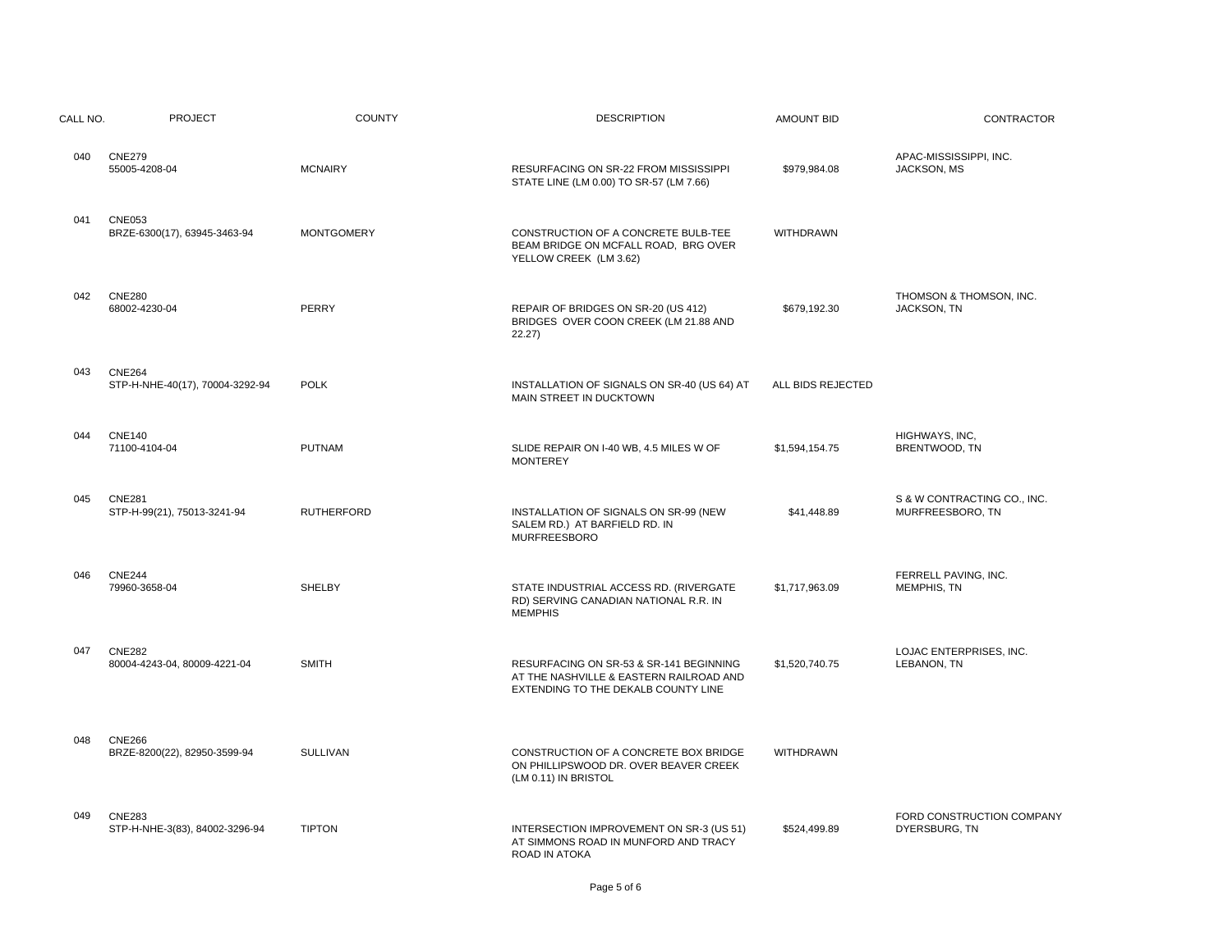| CALL NO. | <b>PROJECT</b>                                   | <b>COUNTY</b>     | <b>DESCRIPTION</b>                                                                                                        | <b>AMOUNT BID</b> | CONTRACTOR                                      |
|----------|--------------------------------------------------|-------------------|---------------------------------------------------------------------------------------------------------------------------|-------------------|-------------------------------------------------|
| 040      | <b>CNE279</b><br>55005-4208-04                   | <b>MCNAIRY</b>    | RESURFACING ON SR-22 FROM MISSISSIPPI<br>STATE LINE (LM 0.00) TO SR-57 (LM 7.66)                                          | \$979,984.08      | APAC-MISSISSIPPI, INC.<br>JACKSON, MS           |
| 041      | <b>CNE053</b><br>BRZE-6300(17), 63945-3463-94    | <b>MONTGOMERY</b> | CONSTRUCTION OF A CONCRETE BULB-TEE<br>BEAM BRIDGE ON MCFALL ROAD, BRG OVER<br>YELLOW CREEK (LM 3.62)                     | <b>WITHDRAWN</b>  |                                                 |
| 042      | <b>CNE280</b><br>68002-4230-04                   | PERRY             | REPAIR OF BRIDGES ON SR-20 (US 412)<br>BRIDGES OVER COON CREEK (LM 21.88 AND<br>22.27)                                    | \$679,192.30      | THOMSON & THOMSON, INC.<br>JACKSON, TN          |
| 043      | <b>CNE264</b><br>STP-H-NHE-40(17), 70004-3292-94 | <b>POLK</b>       | INSTALLATION OF SIGNALS ON SR-40 (US 64) AT<br>MAIN STREET IN DUCKTOWN                                                    | ALL BIDS REJECTED |                                                 |
| 044      | <b>CNE140</b><br>71100-4104-04                   | <b>PUTNAM</b>     | SLIDE REPAIR ON I-40 WB, 4.5 MILES W OF<br><b>MONTEREY</b>                                                                | \$1,594,154.75    | HIGHWAYS, INC,<br>BRENTWOOD, TN                 |
| 045      | <b>CNE281</b><br>STP-H-99(21), 75013-3241-94     | <b>RUTHERFORD</b> | INSTALLATION OF SIGNALS ON SR-99 (NEW<br>SALEM RD.) AT BARFIELD RD. IN<br><b>MURFREESBORO</b>                             | \$41,448.89       | S & W CONTRACTING CO., INC.<br>MURFREESBORO, TN |
| 046      | <b>CNE244</b><br>79960-3658-04                   | <b>SHELBY</b>     | STATE INDUSTRIAL ACCESS RD. (RIVERGATE<br>RD) SERVING CANADIAN NATIONAL R.R. IN<br><b>MEMPHIS</b>                         | \$1,717,963.09    | FERRELL PAVING, INC.<br><b>MEMPHIS, TN</b>      |
| 047      | <b>CNE282</b><br>80004-4243-04, 80009-4221-04    | <b>SMITH</b>      | RESURFACING ON SR-53 & SR-141 BEGINNING<br>AT THE NASHVILLE & EASTERN RAILROAD AND<br>EXTENDING TO THE DEKALB COUNTY LINE | \$1,520,740.75    | LOJAC ENTERPRISES, INC.<br>LEBANON, TN          |
| 048      | <b>CNE266</b><br>BRZE-8200(22), 82950-3599-94    | <b>SULLIVAN</b>   | CONSTRUCTION OF A CONCRETE BOX BRIDGE<br>ON PHILLIPSWOOD DR. OVER BEAVER CREEK<br>(LM 0.11) IN BRISTOL                    | <b>WITHDRAWN</b>  |                                                 |
| 049      | <b>CNE283</b><br>STP-H-NHE-3(83), 84002-3296-94  | <b>TIPTON</b>     | INTERSECTION IMPROVEMENT ON SR-3 (US 51)<br>AT SIMMONS ROAD IN MUNFORD AND TRACY<br>ROAD IN ATOKA                         | \$524,499.89      | FORD CONSTRUCTION COMPANY<br>DYERSBURG, TN      |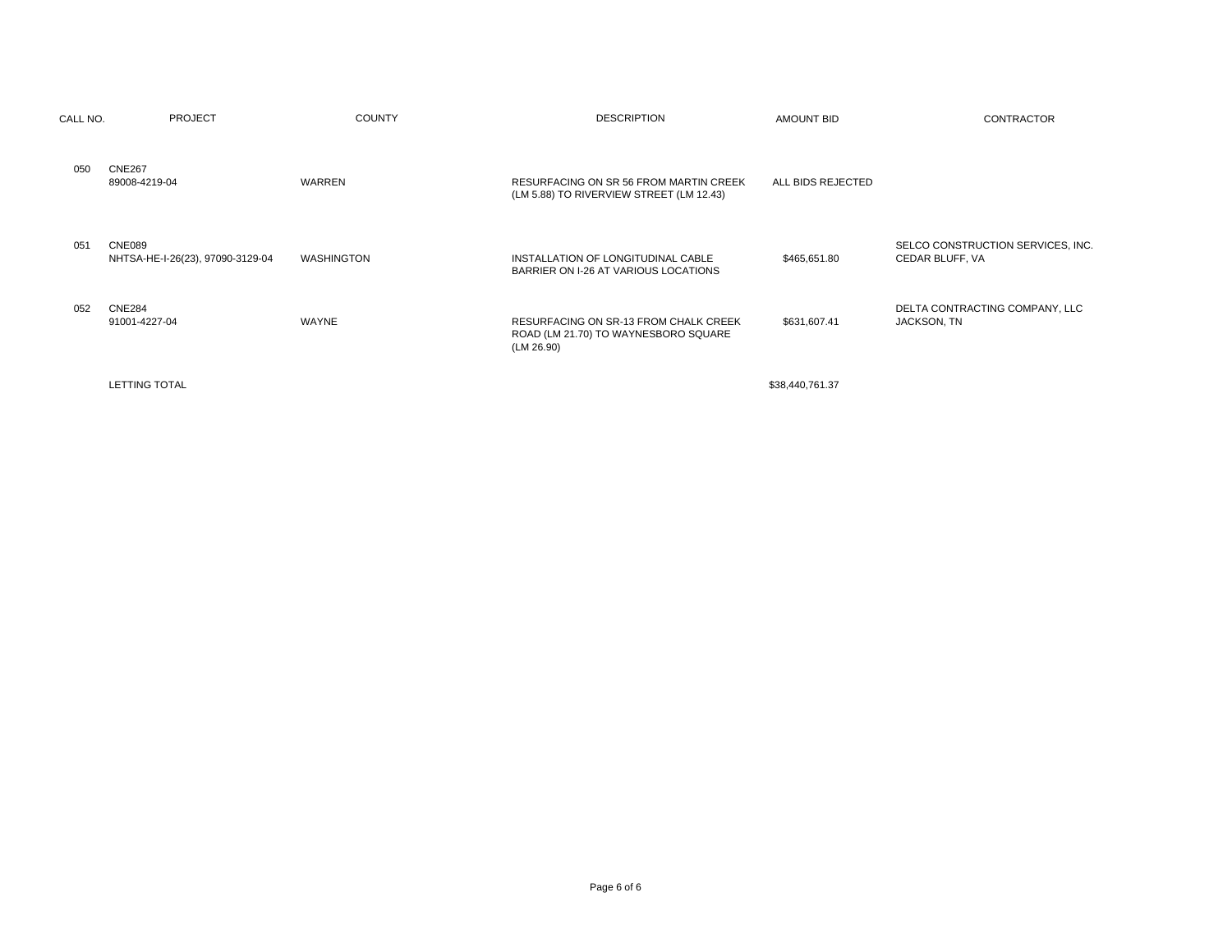| CALL NO. | <b>PROJECT</b>                                    | <b>COUNTY</b> | <b>DESCRIPTION</b>                                                                                 | <b>AMOUNT BID</b> | CONTRACTOR                                           |
|----------|---------------------------------------------------|---------------|----------------------------------------------------------------------------------------------------|-------------------|------------------------------------------------------|
| 050      | <b>CNE267</b><br>89008-4219-04                    | WARREN        | RESURFACING ON SR 56 FROM MARTIN CREEK<br>(LM 5.88) TO RIVERVIEW STREET (LM 12.43)                 | ALL BIDS REJECTED |                                                      |
| 051      | <b>CNE089</b><br>NHTSA-HE-I-26(23), 97090-3129-04 | WASHINGTON    | INSTALLATION OF LONGITUDINAL CABLE<br>BARRIER ON I-26 AT VARIOUS LOCATIONS                         | \$465,651.80      | SELCO CONSTRUCTION SERVICES, INC.<br>CEDAR BLUFF, VA |
| 052      | <b>CNE284</b><br>91001-4227-04                    | WAYNE         | <b>RESURFACING ON SR-13 FROM CHALK CREEK</b><br>ROAD (LM 21.70) TO WAYNESBORO SQUARE<br>(LM 26.90) | \$631,607.41      | DELTA CONTRACTING COMPANY, LLC<br>JACKSON, TN        |
|          | <b>LETTING TOTAL</b>                              |               |                                                                                                    | \$38,440,761.37   |                                                      |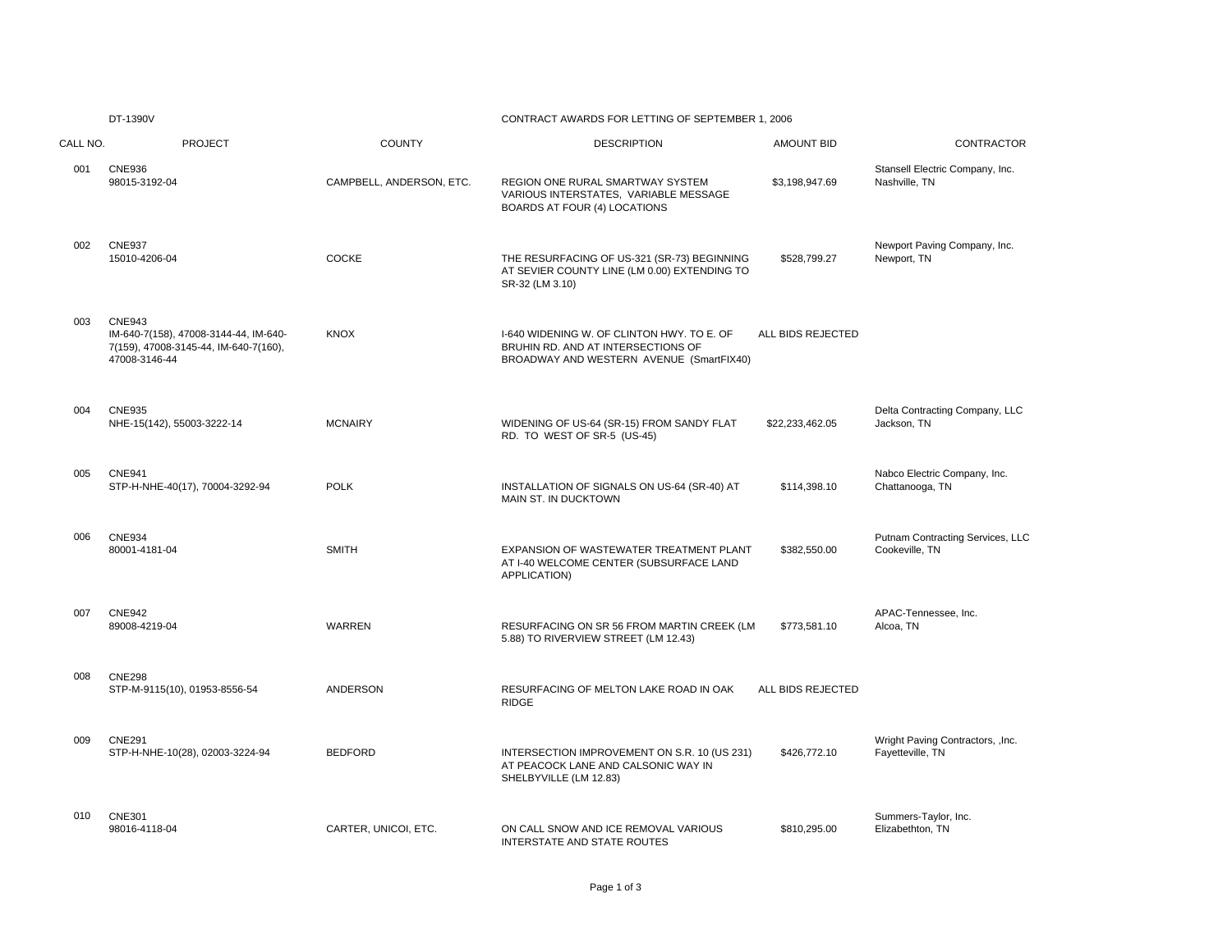|          | DT-1390V                                                                                                         |                          | CONTRACT AWARDS FOR LETTING OF SEPTEMBER 1, 2006                                                                             |                   |                                                       |  |
|----------|------------------------------------------------------------------------------------------------------------------|--------------------------|------------------------------------------------------------------------------------------------------------------------------|-------------------|-------------------------------------------------------|--|
| CALL NO. | <b>PROJECT</b>                                                                                                   | <b>COUNTY</b>            | <b>DESCRIPTION</b>                                                                                                           | <b>AMOUNT BID</b> | <b>CONTRACTOR</b>                                     |  |
| 001      | <b>CNE936</b><br>98015-3192-04                                                                                   | CAMPBELL, ANDERSON, ETC. | REGION ONE RURAL SMARTWAY SYSTEM<br>VARIOUS INTERSTATES, VARIABLE MESSAGE<br>BOARDS AT FOUR (4) LOCATIONS                    | \$3,198,947.69    | Stansell Electric Company, Inc.<br>Nashville, TN      |  |
| 002      | <b>CNE937</b><br>15010-4206-04                                                                                   | <b>COCKE</b>             | THE RESURFACING OF US-321 (SR-73) BEGINNING<br>AT SEVIER COUNTY LINE (LM 0.00) EXTENDING TO<br>SR-32 (LM 3.10)               | \$528,799.27      | Newport Paving Company, Inc.<br>Newport, TN           |  |
| 003      | <b>CNE943</b><br>IM-640-7(158), 47008-3144-44, IM-640-<br>7(159), 47008-3145-44, IM-640-7(160),<br>47008-3146-44 | <b>KNOX</b>              | I-640 WIDENING W. OF CLINTON HWY. TO E. OF<br>BRUHIN RD. AND AT INTERSECTIONS OF<br>BROADWAY AND WESTERN AVENUE (SmartFIX40) | ALL BIDS REJECTED |                                                       |  |
| 004      | <b>CNE935</b><br>NHE-15(142), 55003-3222-14                                                                      | <b>MCNAIRY</b>           | WIDENING OF US-64 (SR-15) FROM SANDY FLAT<br>RD. TO WEST OF SR-5 (US-45)                                                     | \$22,233,462.05   | Delta Contracting Company, LLC<br>Jackson, TN         |  |
| 005      | <b>CNE941</b><br>STP-H-NHE-40(17), 70004-3292-94                                                                 | <b>POLK</b>              | INSTALLATION OF SIGNALS ON US-64 (SR-40) AT<br>MAIN ST. IN DUCKTOWN                                                          | \$114,398.10      | Nabco Electric Company, Inc.<br>Chattanooga, TN       |  |
| 006      | <b>CNE934</b><br>80001-4181-04                                                                                   | <b>SMITH</b>             | EXPANSION OF WASTEWATER TREATMENT PLANT<br>AT I-40 WELCOME CENTER (SUBSURFACE LAND<br>APPLICATION)                           | \$382,550.00      | Putnam Contracting Services, LLC<br>Cookeville, TN    |  |
| 007      | <b>CNE942</b><br>89008-4219-04                                                                                   | <b>WARREN</b>            | RESURFACING ON SR 56 FROM MARTIN CREEK (LM<br>5.88) TO RIVERVIEW STREET (LM 12.43)                                           | \$773,581.10      | APAC-Tennessee, Inc.<br>Alcoa, TN                     |  |
| 008      | <b>CNE298</b><br>STP-M-9115(10), 01953-8556-54                                                                   | ANDERSON                 | RESURFACING OF MELTON LAKE ROAD IN OAK<br><b>RIDGE</b>                                                                       | ALL BIDS REJECTED |                                                       |  |
| 009      | <b>CNE291</b><br>STP-H-NHE-10(28), 02003-3224-94                                                                 | <b>BEDFORD</b>           | INTERSECTION IMPROVEMENT ON S.R. 10 (US 231)<br>AT PEACOCK LANE AND CALSONIC WAY IN<br>SHELBYVILLE (LM 12.83)                | \$426,772.10      | Wright Paving Contractors, , Inc.<br>Fayetteville, TN |  |
| 010      | <b>CNE301</b><br>98016-4118-04                                                                                   | CARTER, UNICOI, ETC.     | ON CALL SNOW AND ICE REMOVAL VARIOUS<br><b>INTERSTATE AND STATE ROUTES</b>                                                   | \$810,295.00      | Summers-Taylor, Inc.<br>Elizabethton, TN              |  |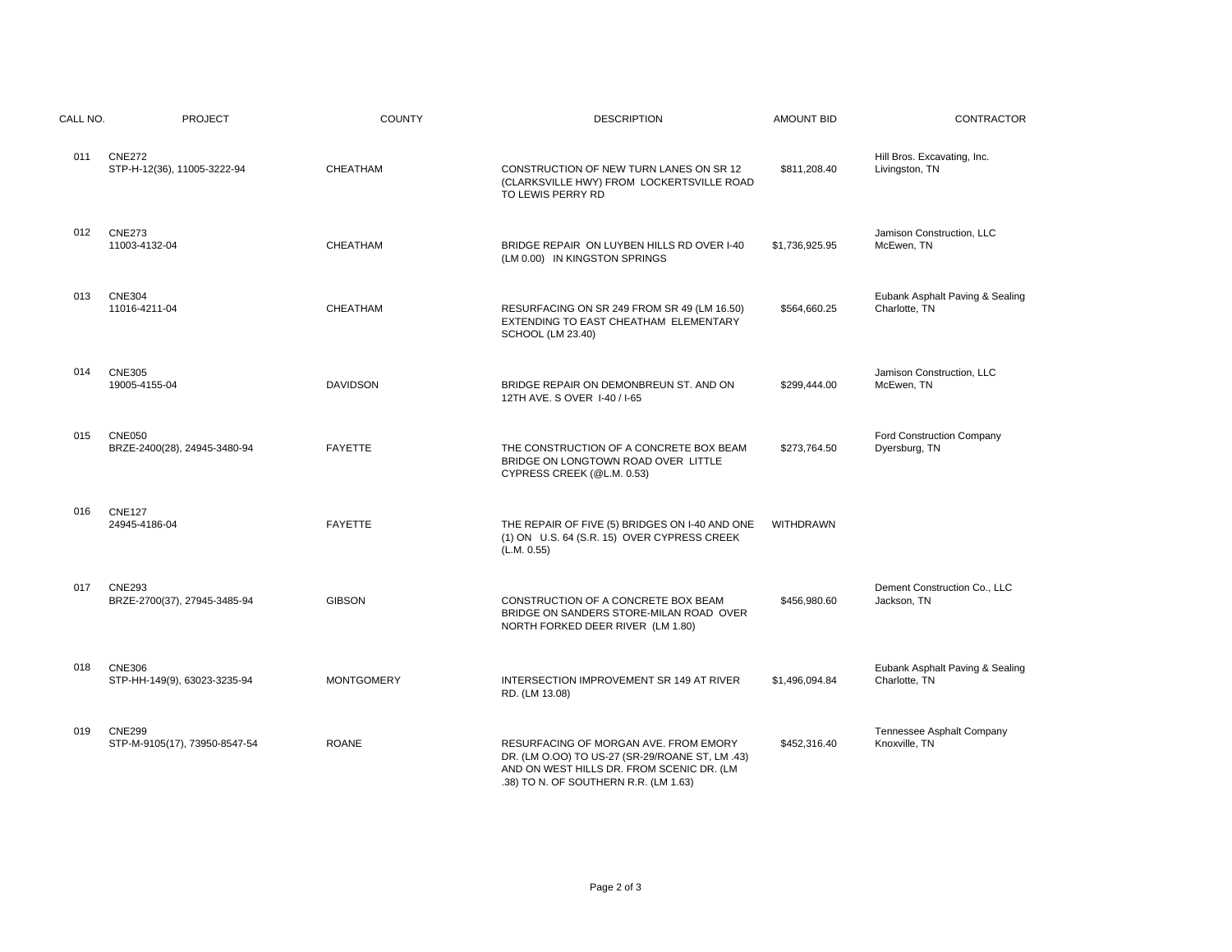| CALL NO. | <b>PROJECT</b>                                 | <b>COUNTY</b>     | <b>DESCRIPTION</b>                                                                                                                                                             | <b>AMOUNT BID</b> | CONTRACTOR                                       |
|----------|------------------------------------------------|-------------------|--------------------------------------------------------------------------------------------------------------------------------------------------------------------------------|-------------------|--------------------------------------------------|
| 011      | <b>CNE272</b><br>STP-H-12(36), 11005-3222-94   | CHEATHAM          | CONSTRUCTION OF NEW TURN LANES ON SR 12<br>(CLARKSVILLE HWY) FROM LOCKERTSVILLE ROAD<br>TO LEWIS PERRY RD                                                                      | \$811,208.40      | Hill Bros. Excavating, Inc.<br>Livingston, TN    |
| 012      | <b>CNE273</b><br>11003-4132-04                 | CHEATHAM          | BRIDGE REPAIR ON LUYBEN HILLS RD OVER I-40<br>(LM 0.00) IN KINGSTON SPRINGS                                                                                                    | \$1,736,925.95    | Jamison Construction, LLC<br>McEwen, TN          |
| 013      | <b>CNE304</b><br>11016-4211-04                 | CHEATHAM          | RESURFACING ON SR 249 FROM SR 49 (LM 16.50)<br>EXTENDING TO EAST CHEATHAM ELEMENTARY<br>SCHOOL (LM 23.40)                                                                      | \$564,660.25      | Eubank Asphalt Paving & Sealing<br>Charlotte, TN |
| 014      | <b>CNE305</b><br>19005-4155-04                 | <b>DAVIDSON</b>   | BRIDGE REPAIR ON DEMONBREUN ST. AND ON<br>12TH AVE, S OVER 1-40 / 1-65                                                                                                         | \$299,444.00      | Jamison Construction, LLC<br>McEwen, TN          |
| 015      | <b>CNE050</b><br>BRZE-2400(28), 24945-3480-94  | <b>FAYETTE</b>    | THE CONSTRUCTION OF A CONCRETE BOX BEAM<br>BRIDGE ON LONGTOWN ROAD OVER LITTLE<br>CYPRESS CREEK (@L.M. 0.53)                                                                   | \$273,764.50      | Ford Construction Company<br>Dyersburg, TN       |
| 016      | <b>CNE127</b><br>24945-4186-04                 | <b>FAYETTE</b>    | THE REPAIR OF FIVE (5) BRIDGES ON I-40 AND ONE<br>(1) ON U.S. 64 (S.R. 15) OVER CYPRESS CREEK<br>(L.M. 0.55)                                                                   | <b>WITHDRAWN</b>  |                                                  |
| 017      | <b>CNE293</b><br>BRZE-2700(37), 27945-3485-94  | <b>GIBSON</b>     | CONSTRUCTION OF A CONCRETE BOX BEAM<br>BRIDGE ON SANDERS STORE-MILAN ROAD OVER<br>NORTH FORKED DEER RIVER (LM 1.80)                                                            | \$456,980.60      | Dement Construction Co., LLC<br>Jackson, TN      |
| 018      | <b>CNE306</b><br>STP-HH-149(9), 63023-3235-94  | <b>MONTGOMERY</b> | INTERSECTION IMPROVEMENT SR 149 AT RIVER<br>RD. (LM 13.08)                                                                                                                     | \$1,496,094.84    | Eubank Asphalt Paving & Sealing<br>Charlotte, TN |
| 019      | <b>CNE299</b><br>STP-M-9105(17), 73950-8547-54 | <b>ROANE</b>      | RESURFACING OF MORGAN AVE. FROM EMORY<br>DR. (LM O.OO) TO US-27 (SR-29/ROANE ST, LM .43)<br>AND ON WEST HILLS DR. FROM SCENIC DR. (LM<br>.38) TO N. OF SOUTHERN R.R. (LM 1.63) | \$452,316.40      | Tennessee Asphalt Company<br>Knoxville, TN       |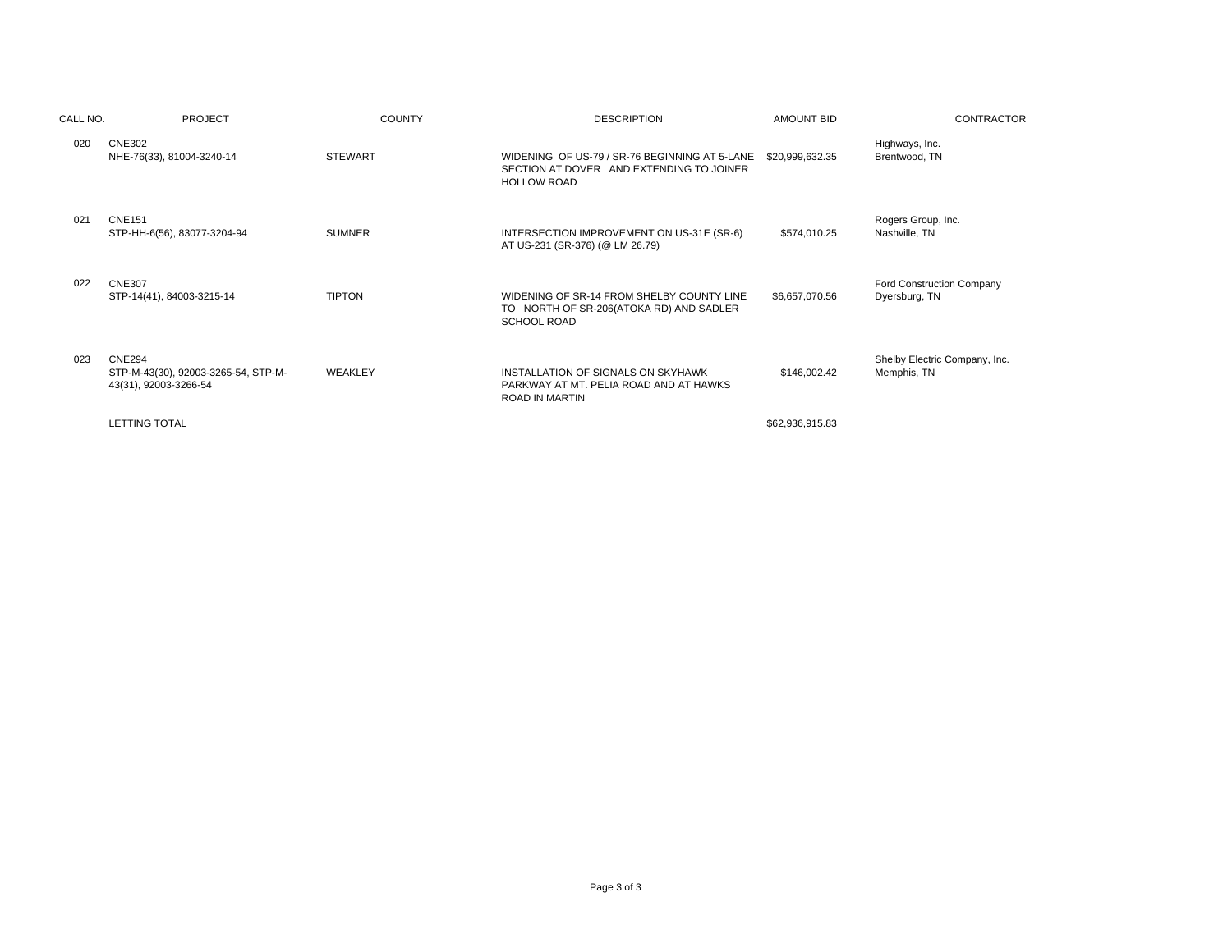| CALL NO. | <b>PROJECT</b>                                                                | <b>COUNTY</b>  | <b>DESCRIPTION</b>                                                                                              | <b>AMOUNT BID</b> | <b>CONTRACTOR</b>                            |
|----------|-------------------------------------------------------------------------------|----------------|-----------------------------------------------------------------------------------------------------------------|-------------------|----------------------------------------------|
| 020      | <b>CNE302</b><br>NHE-76(33), 81004-3240-14                                    | <b>STEWART</b> | WIDENING OF US-79 / SR-76 BEGINNING AT 5-LANE<br>SECTION AT DOVER AND EXTENDING TO JOINER<br><b>HOLLOW ROAD</b> | \$20,999,632.35   | Highways, Inc.<br>Brentwood, TN              |
| 021      | <b>CNE151</b><br>STP-HH-6(56), 83077-3204-94                                  | <b>SUMNER</b>  | INTERSECTION IMPROVEMENT ON US-31E (SR-6)<br>AT US-231 (SR-376) (@ LM 26.79)                                    | \$574,010.25      | Rogers Group, Inc.<br>Nashville, TN          |
| 022      | <b>CNE307</b><br>STP-14(41), 84003-3215-14                                    | <b>TIPTON</b>  | WIDENING OF SR-14 FROM SHELBY COUNTY LINE<br>TO NORTH OF SR-206(ATOKA RD) AND SADLER<br><b>SCHOOL ROAD</b>      | \$6,657,070.56    | Ford Construction Company<br>Dyersburg, TN   |
| 023      | <b>CNE294</b><br>STP-M-43(30), 92003-3265-54, STP-M-<br>43(31), 92003-3266-54 | WEAKLEY        | INSTALLATION OF SIGNALS ON SKYHAWK<br>PARKWAY AT MT. PELIA ROAD AND AT HAWKS<br><b>ROAD IN MARTIN</b>           | \$146,002.42      | Shelby Electric Company, Inc.<br>Memphis, TN |
|          | <b>LETTING TOTAL</b>                                                          |                |                                                                                                                 | \$62,936,915.83   |                                              |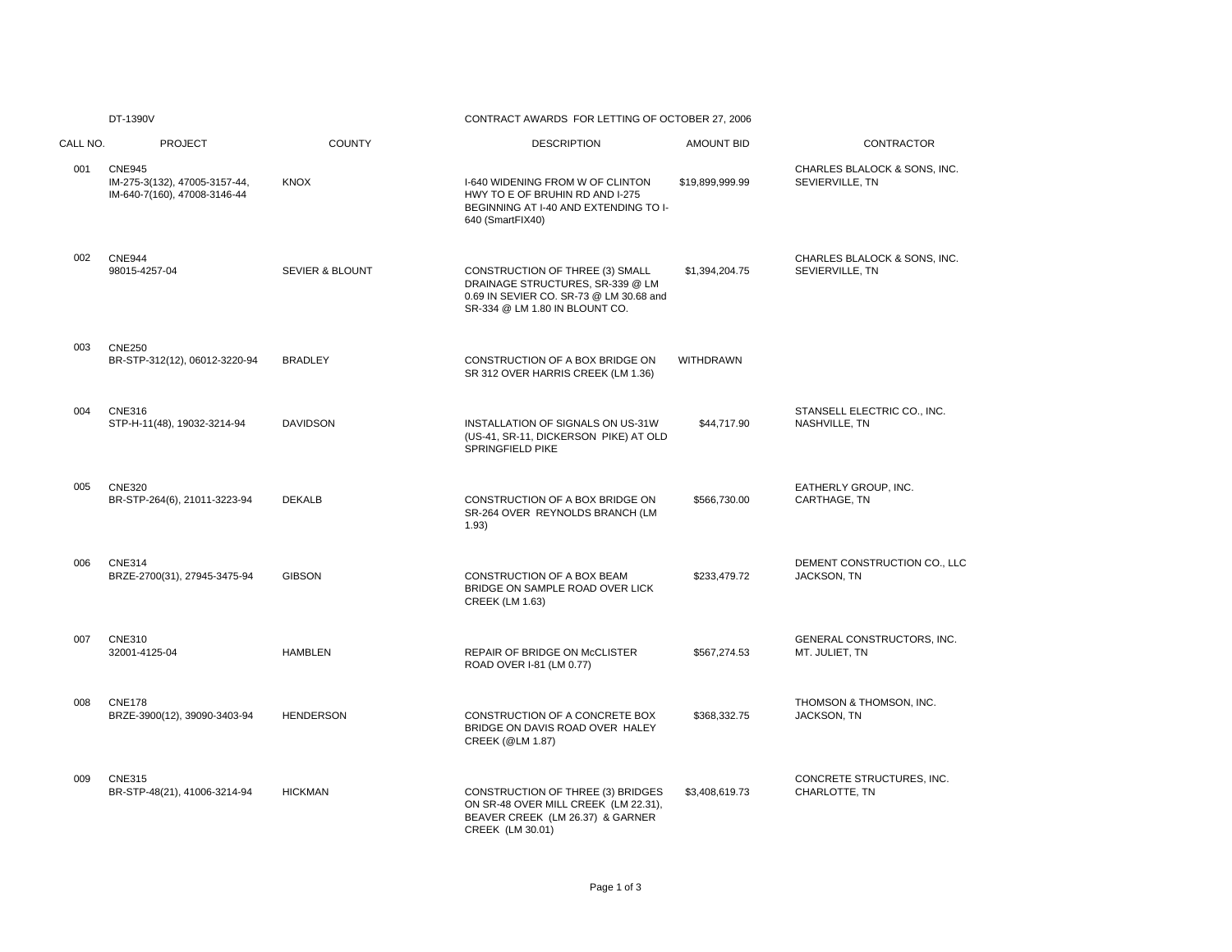# DT-1390V CONTRACT AWARDS FOR LETTING OF OCTOBER 27, 2006

| CALL NO. | <b>PROJECT</b>                                                                 | <b>COUNTY</b>              | <b>DESCRIPTION</b>                                                                                                                               | <b>AMOUNT BID</b> | CONTRACTOR                                      |
|----------|--------------------------------------------------------------------------------|----------------------------|--------------------------------------------------------------------------------------------------------------------------------------------------|-------------------|-------------------------------------------------|
| 001      | <b>CNE945</b><br>IM-275-3(132), 47005-3157-44,<br>IM-640-7(160), 47008-3146-44 | <b>KNOX</b>                | I-640 WIDENING FROM W OF CLINTON<br>HWY TO E OF BRUHIN RD AND I-275<br>BEGINNING AT I-40 AND EXTENDING TO I-<br>640 (SmartFIX40)                 | \$19,899,999.99   | CHARLES BLALOCK & SONS, INC.<br>SEVIERVILLE, TN |
| 002      | <b>CNE944</b><br>98015-4257-04                                                 | <b>SEVIER &amp; BLOUNT</b> | CONSTRUCTION OF THREE (3) SMALL<br>DRAINAGE STRUCTURES, SR-339 @ LM<br>0.69 IN SEVIER CO. SR-73 @ LM 30.68 and<br>SR-334 @ LM 1.80 IN BLOUNT CO. | \$1,394,204.75    | CHARLES BLALOCK & SONS, INC.<br>SEVIERVILLE, TN |
| 003      | <b>CNE250</b><br>BR-STP-312(12), 06012-3220-94                                 | <b>BRADLEY</b>             | CONSTRUCTION OF A BOX BRIDGE ON<br>SR 312 OVER HARRIS CREEK (LM 1.36)                                                                            | <b>WITHDRAWN</b>  |                                                 |
| 004      | <b>CNE316</b><br>STP-H-11(48), 19032-3214-94                                   | <b>DAVIDSON</b>            | INSTALLATION OF SIGNALS ON US-31W<br>(US-41, SR-11, DICKERSON PIKE) AT OLD<br>SPRINGFIELD PIKE                                                   | \$44,717.90       | STANSELL ELECTRIC CO., INC.<br>NASHVILLE, TN    |
| 005      | <b>CNE320</b><br>BR-STP-264(6), 21011-3223-94                                  | <b>DEKALB</b>              | CONSTRUCTION OF A BOX BRIDGE ON<br>SR-264 OVER REYNOLDS BRANCH (LM<br>1.93)                                                                      | \$566,730.00      | EATHERLY GROUP, INC.<br>CARTHAGE, TN            |
| 006      | <b>CNE314</b><br>BRZE-2700(31), 27945-3475-94                                  | <b>GIBSON</b>              | CONSTRUCTION OF A BOX BEAM<br>BRIDGE ON SAMPLE ROAD OVER LICK<br><b>CREEK (LM 1.63)</b>                                                          | \$233,479.72      | DEMENT CONSTRUCTION CO., LLC<br>JACKSON, TN     |
| 007      | <b>CNE310</b><br>32001-4125-04                                                 | <b>HAMBLEN</b>             | REPAIR OF BRIDGE ON McCLISTER<br>ROAD OVER I-81 (LM 0.77)                                                                                        | \$567,274.53      | GENERAL CONSTRUCTORS, INC.<br>MT. JULIET, TN    |
| 008      | <b>CNE178</b><br>BRZE-3900(12), 39090-3403-94                                  | <b>HENDERSON</b>           | CONSTRUCTION OF A CONCRETE BOX<br>BRIDGE ON DAVIS ROAD OVER HALEY<br>CREEK (@LM 1.87)                                                            | \$368,332.75      | THOMSON & THOMSON, INC.<br>JACKSON, TN          |
| 009      | <b>CNE315</b><br>BR-STP-48(21), 41006-3214-94                                  | <b>HICKMAN</b>             | CONSTRUCTION OF THREE (3) BRIDGES<br>ON SR-48 OVER MILL CREEK (LM 22.31),<br>BEAVER CREEK (LM 26.37) & GARNER<br>CREEK (LM 30.01)                | \$3,408,619.73    | CONCRETE STRUCTURES, INC.<br>CHARLOTTE, TN      |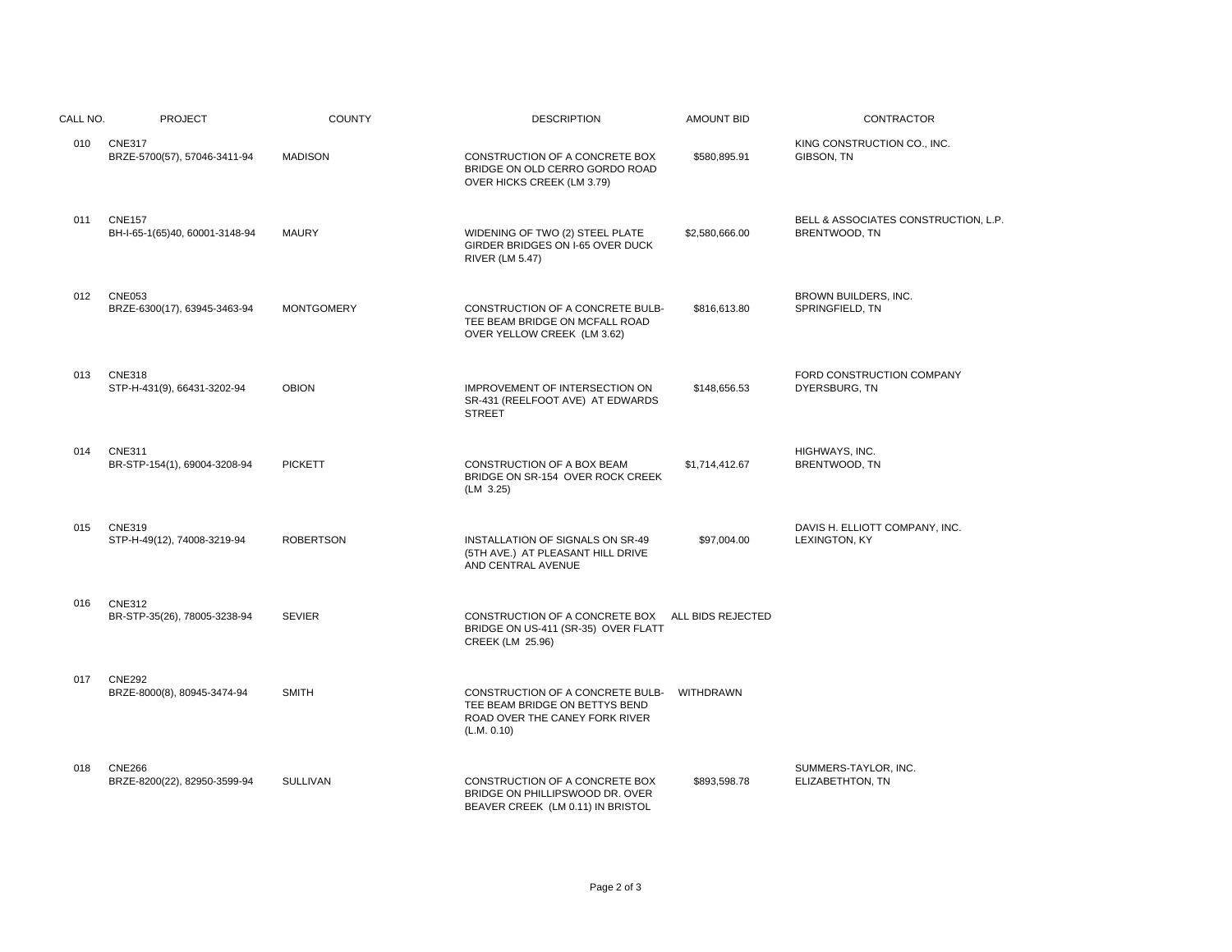| CALL NO. | <b>PROJECT</b>                                  | <b>COUNTY</b>     | <b>DESCRIPTION</b>                                                                                                  | <b>AMOUNT BID</b> | <b>CONTRACTOR</b>                                     |
|----------|-------------------------------------------------|-------------------|---------------------------------------------------------------------------------------------------------------------|-------------------|-------------------------------------------------------|
| 010      | <b>CNE317</b><br>BRZE-5700(57), 57046-3411-94   | <b>MADISON</b>    | CONSTRUCTION OF A CONCRETE BOX<br>BRIDGE ON OLD CERRO GORDO ROAD<br>OVER HICKS CREEK (LM 3.79)                      | \$580,895.91      | KING CONSTRUCTION CO., INC.<br>GIBSON, TN             |
| 011      | <b>CNE157</b><br>BH-I-65-1(65)40, 60001-3148-94 | <b>MAURY</b>      | WIDENING OF TWO (2) STEEL PLATE<br>GIRDER BRIDGES ON I-65 OVER DUCK<br><b>RIVER (LM 5.47)</b>                       | \$2,580,666.00    | BELL & ASSOCIATES CONSTRUCTION, L.P.<br>BRENTWOOD, TN |
| 012      | <b>CNE053</b><br>BRZE-6300(17), 63945-3463-94   | <b>MONTGOMERY</b> | CONSTRUCTION OF A CONCRETE BULB-<br>TEE BEAM BRIDGE ON MCFALL ROAD<br>OVER YELLOW CREEK (LM 3.62)                   | \$816,613.80      | BROWN BUILDERS, INC.<br>SPRINGFIELD, TN               |
| 013      | <b>CNE318</b><br>STP-H-431(9), 66431-3202-94    | <b>OBION</b>      | IMPROVEMENT OF INTERSECTION ON<br>SR-431 (REELFOOT AVE) AT EDWARDS<br><b>STREET</b>                                 | \$148,656.53      | FORD CONSTRUCTION COMPANY<br>DYERSBURG, TN            |
| 014      | <b>CNE311</b><br>BR-STP-154(1), 69004-3208-94   | <b>PICKETT</b>    | CONSTRUCTION OF A BOX BEAM<br>BRIDGE ON SR-154 OVER ROCK CREEK<br>(LM 3.25)                                         | \$1,714,412.67    | HIGHWAYS, INC.<br>BRENTWOOD, TN                       |
| 015      | <b>CNE319</b><br>STP-H-49(12), 74008-3219-94    | <b>ROBERTSON</b>  | INSTALLATION OF SIGNALS ON SR-49<br>(5TH AVE.) AT PLEASANT HILL DRIVE<br>AND CENTRAL AVENUE                         | \$97,004.00       | DAVIS H. ELLIOTT COMPANY, INC.<br>LEXINGTON, KY       |
| 016      | <b>CNE312</b><br>BR-STP-35(26), 78005-3238-94   | <b>SEVIER</b>     | CONSTRUCTION OF A CONCRETE BOX ALL BIDS REJECTED<br>BRIDGE ON US-411 (SR-35) OVER FLATT<br>CREEK (LM 25.96)         |                   |                                                       |
| 017      | <b>CNE292</b><br>BRZE-8000(8), 80945-3474-94    | <b>SMITH</b>      | CONSTRUCTION OF A CONCRETE BULB-<br>TEE BEAM BRIDGE ON BETTYS BEND<br>ROAD OVER THE CANEY FORK RIVER<br>(L.M. 0.10) | WITHDRAWN         |                                                       |
| 018      | <b>CNE266</b><br>BRZE-8200(22), 82950-3599-94   | <b>SULLIVAN</b>   | CONSTRUCTION OF A CONCRETE BOX<br>BRIDGE ON PHILLIPSWOOD DR. OVER<br>BEAVER CREEK (LM 0.11) IN BRISTOL              | \$893,598.78      | SUMMERS-TAYLOR, INC.<br>ELIZABETHTON, TN              |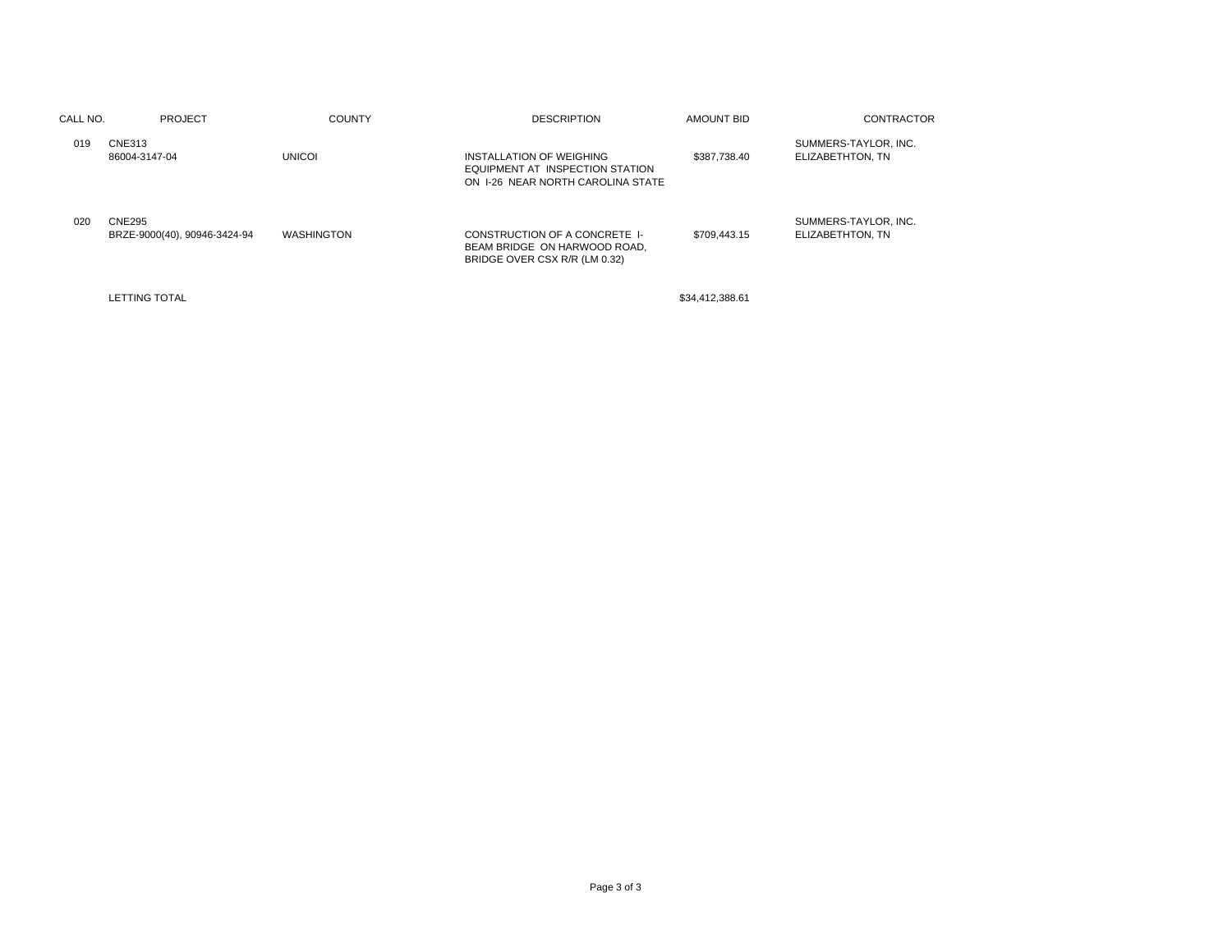| CALL NO. | <b>PROJECT</b>                         | <b>COUNTY</b>     | <b>DESCRIPTION</b>                                                                               | AMOUNT BID      | <b>CONTRACTOR</b>                        |
|----------|----------------------------------------|-------------------|--------------------------------------------------------------------------------------------------|-----------------|------------------------------------------|
| 019      | CNE313<br>86004-3147-04                | <b>UNICOI</b>     | INSTALLATION OF WEIGHING<br>EQUIPMENT AT INSPECTION STATION<br>ON 1-26 NEAR NORTH CAROLINA STATE | \$387.738.40    | SUMMERS-TAYLOR, INC.<br>ELIZABETHTON, TN |
| 020      | CNE295<br>BRZE-9000(40), 90946-3424-94 | <b>WASHINGTON</b> | CONSTRUCTION OF A CONCRETE I-<br>BEAM BRIDGE ON HARWOOD ROAD.<br>BRIDGE OVER CSX R/R (LM 0.32)   | \$709,443.15    | SUMMERS-TAYLOR, INC.<br>ELIZABETHTON, TN |
|          | <b>LETTING TOTAL</b>                   |                   |                                                                                                  | \$34,412,388.61 |                                          |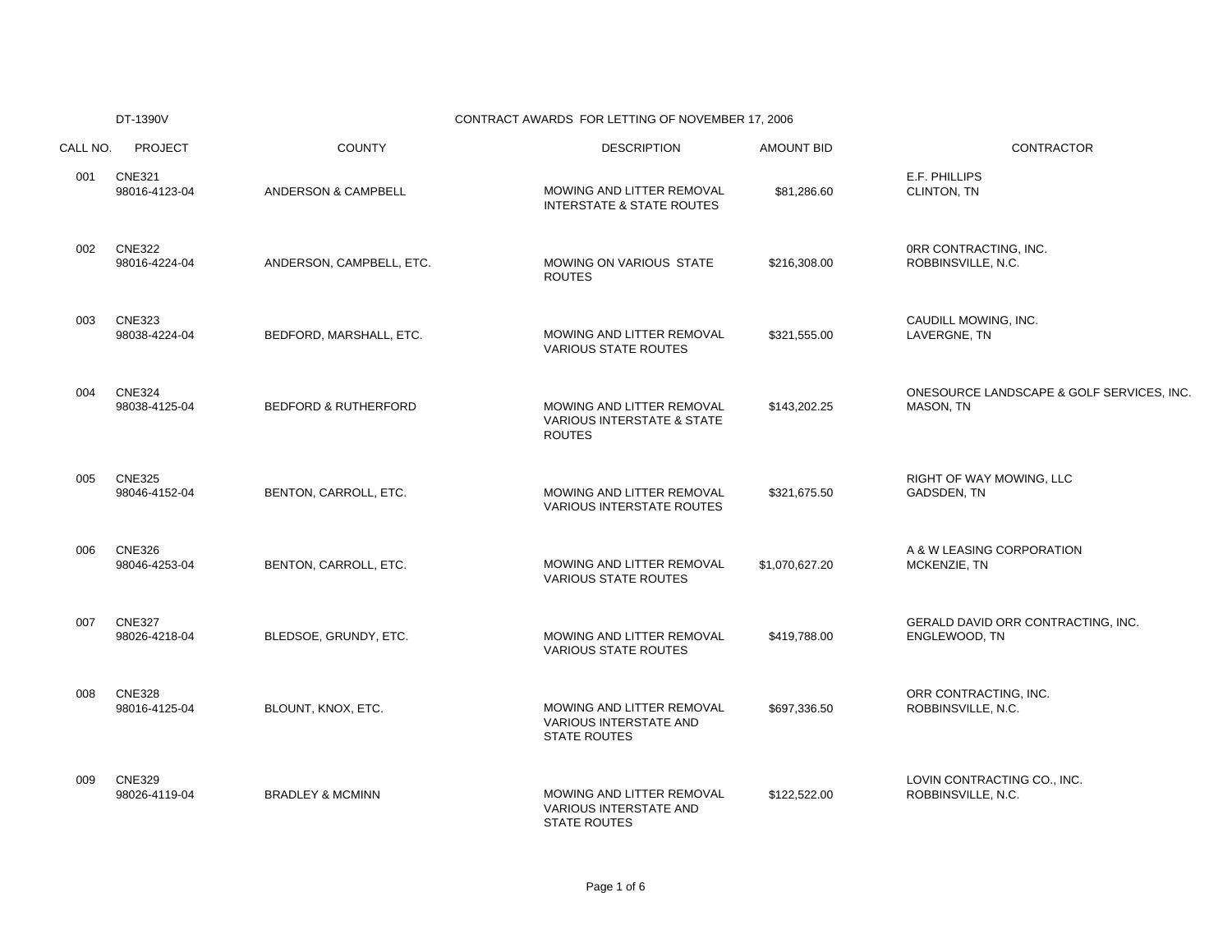|          | DT-1390V                       |                                 | CONTRACT AWARDS FOR LETTING OF NOVEMBER 17, 2006                                    |                   |                                                        |
|----------|--------------------------------|---------------------------------|-------------------------------------------------------------------------------------|-------------------|--------------------------------------------------------|
| CALL NO. | <b>PROJECT</b>                 | <b>COUNTY</b>                   | <b>DESCRIPTION</b>                                                                  | <b>AMOUNT BID</b> | CONTRACTOR                                             |
| 001      | <b>CNE321</b><br>98016-4123-04 | <b>ANDERSON &amp; CAMPBELL</b>  | MOWING AND LITTER REMOVAL<br><b>INTERSTATE &amp; STATE ROUTES</b>                   | \$81,286.60       | E.F. PHILLIPS<br>CLINTON, TN                           |
| 002      | <b>CNE322</b><br>98016-4224-04 | ANDERSON, CAMPBELL, ETC.        | MOWING ON VARIOUS STATE<br><b>ROUTES</b>                                            | \$216,308.00      | ORR CONTRACTING, INC.<br>ROBBINSVILLE, N.C.            |
| 003      | <b>CNE323</b><br>98038-4224-04 | BEDFORD, MARSHALL, ETC.         | MOWING AND LITTER REMOVAL<br><b>VARIOUS STATE ROUTES</b>                            | \$321,555.00      | CAUDILL MOWING, INC.<br>LAVERGNE, TN                   |
| 004      | <b>CNE324</b><br>98038-4125-04 | <b>BEDFORD &amp; RUTHERFORD</b> | MOWING AND LITTER REMOVAL<br><b>VARIOUS INTERSTATE &amp; STATE</b><br><b>ROUTES</b> | \$143,202.25      | ONESOURCE LANDSCAPE & GOLF SERVICES, INC.<br>MASON, TN |
| 005      | <b>CNE325</b><br>98046-4152-04 | BENTON, CARROLL, ETC.           | MOWING AND LITTER REMOVAL<br><b>VARIOUS INTERSTATE ROUTES</b>                       | \$321,675.50      | RIGHT OF WAY MOWING, LLC<br>GADSDEN, TN                |
| 006      | <b>CNE326</b><br>98046-4253-04 | BENTON, CARROLL, ETC.           | MOWING AND LITTER REMOVAL<br>VARIOUS STATE ROUTES                                   | \$1,070,627.20    | A & W LEASING CORPORATION<br>MCKENZIE, TN              |
| 007      | <b>CNE327</b><br>98026-4218-04 | BLEDSOE, GRUNDY, ETC.           | MOWING AND LITTER REMOVAL<br><b>VARIOUS STATE ROUTES</b>                            | \$419,788.00      | GERALD DAVID ORR CONTRACTING, INC.<br>ENGLEWOOD, TN    |
| 008      | <b>CNE328</b><br>98016-4125-04 | BLOUNT, KNOX, ETC.              | MOWING AND LITTER REMOVAL<br>VARIOUS INTERSTATE AND<br><b>STATE ROUTES</b>          | \$697,336.50      | ORR CONTRACTING, INC.<br>ROBBINSVILLE, N.C.            |
| 009      | <b>CNE329</b><br>98026-4119-04 | <b>BRADLEY &amp; MCMINN</b>     | MOWING AND LITTER REMOVAL<br>VARIOUS INTERSTATE AND<br><b>STATE ROUTES</b>          | \$122,522.00      | LOVIN CONTRACTING CO., INC.<br>ROBBINSVILLE, N.C.      |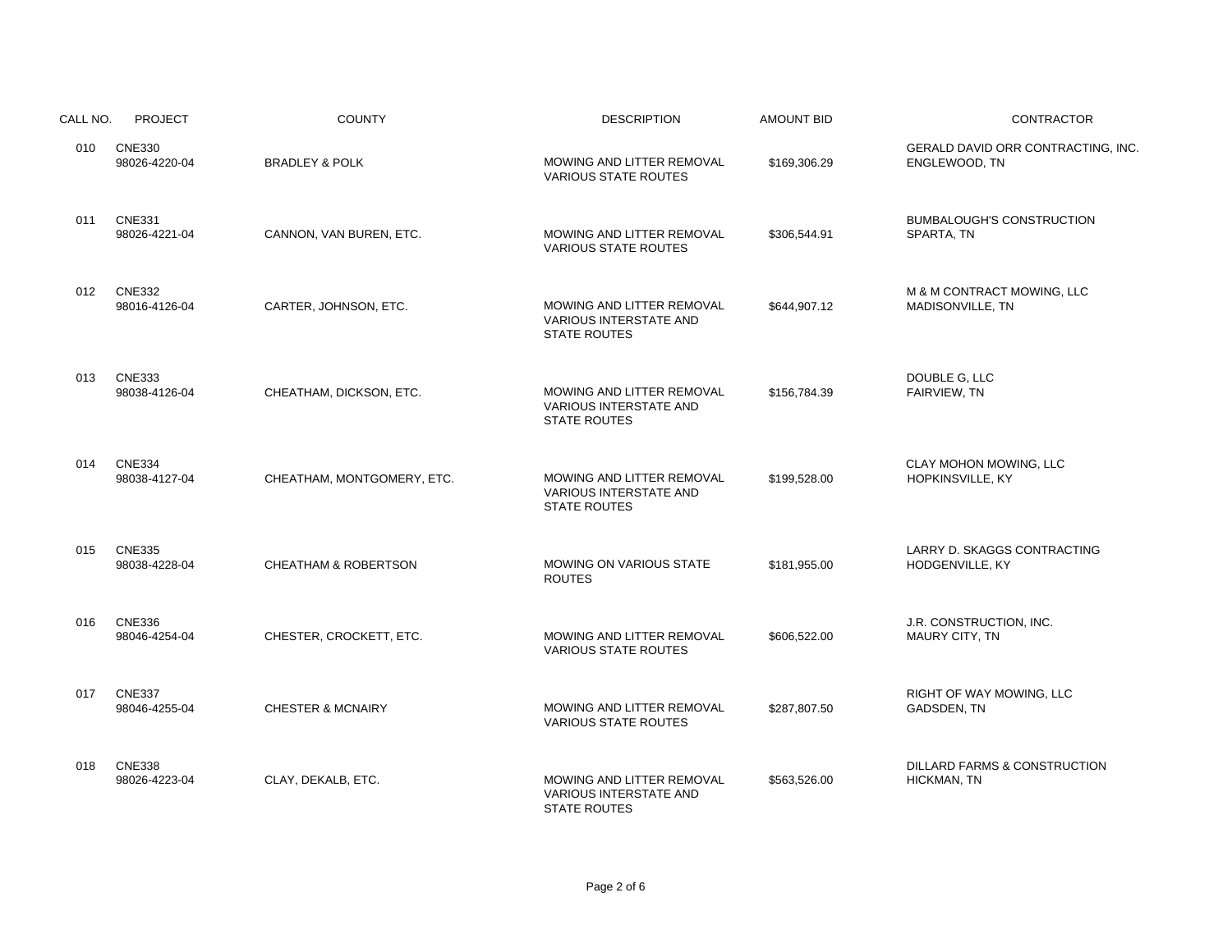| CALL NO. | <b>PROJECT</b>                 | <b>COUNTY</b>                   | <b>DESCRIPTION</b>                                                                | <b>AMOUNT BID</b> | <b>CONTRACTOR</b>                                   |
|----------|--------------------------------|---------------------------------|-----------------------------------------------------------------------------------|-------------------|-----------------------------------------------------|
| 010      | <b>CNE330</b><br>98026-4220-04 | <b>BRADLEY &amp; POLK</b>       | MOWING AND LITTER REMOVAL<br><b>VARIOUS STATE ROUTES</b>                          | \$169,306.29      | GERALD DAVID ORR CONTRACTING, INC.<br>ENGLEWOOD, TN |
| 011      | <b>CNE331</b><br>98026-4221-04 | CANNON, VAN BUREN, ETC.         | MOWING AND LITTER REMOVAL<br><b>VARIOUS STATE ROUTES</b>                          | \$306,544.91      | <b>BUMBALOUGH'S CONSTRUCTION</b><br>SPARTA, TN      |
| 012      | <b>CNE332</b><br>98016-4126-04 | CARTER, JOHNSON, ETC.           | MOWING AND LITTER REMOVAL<br><b>VARIOUS INTERSTATE AND</b><br><b>STATE ROUTES</b> | \$644,907.12      | M & M CONTRACT MOWING, LLC<br>MADISONVILLE, TN      |
| 013      | <b>CNE333</b><br>98038-4126-04 | CHEATHAM, DICKSON, ETC.         | MOWING AND LITTER REMOVAL<br>VARIOUS INTERSTATE AND<br><b>STATE ROUTES</b>        | \$156,784.39      | DOUBLE G, LLC<br>FAIRVIEW, TN                       |
| 014      | <b>CNE334</b><br>98038-4127-04 | CHEATHAM, MONTGOMERY, ETC.      | MOWING AND LITTER REMOVAL<br><b>VARIOUS INTERSTATE AND</b><br><b>STATE ROUTES</b> | \$199,528.00      | CLAY MOHON MOWING, LLC<br>HOPKINSVILLE, KY          |
| 015      | <b>CNE335</b><br>98038-4228-04 | <b>CHEATHAM &amp; ROBERTSON</b> | <b>MOWING ON VARIOUS STATE</b><br><b>ROUTES</b>                                   | \$181,955.00      | LARRY D. SKAGGS CONTRACTING<br>HODGENVILLE, KY      |
| 016      | <b>CNE336</b><br>98046-4254-04 | CHESTER, CROCKETT, ETC.         | MOWING AND LITTER REMOVAL<br><b>VARIOUS STATE ROUTES</b>                          | \$606,522.00      | J.R. CONSTRUCTION, INC.<br>MAURY CITY, TN           |
| 017      | <b>CNE337</b><br>98046-4255-04 | <b>CHESTER &amp; MCNAIRY</b>    | MOWING AND LITTER REMOVAL<br><b>VARIOUS STATE ROUTES</b>                          | \$287,807.50      | RIGHT OF WAY MOWING, LLC<br>GADSDEN, TN             |
| 018      | <b>CNE338</b><br>98026-4223-04 | CLAY, DEKALB, ETC.              | MOWING AND LITTER REMOVAL<br><b>VARIOUS INTERSTATE AND</b><br><b>STATE ROUTES</b> | \$563,526.00      | DILLARD FARMS & CONSTRUCTION<br><b>HICKMAN, TN</b>  |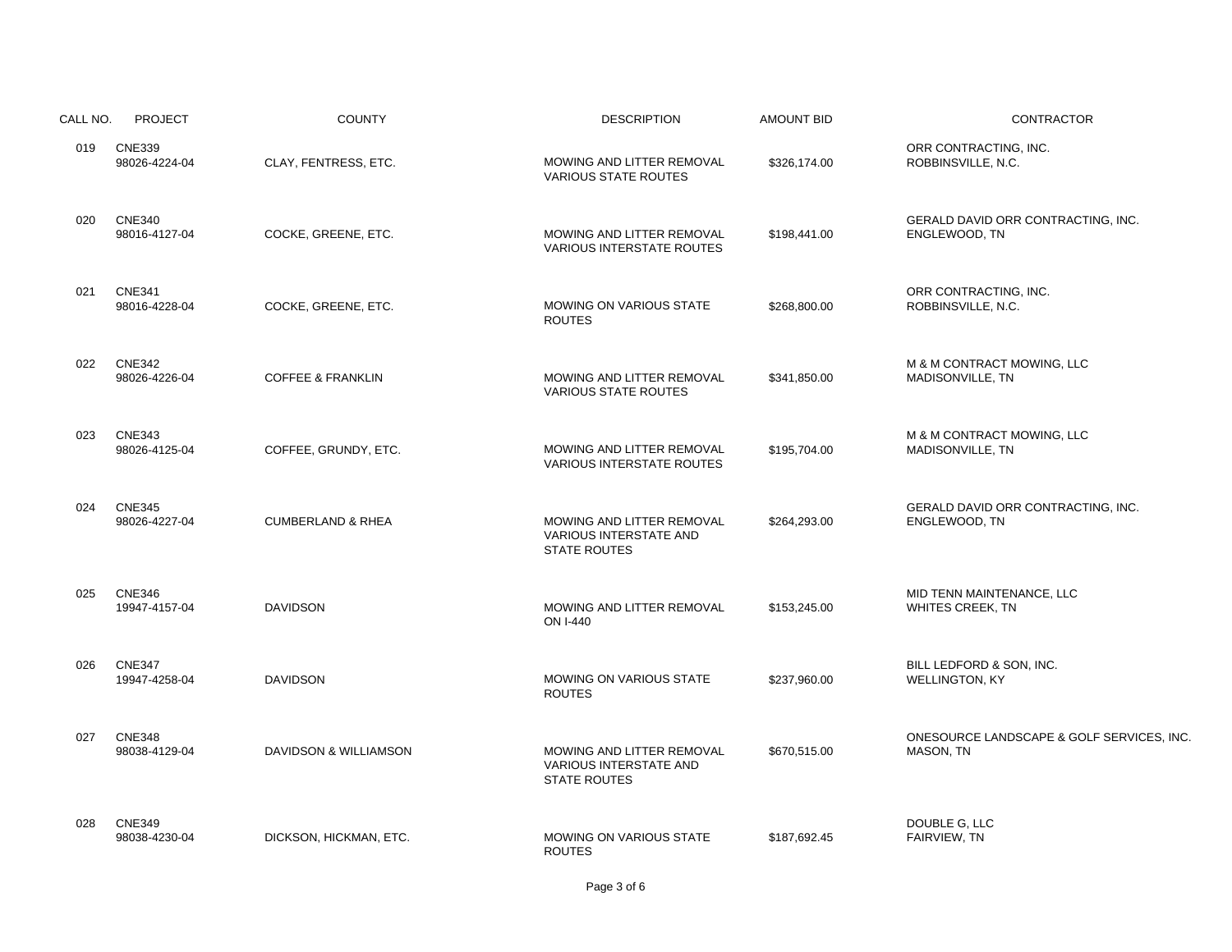| CALL NO. | <b>PROJECT</b>                 | <b>COUNTY</b>                | <b>DESCRIPTION</b>                                                                | <b>AMOUNT BID</b> | CONTRACTOR                                             |
|----------|--------------------------------|------------------------------|-----------------------------------------------------------------------------------|-------------------|--------------------------------------------------------|
| 019      | <b>CNE339</b><br>98026-4224-04 | CLAY, FENTRESS, ETC.         | MOWING AND LITTER REMOVAL<br><b>VARIOUS STATE ROUTES</b>                          | \$326,174.00      | ORR CONTRACTING, INC.<br>ROBBINSVILLE, N.C.            |
| 020      | <b>CNE340</b><br>98016-4127-04 | COCKE, GREENE, ETC.          | MOWING AND LITTER REMOVAL<br><b>VARIOUS INTERSTATE ROUTES</b>                     | \$198,441.00      | GERALD DAVID ORR CONTRACTING, INC.<br>ENGLEWOOD, TN    |
| 021      | <b>CNE341</b><br>98016-4228-04 | COCKE, GREENE, ETC.          | MOWING ON VARIOUS STATE<br><b>ROUTES</b>                                          | \$268.800.00      | ORR CONTRACTING, INC.<br>ROBBINSVILLE, N.C.            |
| 022      | <b>CNE342</b><br>98026-4226-04 | <b>COFFEE &amp; FRANKLIN</b> | MOWING AND LITTER REMOVAL<br><b>VARIOUS STATE ROUTES</b>                          | \$341,850.00      | M & M CONTRACT MOWING, LLC<br>MADISONVILLE, TN         |
| 023      | <b>CNE343</b><br>98026-4125-04 | COFFEE, GRUNDY, ETC.         | MOWING AND LITTER REMOVAL<br><b>VARIOUS INTERSTATE ROUTES</b>                     | \$195,704.00      | M & M CONTRACT MOWING, LLC<br>MADISONVILLE, TN         |
| 024      | <b>CNE345</b><br>98026-4227-04 | <b>CUMBERLAND &amp; RHEA</b> | MOWING AND LITTER REMOVAL<br><b>VARIOUS INTERSTATE AND</b><br><b>STATE ROUTES</b> | \$264,293.00      | GERALD DAVID ORR CONTRACTING, INC.<br>ENGLEWOOD, TN    |
| 025      | <b>CNE346</b><br>19947-4157-04 | <b>DAVIDSON</b>              | MOWING AND LITTER REMOVAL<br>ON I-440                                             | \$153,245.00      | MID TENN MAINTENANCE, LLC<br><b>WHITES CREEK, TN</b>   |
| 026      | <b>CNE347</b><br>19947-4258-04 | <b>DAVIDSON</b>              | MOWING ON VARIOUS STATE<br><b>ROUTES</b>                                          | \$237,960.00      | BILL LEDFORD & SON, INC.<br>WELLINGTON, KY             |
| 027      | <b>CNE348</b><br>98038-4129-04 | DAVIDSON & WILLIAMSON        | MOWING AND LITTER REMOVAL<br><b>VARIOUS INTERSTATE AND</b><br><b>STATE ROUTES</b> | \$670,515.00      | ONESOURCE LANDSCAPE & GOLF SERVICES, INC.<br>MASON, TN |
| 028      | <b>CNE349</b><br>98038-4230-04 | DICKSON, HICKMAN, ETC.       | MOWING ON VARIOUS STATE<br><b>ROUTES</b>                                          | \$187,692.45      | DOUBLE G, LLC<br>FAIRVIEW, TN                          |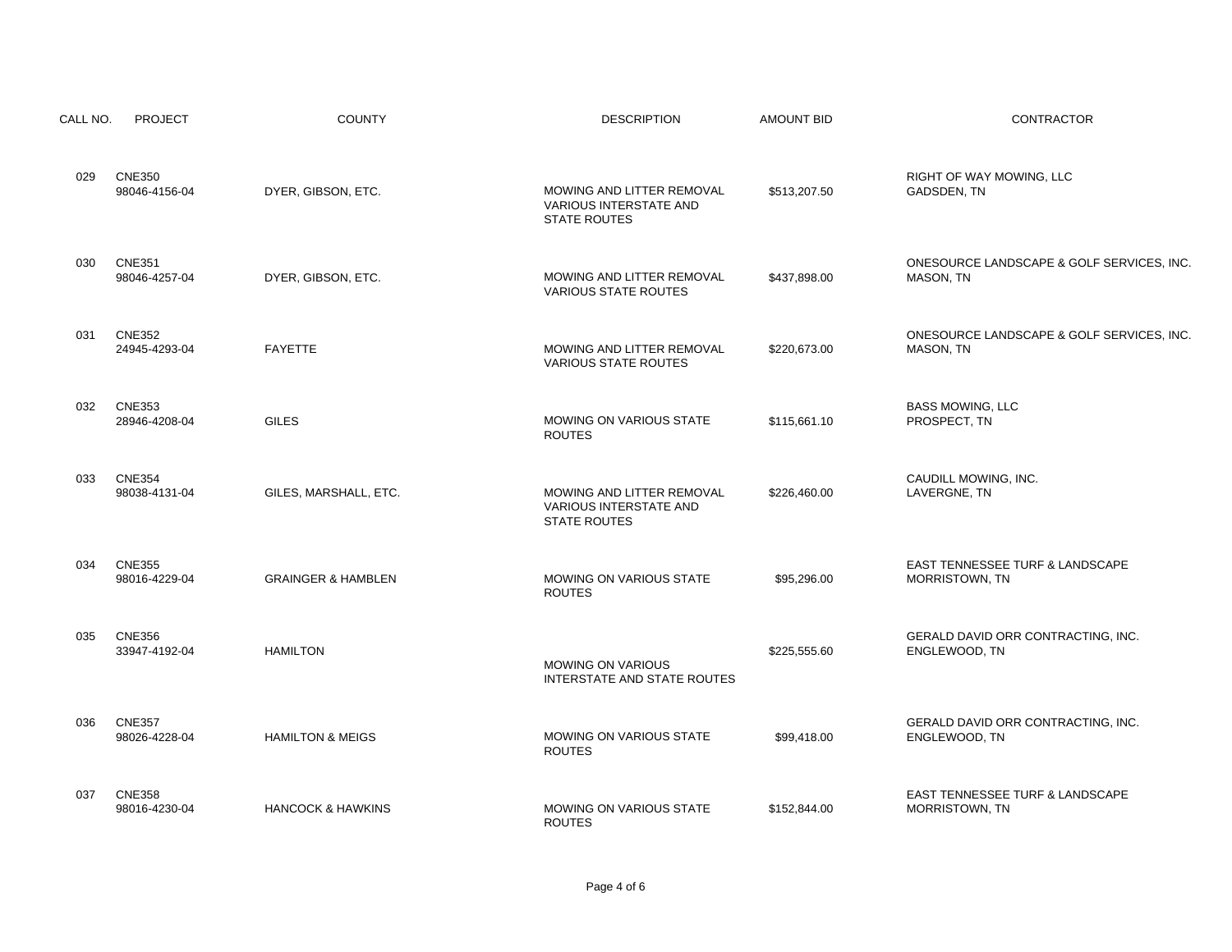| CALL NO. | <b>PROJECT</b>                 | <b>COUNTY</b>                 | <b>DESCRIPTION</b>                                                                | <b>AMOUNT BID</b> | <b>CONTRACTOR</b>                                        |
|----------|--------------------------------|-------------------------------|-----------------------------------------------------------------------------------|-------------------|----------------------------------------------------------|
| 029      | <b>CNE350</b><br>98046-4156-04 | DYER, GIBSON, ETC.            | MOWING AND LITTER REMOVAL<br><b>VARIOUS INTERSTATE AND</b><br><b>STATE ROUTES</b> | \$513,207.50      | RIGHT OF WAY MOWING, LLC<br>GADSDEN, TN                  |
| 030      | <b>CNE351</b><br>98046-4257-04 | DYER, GIBSON, ETC.            | MOWING AND LITTER REMOVAL<br><b>VARIOUS STATE ROUTES</b>                          | \$437,898.00      | ONESOURCE LANDSCAPE & GOLF SERVICES, INC.<br>MASON, TN   |
| 031      | <b>CNE352</b><br>24945-4293-04 | <b>FAYETTE</b>                | MOWING AND LITTER REMOVAL<br><b>VARIOUS STATE ROUTES</b>                          | \$220,673.00      | ONESOURCE LANDSCAPE & GOLF SERVICES, INC.<br>MASON, TN   |
| 032      | <b>CNE353</b><br>28946-4208-04 | <b>GILES</b>                  | <b>MOWING ON VARIOUS STATE</b><br><b>ROUTES</b>                                   | \$115.661.10      | <b>BASS MOWING, LLC</b><br>PROSPECT. TN                  |
| 033      | <b>CNE354</b><br>98038-4131-04 | GILES, MARSHALL, ETC.         | MOWING AND LITTER REMOVAL<br>VARIOUS INTERSTATE AND<br><b>STATE ROUTES</b>        | \$226,460.00      | CAUDILL MOWING, INC.<br>LAVERGNE, TN                     |
| 034      | <b>CNE355</b><br>98016-4229-04 | <b>GRAINGER &amp; HAMBLEN</b> | MOWING ON VARIOUS STATE<br><b>ROUTES</b>                                          | \$95,296.00       | EAST TENNESSEE TURF & LANDSCAPE<br>MORRISTOWN, TN        |
| 035      | <b>CNE356</b><br>33947-4192-04 | <b>HAMILTON</b>               | <b>MOWING ON VARIOUS</b><br>INTERSTATE AND STATE ROUTES                           | \$225,555.60      | GERALD DAVID ORR CONTRACTING, INC.<br>ENGLEWOOD, TN      |
| 036      | <b>CNE357</b><br>98026-4228-04 | <b>HAMILTON &amp; MEIGS</b>   | MOWING ON VARIOUS STATE<br><b>ROUTES</b>                                          | \$99,418.00       | GERALD DAVID ORR CONTRACTING, INC.<br>ENGLEWOOD, TN      |
| 037      | <b>CNE358</b><br>98016-4230-04 | <b>HANCOCK &amp; HAWKINS</b>  | MOWING ON VARIOUS STATE<br><b>ROUTES</b>                                          | \$152,844.00      | EAST TENNESSEE TURF & LANDSCAPE<br><b>MORRISTOWN, TN</b> |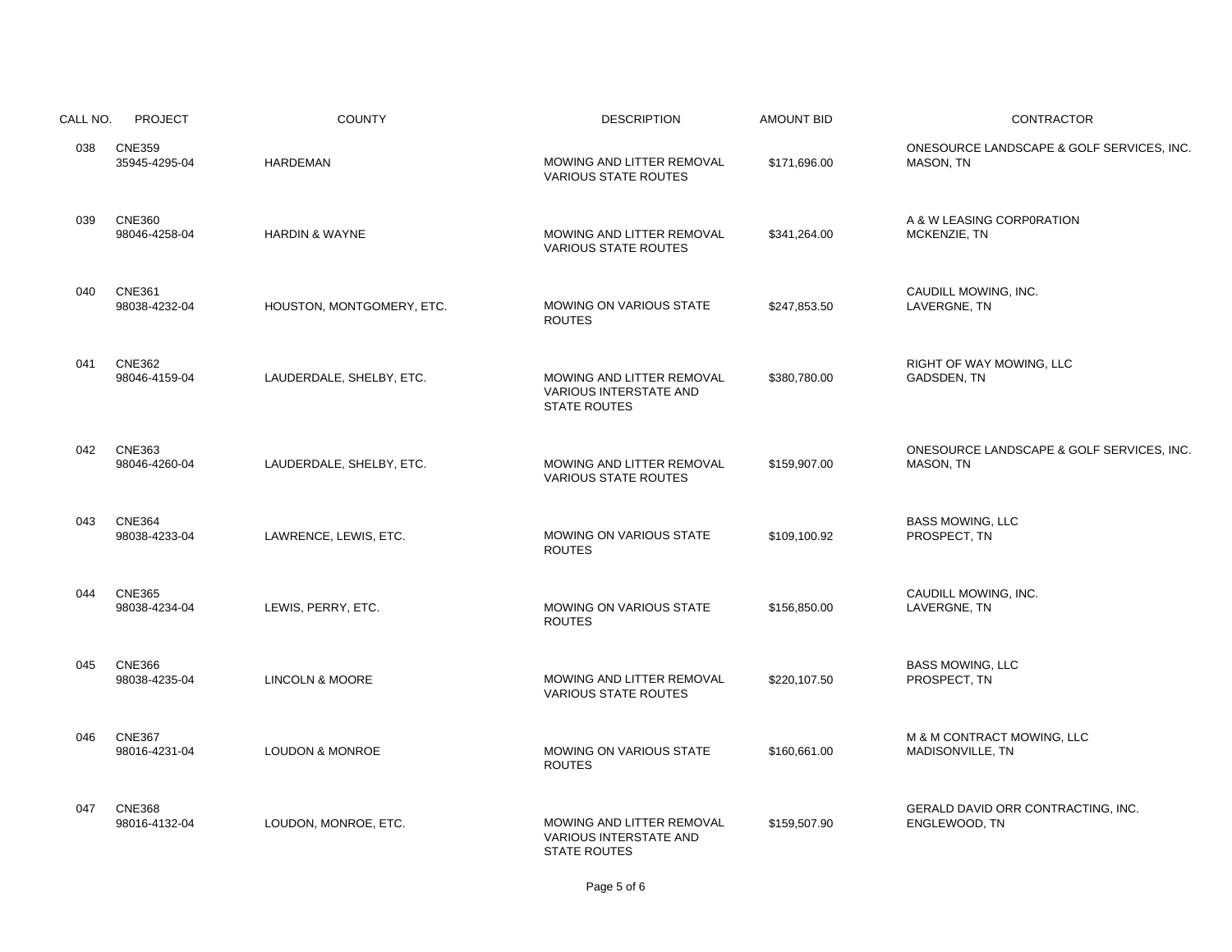| CALL NO. | <b>PROJECT</b>                 | <b>COUNTY</b>              | <b>DESCRIPTION</b>                                                                | <b>AMOUNT BID</b> | CONTRACTOR                                             |
|----------|--------------------------------|----------------------------|-----------------------------------------------------------------------------------|-------------------|--------------------------------------------------------|
| 038      | <b>CNE359</b><br>35945-4295-04 | <b>HARDEMAN</b>            | MOWING AND LITTER REMOVAL<br><b>VARIOUS STATE ROUTES</b>                          | \$171,696.00      | ONESOURCE LANDSCAPE & GOLF SERVICES, INC.<br>MASON, TN |
| 039      | <b>CNE360</b><br>98046-4258-04 | <b>HARDIN &amp; WAYNE</b>  | MOWING AND LITTER REMOVAL<br><b>VARIOUS STATE ROUTES</b>                          | \$341,264.00      | A & W LEASING CORPORATION<br>MCKENZIE, TN              |
| 040      | <b>CNE361</b><br>98038-4232-04 | HOUSTON, MONTGOMERY, ETC.  | MOWING ON VARIOUS STATE<br><b>ROUTES</b>                                          | \$247,853.50      | CAUDILL MOWING, INC.<br>LAVERGNE, TN                   |
| 041      | <b>CNE362</b><br>98046-4159-04 | LAUDERDALE, SHELBY, ETC.   | MOWING AND LITTER REMOVAL<br><b>VARIOUS INTERSTATE AND</b><br><b>STATE ROUTES</b> | \$380,780.00      | RIGHT OF WAY MOWING, LLC<br>GADSDEN, TN                |
| 042      | <b>CNE363</b><br>98046-4260-04 | LAUDERDALE, SHELBY, ETC.   | MOWING AND LITTER REMOVAL<br><b>VARIOUS STATE ROUTES</b>                          | \$159,907.00      | ONESOURCE LANDSCAPE & GOLF SERVICES, INC.<br>MASON, TN |
| 043      | <b>CNE364</b><br>98038-4233-04 | LAWRENCE, LEWIS, ETC.      | <b>MOWING ON VARIOUS STATE</b><br><b>ROUTES</b>                                   | \$109,100.92      | <b>BASS MOWING, LLC</b><br>PROSPECT, TN                |
| 044      | <b>CNE365</b><br>98038-4234-04 | LEWIS, PERRY, ETC.         | <b>MOWING ON VARIOUS STATE</b><br><b>ROUTES</b>                                   | \$156,850.00      | CAUDILL MOWING, INC.<br>LAVERGNE, TN                   |
| 045      | <b>CNE366</b><br>98038-4235-04 | <b>LINCOLN &amp; MOORE</b> | MOWING AND LITTER REMOVAL<br><b>VARIOUS STATE ROUTES</b>                          | \$220,107.50      | <b>BASS MOWING, LLC</b><br>PROSPECT, TN                |
| 046      | <b>CNE367</b><br>98016-4231-04 | <b>LOUDON &amp; MONROE</b> | MOWING ON VARIOUS STATE<br><b>ROUTES</b>                                          | \$160,661.00      | M & M CONTRACT MOWING, LLC<br>MADISONVILLE, TN         |
| 047      | <b>CNE368</b><br>98016-4132-04 | LOUDON, MONROE, ETC.       | MOWING AND LITTER REMOVAL<br>VARIOUS INTERSTATE AND<br><b>STATE ROUTES</b>        | \$159,507.90      | GERALD DAVID ORR CONTRACTING, INC.<br>ENGLEWOOD, TN    |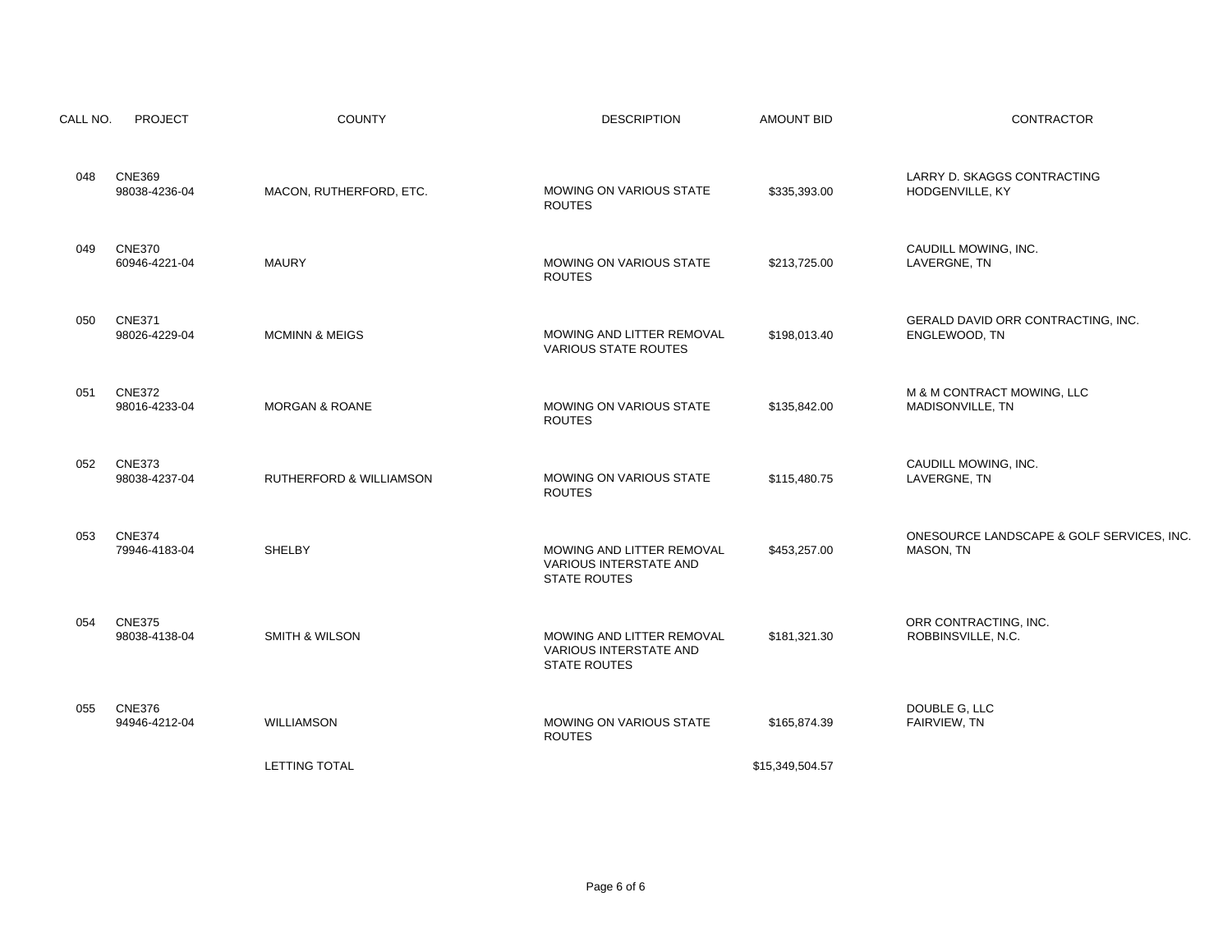| CALL NO. | <b>PROJECT</b>                 | <b>COUNTY</b>             | <b>DESCRIPTION</b>                                                         | <b>AMOUNT BID</b> | CONTRACTOR                                             |
|----------|--------------------------------|---------------------------|----------------------------------------------------------------------------|-------------------|--------------------------------------------------------|
| 048      | <b>CNE369</b><br>98038-4236-04 | MACON, RUTHERFORD, ETC.   | <b>MOWING ON VARIOUS STATE</b><br><b>ROUTES</b>                            | \$335,393.00      | LARRY D. SKAGGS CONTRACTING<br>HODGENVILLE, KY         |
| 049      | <b>CNE370</b><br>60946-4221-04 | <b>MAURY</b>              | MOWING ON VARIOUS STATE<br><b>ROUTES</b>                                   | \$213,725.00      | CAUDILL MOWING, INC.<br>LAVERGNE, TN                   |
| 050      | <b>CNE371</b><br>98026-4229-04 | <b>MCMINN &amp; MEIGS</b> | MOWING AND LITTER REMOVAL<br><b>VARIOUS STATE ROUTES</b>                   | \$198,013.40      | GERALD DAVID ORR CONTRACTING, INC.<br>ENGLEWOOD, TN    |
| 051      | <b>CNE372</b><br>98016-4233-04 | <b>MORGAN &amp; ROANE</b> | MOWING ON VARIOUS STATE<br><b>ROUTES</b>                                   | \$135.842.00      | M & M CONTRACT MOWING, LLC<br>MADISONVILLE, TN         |
| 052      | <b>CNE373</b><br>98038-4237-04 | RUTHERFORD & WILLIAMSON   | MOWING ON VARIOUS STATE<br><b>ROUTES</b>                                   | \$115,480.75      | CAUDILL MOWING, INC.<br>LAVERGNE, TN                   |
| 053      | <b>CNE374</b><br>79946-4183-04 | SHELBY                    | MOWING AND LITTER REMOVAL<br>VARIOUS INTERSTATE AND<br><b>STATE ROUTES</b> | \$453,257.00      | ONESOURCE LANDSCAPE & GOLF SERVICES, INC.<br>MASON, TN |
| 054      | <b>CNE375</b><br>98038-4138-04 | <b>SMITH &amp; WILSON</b> | MOWING AND LITTER REMOVAL<br>VARIOUS INTERSTATE AND<br><b>STATE ROUTES</b> | \$181,321.30      | ORR CONTRACTING, INC.<br>ROBBINSVILLE, N.C.            |
| 055      | <b>CNE376</b><br>94946-4212-04 | <b>WILLIAMSON</b>         | MOWING ON VARIOUS STATE<br><b>ROUTES</b>                                   | \$165,874.39      | DOUBLE G, LLC<br>FAIRVIEW, TN                          |
|          |                                | <b>LETTING TOTAL</b>      |                                                                            | \$15,349,504.57   |                                                        |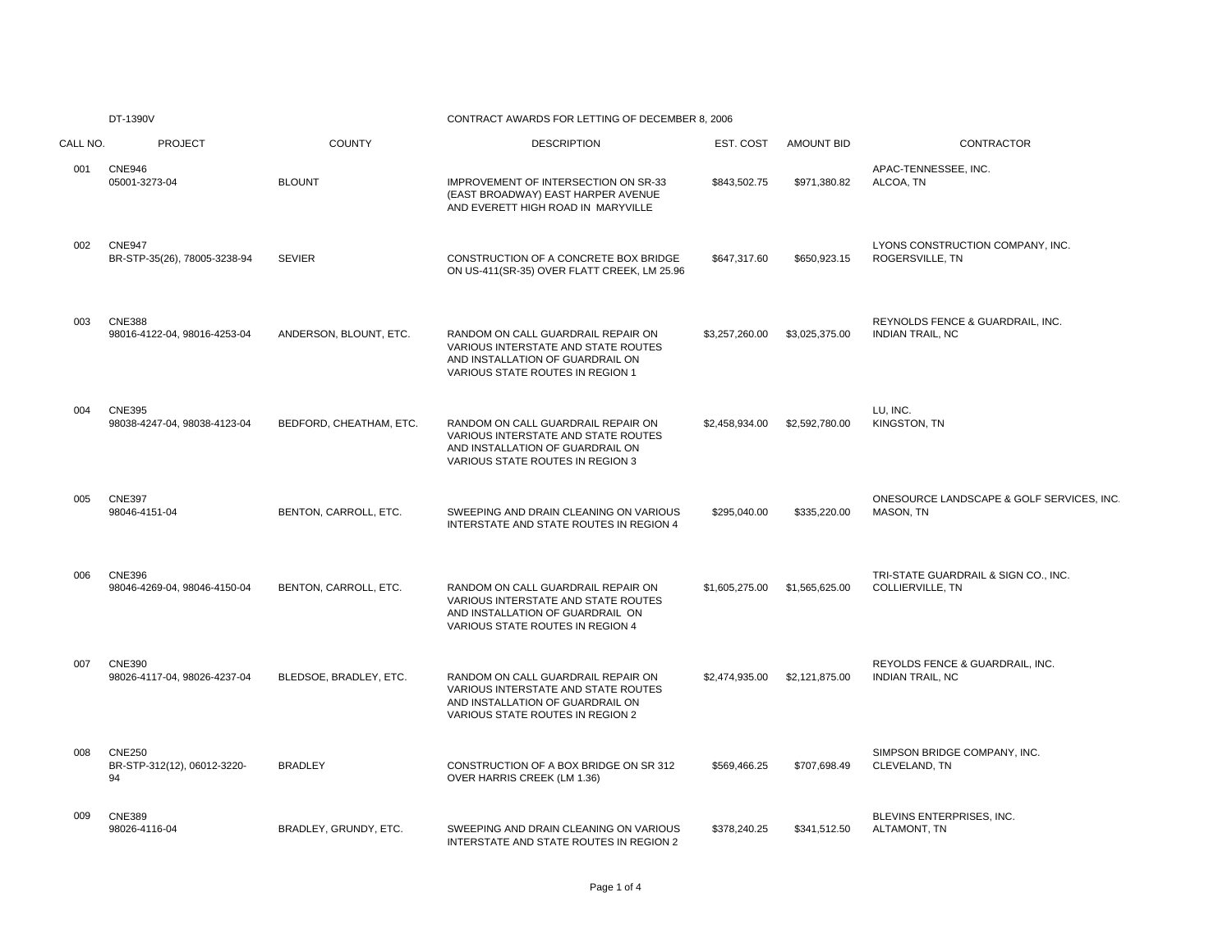# DT-1390V CONTRACT AWARDS FOR LETTING OF DECEMBER 8, 2006

| CALL NO. | <b>PROJECT</b>                                     | <b>COUNTY</b>           | <b>DESCRIPTION</b>                                                                                                                                | EST. COST      | <b>AMOUNT BID</b> | <b>CONTRACTOR</b>                                           |
|----------|----------------------------------------------------|-------------------------|---------------------------------------------------------------------------------------------------------------------------------------------------|----------------|-------------------|-------------------------------------------------------------|
| 001      | <b>CNE946</b><br>05001-3273-04                     | <b>BLOUNT</b>           | IMPROVEMENT OF INTERSECTION ON SR-33<br>(EAST BROADWAY) EAST HARPER AVENUE<br>AND EVERETT HIGH ROAD IN MARYVILLE                                  | \$843,502.75   | \$971,380.82      | APAC-TENNESSEE, INC.<br>ALCOA, TN                           |
| 002      | <b>CNE947</b><br>BR-STP-35(26), 78005-3238-94      | <b>SEVIER</b>           | CONSTRUCTION OF A CONCRETE BOX BRIDGE<br>ON US-411(SR-35) OVER FLATT CREEK, LM 25.96                                                              | \$647,317.60   | \$650,923.15      | LYONS CONSTRUCTION COMPANY, INC.<br>ROGERSVILLE, TN         |
| 003      | <b>CNE388</b><br>98016-4122-04, 98016-4253-04      | ANDERSON, BLOUNT, ETC.  | RANDOM ON CALL GUARDRAIL REPAIR ON<br>VARIOUS INTERSTATE AND STATE ROUTES<br>AND INSTALLATION OF GUARDRAIL ON<br>VARIOUS STATE ROUTES IN REGION 1 | \$3,257,260.00 | \$3,025,375.00    | REYNOLDS FENCE & GUARDRAIL, INC.<br><b>INDIAN TRAIL, NC</b> |
| 004      | <b>CNE395</b><br>98038-4247-04, 98038-4123-04      | BEDFORD, CHEATHAM, ETC. | RANDOM ON CALL GUARDRAIL REPAIR ON<br>VARIOUS INTERSTATE AND STATE ROUTES<br>AND INSTALLATION OF GUARDRAIL ON<br>VARIOUS STATE ROUTES IN REGION 3 | \$2.458.934.00 | \$2,592,780.00    | LU. INC.<br>KINGSTON, TN                                    |
| 005      | <b>CNE397</b><br>98046-4151-04                     | BENTON, CARROLL, ETC.   | SWEEPING AND DRAIN CLEANING ON VARIOUS<br>INTERSTATE AND STATE ROUTES IN REGION 4                                                                 | \$295,040.00   | \$335,220.00      | ONESOURCE LANDSCAPE & GOLF SERVICES, INC<br>MASON, TN       |
| 006      | <b>CNE396</b><br>98046-4269-04, 98046-4150-04      | BENTON, CARROLL, ETC.   | RANDOM ON CALL GUARDRAIL REPAIR ON<br>VARIOUS INTERSTATE AND STATE ROUTES<br>AND INSTALLATION OF GUARDRAIL ON<br>VARIOUS STATE ROUTES IN REGION 4 | \$1,605,275.00 | \$1,565,625.00    | TRI-STATE GUARDRAIL & SIGN CO., INC.<br>COLLIERVILLE, TN    |
| 007      | <b>CNE390</b><br>98026-4117-04, 98026-4237-04      | BLEDSOE, BRADLEY, ETC.  | RANDOM ON CALL GUARDRAIL REPAIR ON<br>VARIOUS INTERSTATE AND STATE ROUTES<br>AND INSTALLATION OF GUARDRAIL ON<br>VARIOUS STATE ROUTES IN REGION 2 | \$2,474,935.00 | \$2,121,875.00    | REYOLDS FENCE & GUARDRAIL, INC.<br>INDIAN TRAIL, NC         |
| 008      | <b>CNE250</b><br>BR-STP-312(12), 06012-3220-<br>94 | <b>BRADLEY</b>          | CONSTRUCTION OF A BOX BRIDGE ON SR 312<br>OVER HARRIS CREEK (LM 1.36)                                                                             | \$569.466.25   | \$707,698.49      | SIMPSON BRIDGE COMPANY, INC.<br>CLEVELAND, TN               |
| 009      | CNE389<br>98026-4116-04                            | BRADLEY, GRUNDY, ETC.   | SWEEPING AND DRAIN CLEANING ON VARIOUS<br>INTERSTATE AND STATE ROUTES IN REGION 2                                                                 | \$378,240.25   | \$341,512.50      | BLEVINS ENTERPRISES. INC.<br>ALTAMONT, TN                   |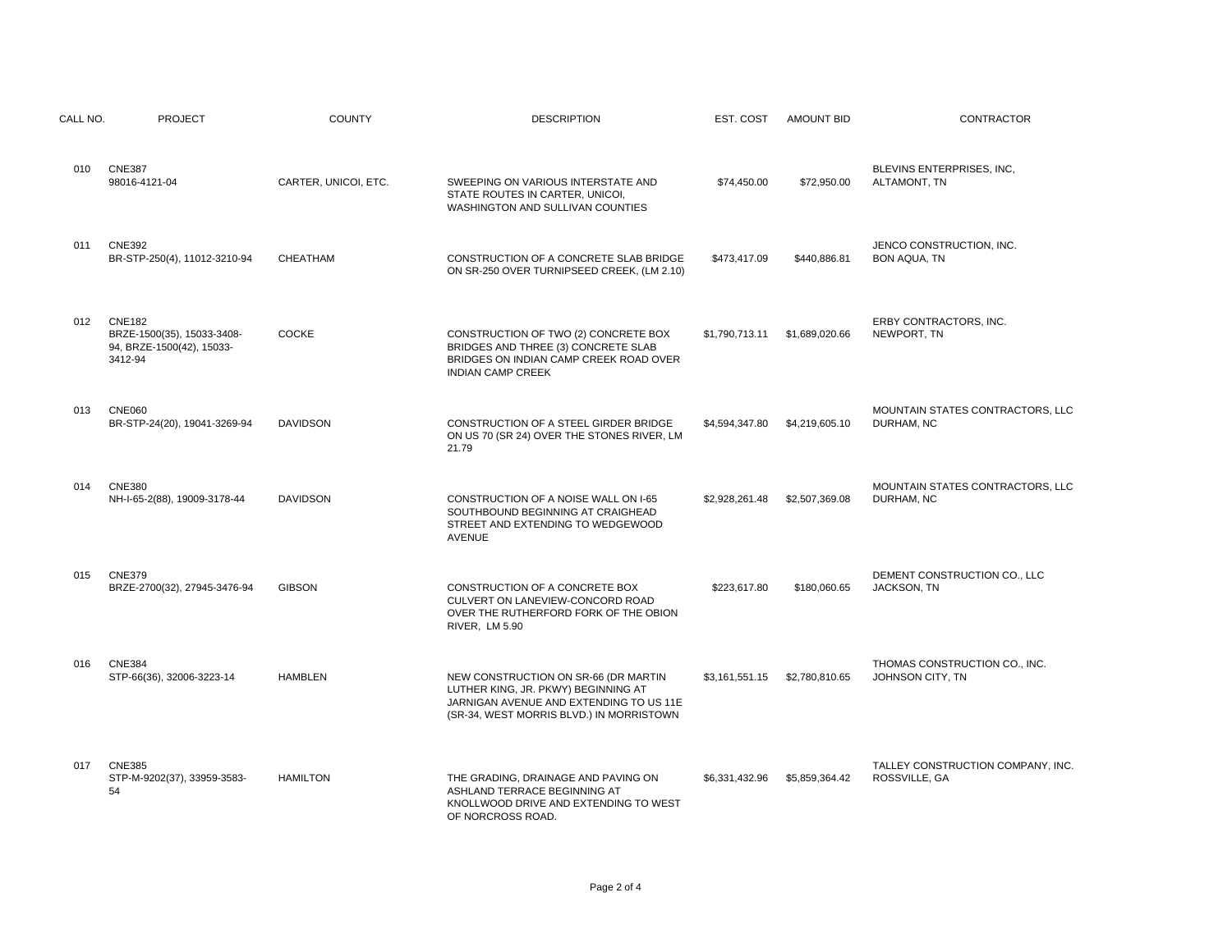| CALL NO. | <b>PROJECT</b>                                                                      | <b>COUNTY</b>        | <b>DESCRIPTION</b>                                                                                                                                                 | EST. COST      | <b>AMOUNT BID</b> | <b>CONTRACTOR</b>                                  |
|----------|-------------------------------------------------------------------------------------|----------------------|--------------------------------------------------------------------------------------------------------------------------------------------------------------------|----------------|-------------------|----------------------------------------------------|
| $010 -$  | <b>CNE387</b><br>98016-4121-04                                                      | CARTER, UNICOI, ETC. | SWEEPING ON VARIOUS INTERSTATE AND<br>STATE ROUTES IN CARTER, UNICOI,<br>WASHINGTON AND SULLIVAN COUNTIES                                                          | \$74,450.00    | \$72,950.00       | BLEVINS ENTERPRISES, INC,<br>ALTAMONT, TN          |
| 011      | <b>CNE392</b><br>BR-STP-250(4), 11012-3210-94                                       | CHEATHAM             | CONSTRUCTION OF A CONCRETE SLAB BRIDGE<br>ON SR-250 OVER TURNIPSEED CREEK, (LM 2.10)                                                                               | \$473,417.09   | \$440,886.81      | JENCO CONSTRUCTION, INC.<br><b>BON AQUA, TN</b>    |
| 012      | <b>CNE182</b><br>BRZE-1500(35), 15033-3408-<br>94, BRZE-1500(42), 15033-<br>3412-94 | <b>COCKE</b>         | CONSTRUCTION OF TWO (2) CONCRETE BOX<br>BRIDGES AND THREE (3) CONCRETE SLAB<br>BRIDGES ON INDIAN CAMP CREEK ROAD OVER<br><b>INDIAN CAMP CREEK</b>                  | \$1,790,713.11 | \$1,689,020.66    | ERBY CONTRACTORS, INC.<br>NEWPORT, TN              |
| 013      | <b>CNE060</b><br>BR-STP-24(20), 19041-3269-94                                       | <b>DAVIDSON</b>      | CONSTRUCTION OF A STEEL GIRDER BRIDGE<br>ON US 70 (SR 24) OVER THE STONES RIVER, LM<br>21.79                                                                       | \$4,594,347.80 | \$4,219,605.10    | MOUNTAIN STATES CONTRACTORS, LLC<br>DURHAM, NC     |
| 014      | <b>CNE380</b><br>NH-I-65-2(88), 19009-3178-44                                       | <b>DAVIDSON</b>      | CONSTRUCTION OF A NOISE WALL ON I-65<br>SOUTHBOUND BEGINNING AT CRAIGHEAD<br>STREET AND EXTENDING TO WEDGEWOOD<br><b>AVENUE</b>                                    | \$2,928,261.48 | \$2,507,369.08    | MOUNTAIN STATES CONTRACTORS, LLC<br>DURHAM, NC     |
| 015      | <b>CNE379</b><br>BRZE-2700(32), 27945-3476-94                                       | <b>GIBSON</b>        | CONSTRUCTION OF A CONCRETE BOX<br>CULVERT ON LANEVIEW-CONCORD ROAD<br>OVER THE RUTHERFORD FORK OF THE OBION<br>RIVER, LM 5.90                                      | \$223,617.80   | \$180,060.65      | DEMENT CONSTRUCTION CO., LLC<br>JACKSON, TN        |
| 016      | <b>CNE384</b><br>STP-66(36), 32006-3223-14                                          | <b>HAMBLEN</b>       | NEW CONSTRUCTION ON SR-66 (DR MARTIN<br>LUTHER KING, JR. PKWY) BEGINNING AT<br>JARNIGAN AVENUE AND EXTENDING TO US 11E<br>(SR-34, WEST MORRIS BLVD.) IN MORRISTOWN | \$3,161,551.15 | \$2,780,810.65    | THOMAS CONSTRUCTION CO., INC.<br>JOHNSON CITY, TN  |
| 017      | <b>CNE385</b><br>STP-M-9202(37), 33959-3583-<br>54                                  | <b>HAMILTON</b>      | THE GRADING, DRAINAGE AND PAVING ON<br>ASHLAND TERRACE BEGINNING AT<br>KNOLLWOOD DRIVE AND EXTENDING TO WEST<br>OF NORCROSS ROAD                                   | \$6,331,432.96 | \$5,859,364.42    | TALLEY CONSTRUCTION COMPANY, INC.<br>ROSSVILLE, GA |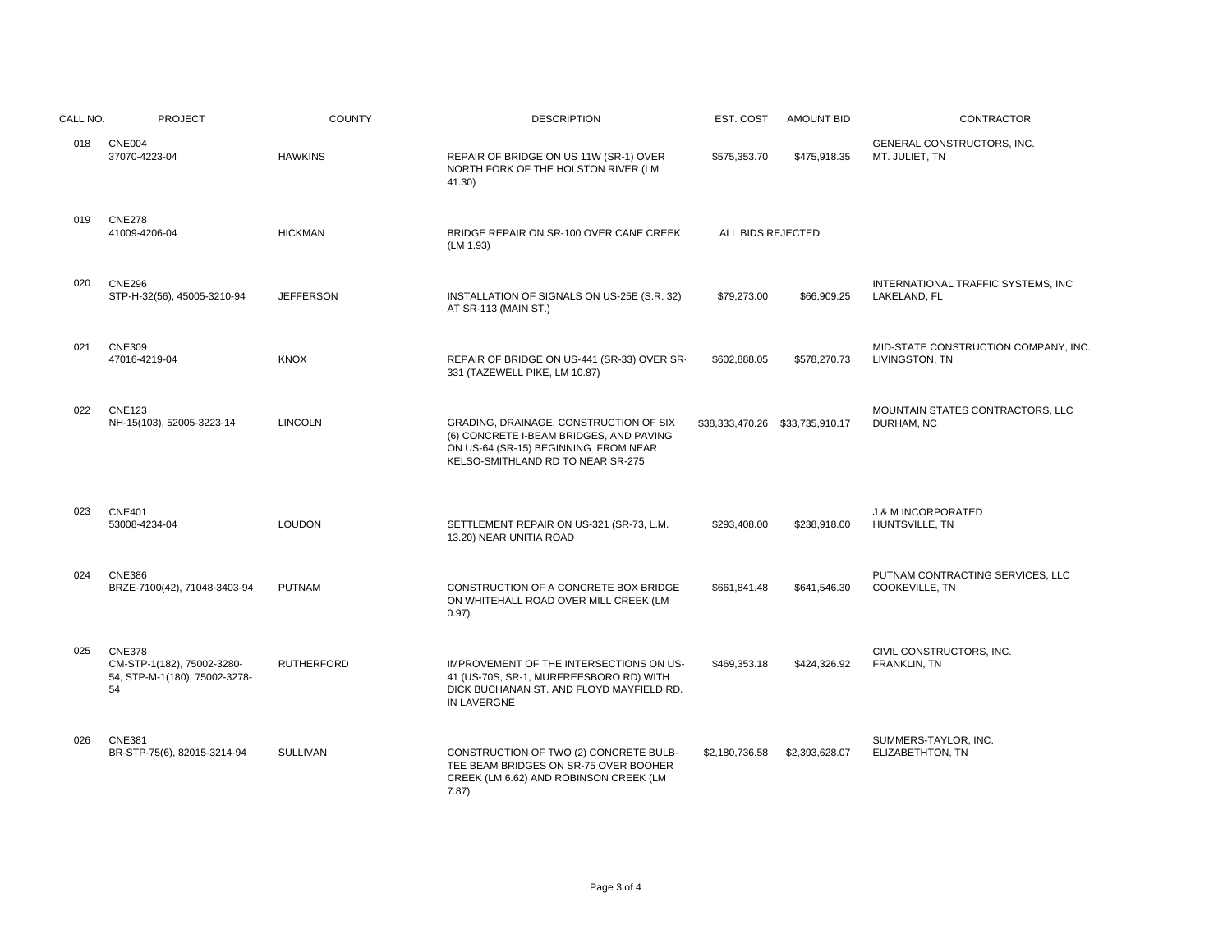| CALL NO. | <b>PROJECT</b>                                                                     | <b>COUNTY</b>     | <b>DESCRIPTION</b>                                                                                                                                             | EST. COST                       | <b>AMOUNT BID</b> | CONTRACTOR                                                |
|----------|------------------------------------------------------------------------------------|-------------------|----------------------------------------------------------------------------------------------------------------------------------------------------------------|---------------------------------|-------------------|-----------------------------------------------------------|
| 018      | <b>CNE004</b><br>37070-4223-04                                                     | <b>HAWKINS</b>    | REPAIR OF BRIDGE ON US 11W (SR-1) OVER<br>NORTH FORK OF THE HOLSTON RIVER (LM<br>41.30)                                                                        | \$575,353.70                    | \$475,918.35      | GENERAL CONSTRUCTORS, INC.<br>MT. JULIET, TN              |
| 019      | <b>CNE278</b><br>41009-4206-04                                                     | <b>HICKMAN</b>    | BRIDGE REPAIR ON SR-100 OVER CANE CREEK<br>(LM 1.93)                                                                                                           | ALL BIDS REJECTED               |                   |                                                           |
| 020      | <b>CNE296</b><br>STP-H-32(56), 45005-3210-94                                       | <b>JEFFERSON</b>  | INSTALLATION OF SIGNALS ON US-25E (S.R. 32)<br>AT SR-113 (MAIN ST.)                                                                                            | \$79,273.00                     | \$66,909.25       | INTERNATIONAL TRAFFIC SYSTEMS, INC<br>LAKELAND, FL        |
| 021      | <b>CNE309</b><br>47016-4219-04                                                     | <b>KNOX</b>       | REPAIR OF BRIDGE ON US-441 (SR-33) OVER SR-<br>331 (TAZEWELL PIKE, LM 10.87)                                                                                   | \$602,888.05                    | \$578,270.73      | MID-STATE CONSTRUCTION COMPANY, INC<br>LIVINGSTON, TN     |
| 022      | <b>CNE123</b><br>NH-15(103), 52005-3223-14                                         | <b>LINCOLN</b>    | GRADING, DRAINAGE, CONSTRUCTION OF SIX<br>(6) CONCRETE I-BEAM BRIDGES, AND PAVING<br>ON US-64 (SR-15) BEGINNING FROM NEAR<br>KELSO-SMITHLAND RD TO NEAR SR-275 | \$38,333,470.26 \$33,735,910.17 |                   | MOUNTAIN STATES CONTRACTORS, LLC<br>DURHAM, NC            |
| 023      | <b>CNE401</b><br>53008-4234-04                                                     | <b>LOUDON</b>     | SETTLEMENT REPAIR ON US-321 (SR-73, L.M.<br>13.20) NEAR UNITIA ROAD                                                                                            | \$293,408.00                    | \$238,918.00      | <b>J &amp; M INCORPORATED</b><br>HUNTSVILLE, TN           |
| 024      | <b>CNE386</b><br>BRZE-7100(42), 71048-3403-94                                      | <b>PUTNAM</b>     | CONSTRUCTION OF A CONCRETE BOX BRIDGE<br>ON WHITEHALL ROAD OVER MILL CREEK (LM<br>0.97)                                                                        | \$661,841.48                    | \$641.546.30      | PUTNAM CONTRACTING SERVICES, LLC<br><b>COOKEVILLE, TN</b> |
| 025      | <b>CNE378</b><br>CM-STP-1(182), 75002-3280-<br>54, STP-M-1(180), 75002-3278-<br>54 | <b>RUTHERFORD</b> | IMPROVEMENT OF THE INTERSECTIONS ON US-<br>41 (US-70S, SR-1, MURFREESBORO RD) WITH<br>DICK BUCHANAN ST. AND FLOYD MAYFIELD RD.<br>IN LAVERGNE                  | \$469,353.18                    | \$424,326.92      | CIVIL CONSTRUCTORS, INC.<br>FRANKLIN, TN                  |
| 026      | <b>CNE381</b><br>BR-STP-75(6), 82015-3214-94                                       | <b>SULLIVAN</b>   | CONSTRUCTION OF TWO (2) CONCRETE BULB-<br>TEE BEAM BRIDGES ON SR-75 OVER BOOHER<br>CREEK (LM 6.62) AND ROBINSON CREEK (LM<br>7.87)                             | \$2,180,736.58                  | \$2,393,628.07    | SUMMERS-TAYLOR, INC.<br>ELIZABETHTON, TN                  |